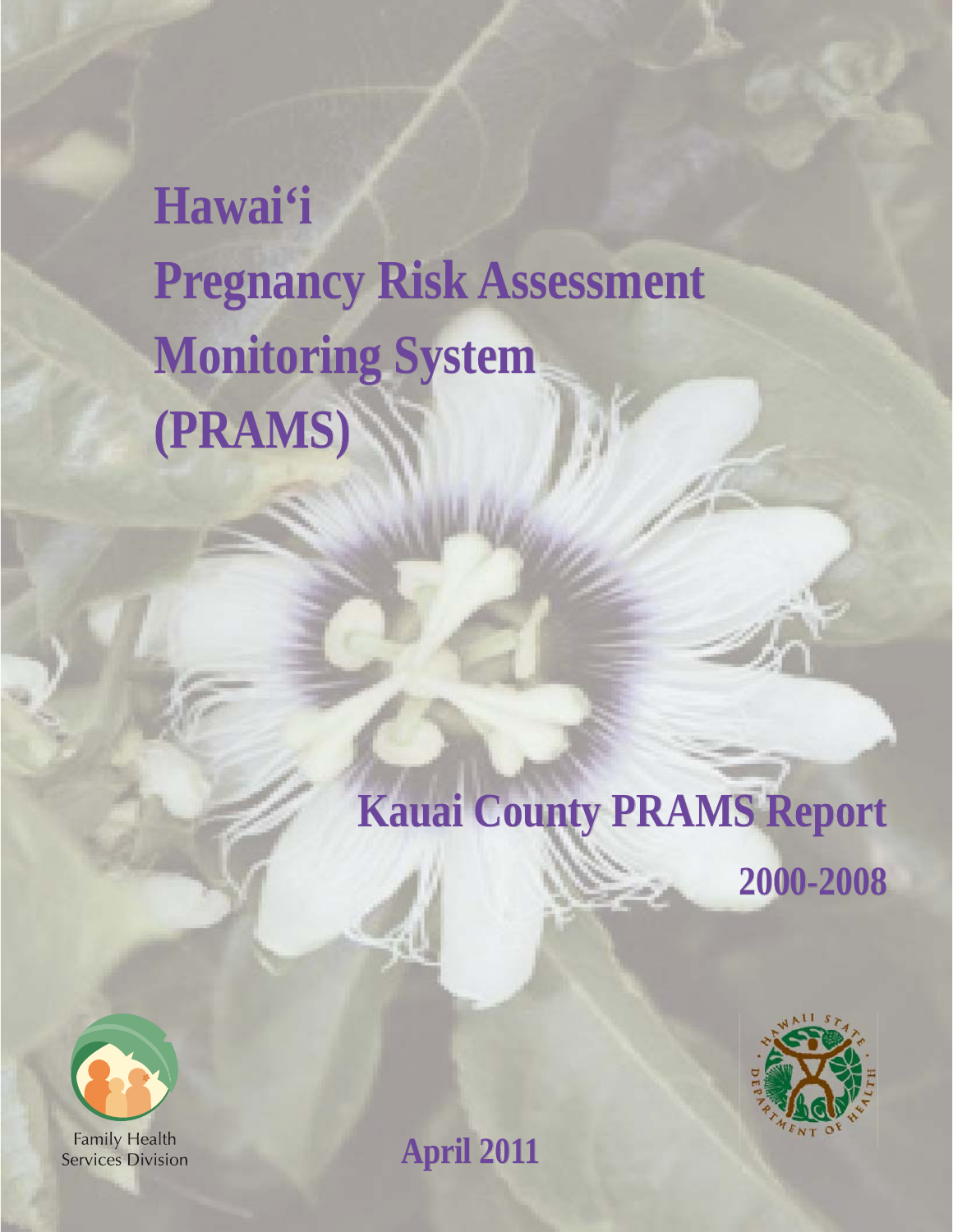# **Hawai'i Pregnancy Risk Assessment regnancy Risk Assessment Monitoring System onitoring (PRAMS)**

## **Kauai County PRAMS Report auai County PRAMS**

**2000-2008 000-2008**





**Family Health Services Division** 

**April 2011 pril**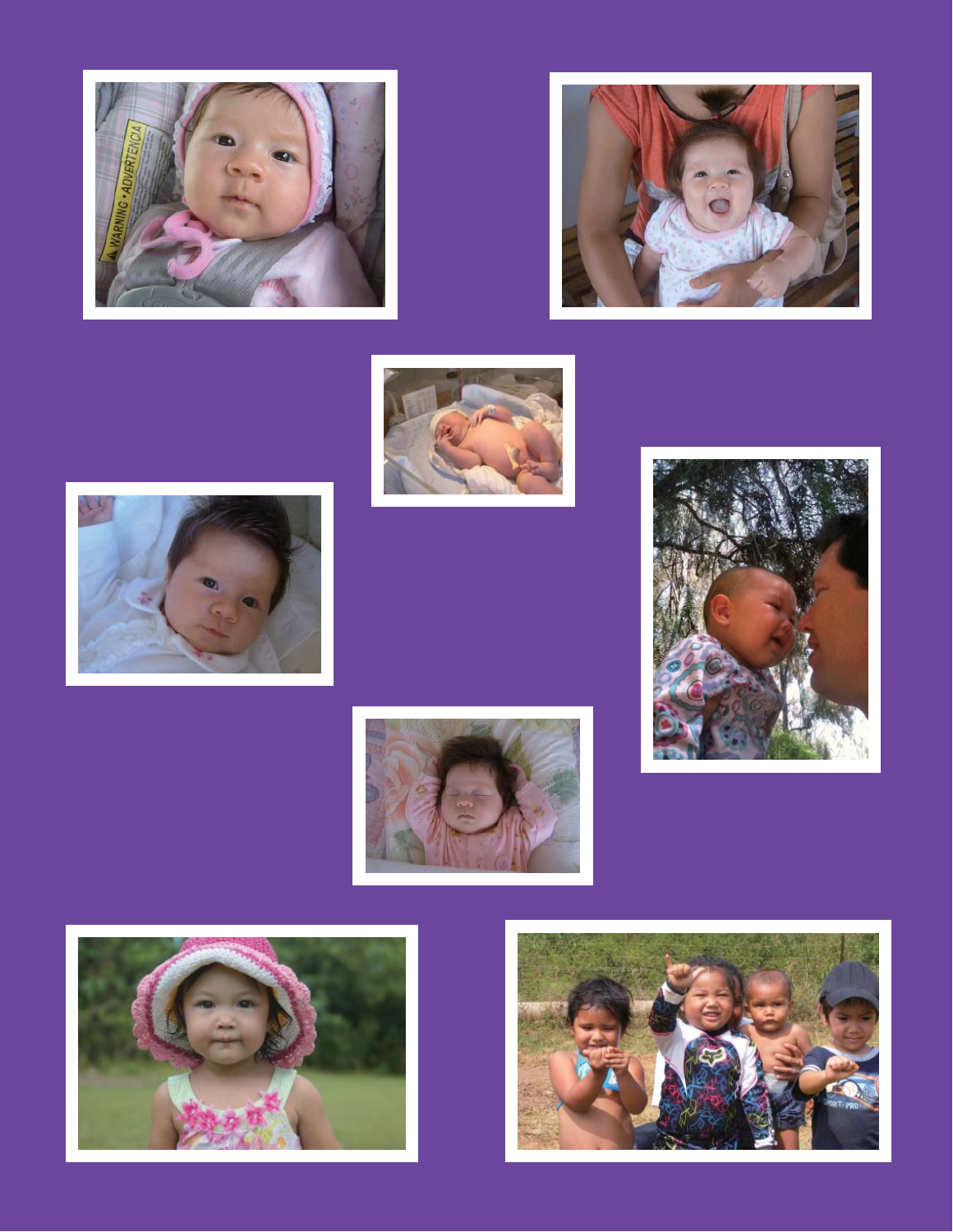













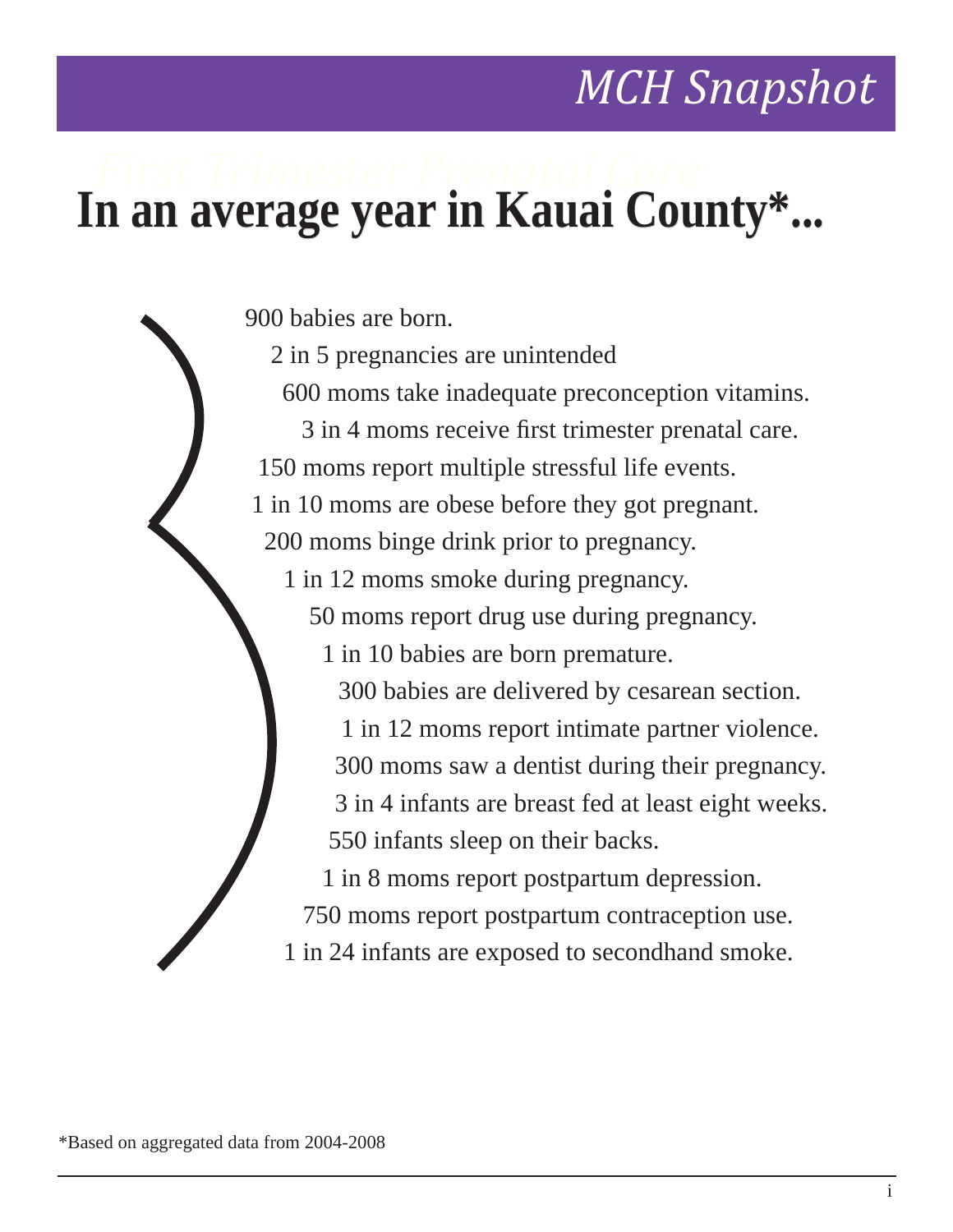## *MCH Snapshot*

### *First Trimester Prenatal Care* **In an average year in Kauai County\*... n an average year in Kauai County\* ...**

900 babies are born.

 2 in 5 pregnancies are unintended 600 moms take inadequate preconception vitamins. 3 in 4 moms receive first trimester prenatal care. 150 moms report multiple stressful life events. 1 in 10 moms are obese before they got pregnant. 200 moms binge drink prior to pregnancy. 1 in 12 moms smoke during pregnancy. 50 moms report drug use during pregnancy. 1 in 10 babies are born premature. 300 babies are delivered by cesarean section. 1 in 12 moms report intimate partner violence. 300 moms saw a dentist during their pregnancy. 3 in 4 infants are breast fed at least eight weeks. 550 infants sleep on their backs. 1 in 8 moms report postpartum depression. 750 moms report postpartum contraception use. 1 in 24 infants are exposed to secondhand smoke.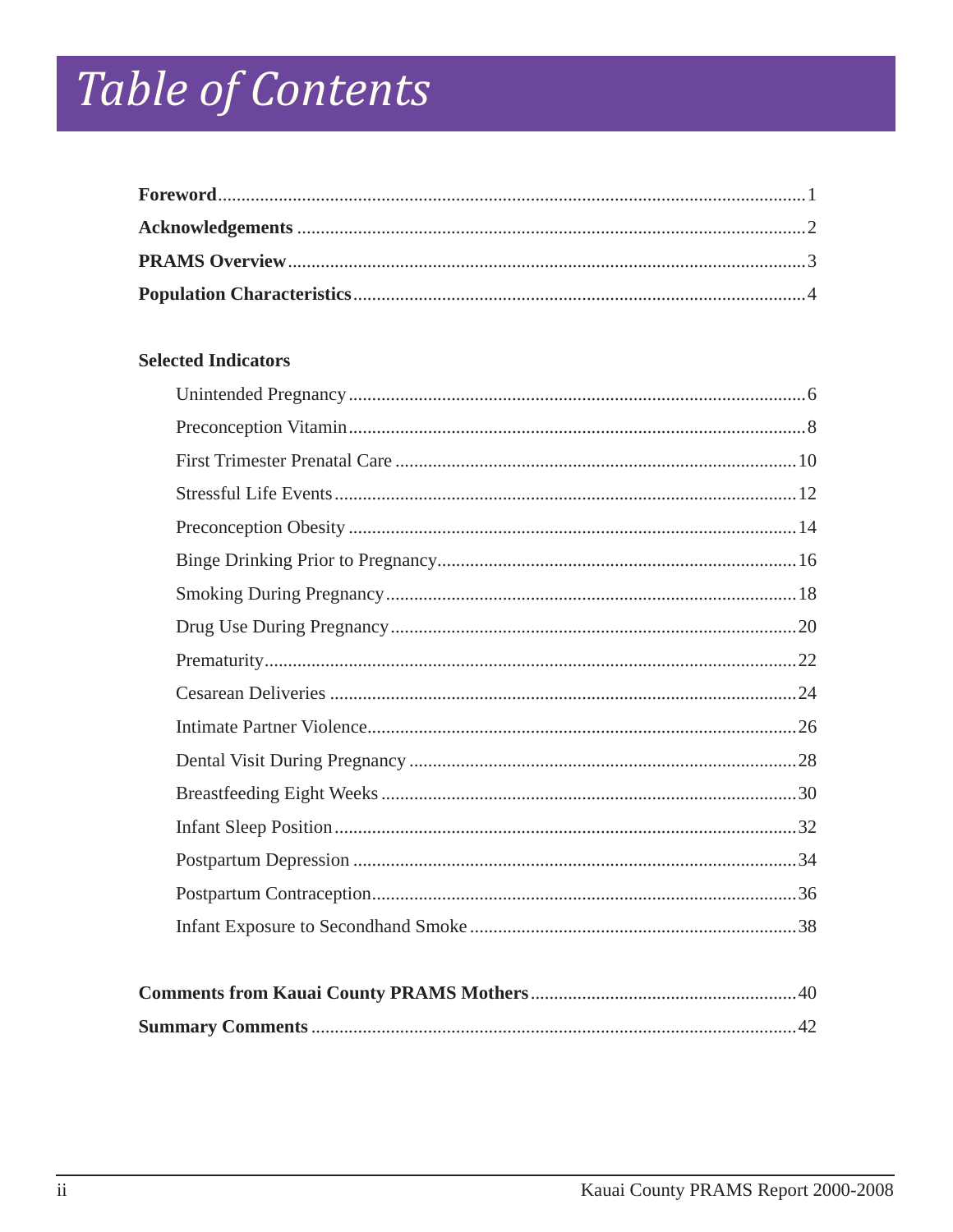## Table of Contents

#### **Selected Indicators**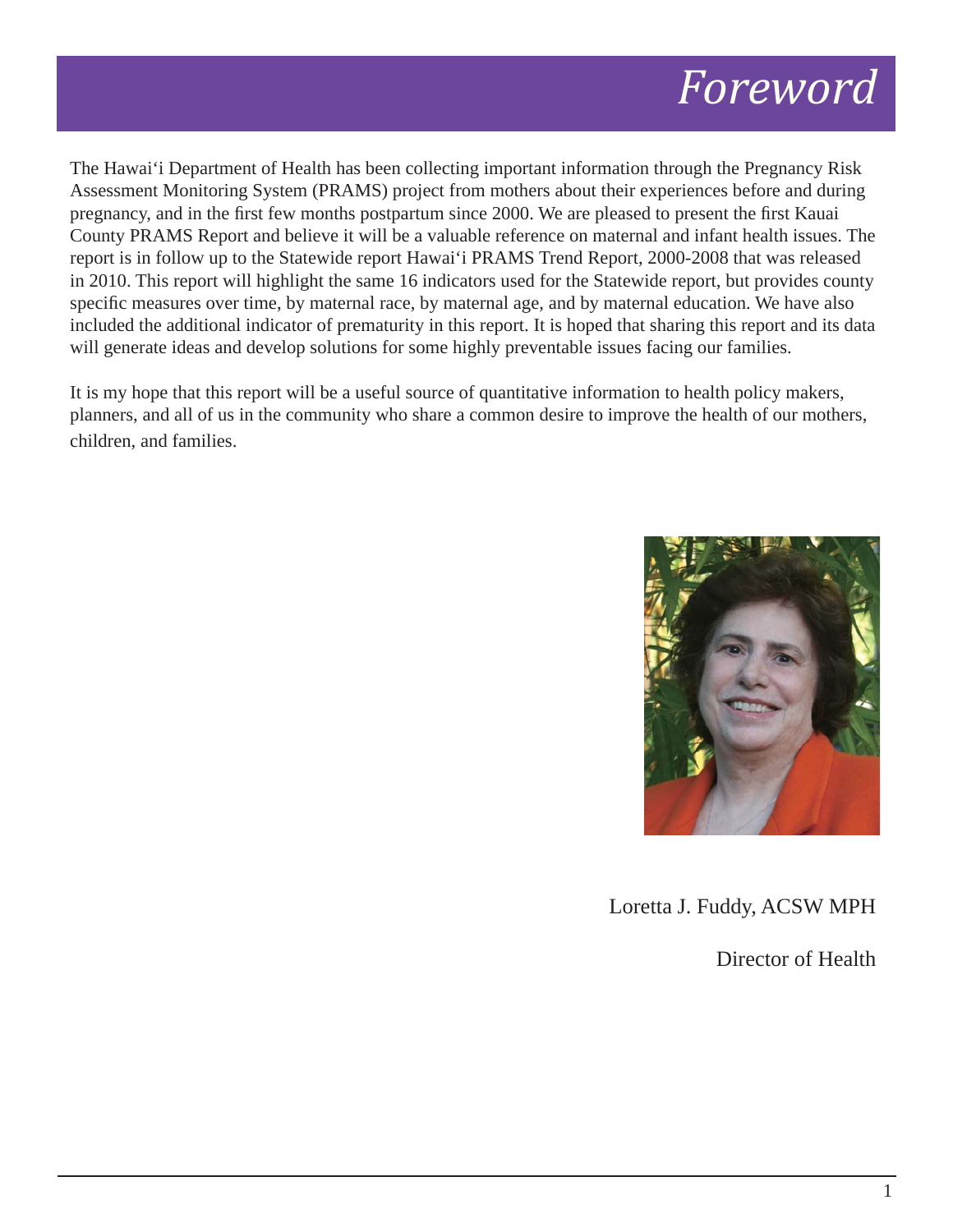### *Foreword*

The Hawai'i Department of Health has been collecting important information through the Pregnancy Risk Assessment Monitoring System (PRAMS) project from mothers about their experiences before and during pregnancy, and in the first few months postpartum since 2000. We are pleased to present the first Kauai County PRAMS Report and believe it will be a valuable reference on maternal and infant health issues. The report is in follow up to the Statewide report Hawai'i PRAMS Trend Report, 2000-2008 that was released in 2010. This report will highlight the same 16 indicators used for the Statewide report, but provides county specific measures over time, by maternal race, by maternal age, and by maternal education. We have also included the additional indicator of prematurity in this report. It is hoped that sharing this report and its data will generate ideas and develop solutions for some highly preventable issues facing our families.

It is my hope that this report will be a useful source of quantitative information to health policy makers, planners, and all of us in the community who share a common desire to improve the health of our mothers, children, and families.



Loretta J. Fuddy, ACSW MPH

Director of Health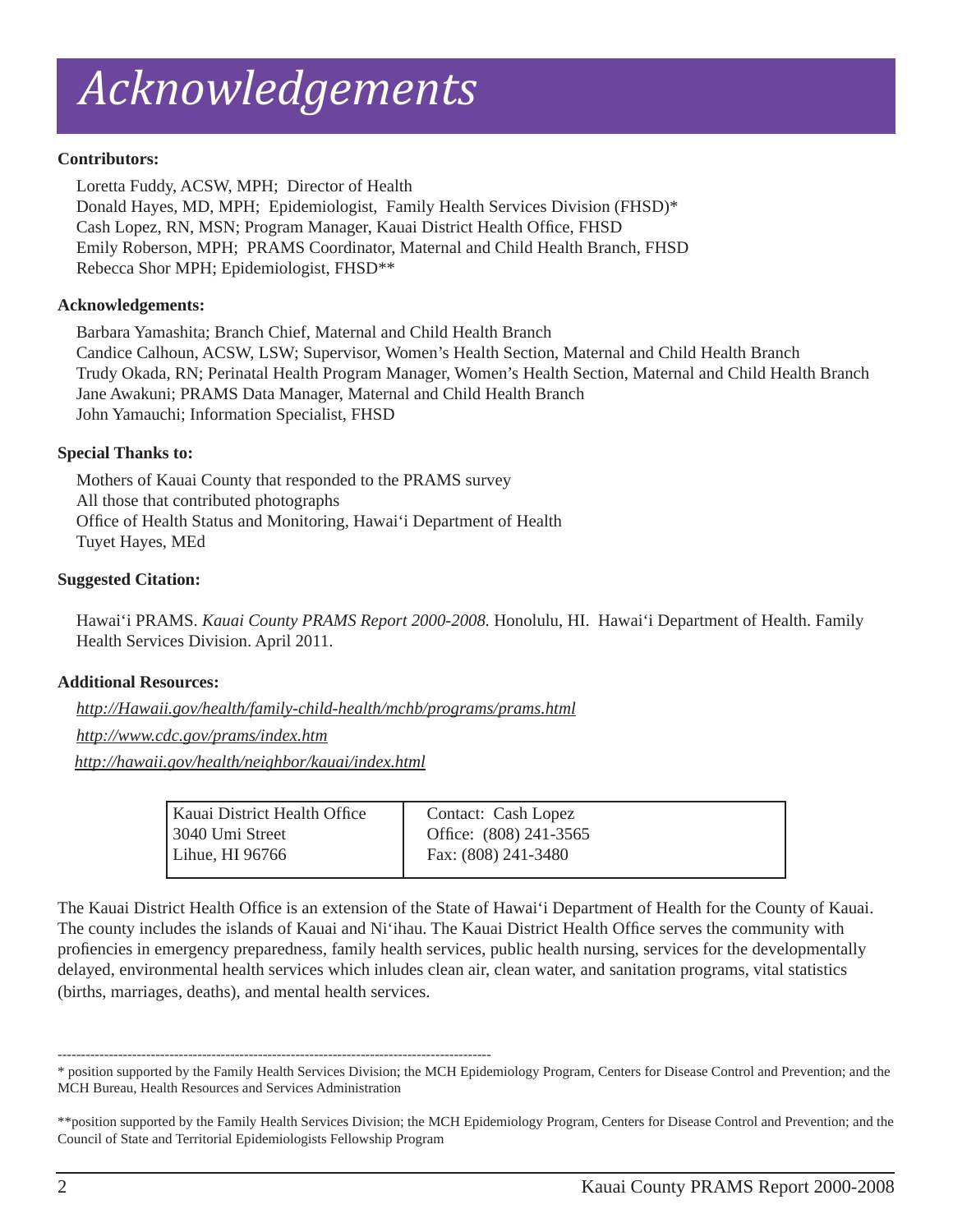### *Acknowledgements*

#### **Contributors:**

Loretta Fuddy, ACSW, MPH; Director of Health Donald Hayes, MD, MPH; Epidemiologist, Family Health Services Division (FHSD)\* Cash Lopez, RN, MSN; Program Manager, Kauai District Health Office, FHSD Emily Roberson, MPH; PRAMS Coordinator, Maternal and Child Health Branch, FHSD Rebecca Shor MPH; Epidemiologist, FHSD\*\*

#### **Acknowledgements:**

Barbara Yamashita; Branch Chief, Maternal and Child Health Branch Candice Calhoun, ACSW, LSW; Supervisor, Women's Health Section, Maternal and Child Health Branch Trudy Okada, RN; Perinatal Health Program Manager, Women's Health Section, Maternal and Child Health Branch Jane Awakuni; PRAMS Data Manager, Maternal and Child Health Branch John Yamauchi; Information Specialist, FHSD

#### **Special Thanks to:**

Mothers of Kauai County that responded to the PRAMS survey All those that contributed photographs Office of Health Status and Monitoring, Hawai'i Department of Health Tuyet Hayes, MEd

#### **Suggested Citation:**

Hawai'i PRAMS. *Kauai County PRAMS Report 2000-2008.* Honolulu, HI. Hawai'i Department of Health. Family Health Services Division. April 2011.

#### **Additional Resources:**

*http://Hawaii.gov/health/family-child-health/mchb/programs/prams.html http://www.cdc.gov/prams/index.htm http://hawaii.gov/health/neighbor/kauai/index.html*

| Kauai District Health Office | Contact: Cash Lopez    |
|------------------------------|------------------------|
| 3040 Umi Street              | Office: (808) 241-3565 |
| Lihue, HI $96766$            | Fax: (808) 241-3480    |
|                              |                        |

The Kauai District Health Office is an extension of the State of Hawai'i Department of Health for the County of Kauai. The county includes the islands of Kauai and Ni'ihau. The Kauai District Health Office serves the community with profiencies in emergency preparedness, family health services, public health nursing, services for the developmentally delayed, environmental health services which inludes clean air, clean water, and sanitation programs, vital statistics (births, marriages, deaths), and mental health services.

<sup>---------------------------------------------------------------------------------------------</sup> \* position supported by the Family Health Services Division; the MCH Epidemiology Program, Centers for Disease Control and Prevention; and the MCH Bureau, Health Resources and Services Administration

<sup>\*\*</sup>position supported by the Family Health Services Division; the MCH Epidemiology Program, Centers for Disease Control and Prevention; and the Council of State and Territorial Epidemiologists Fellowship Program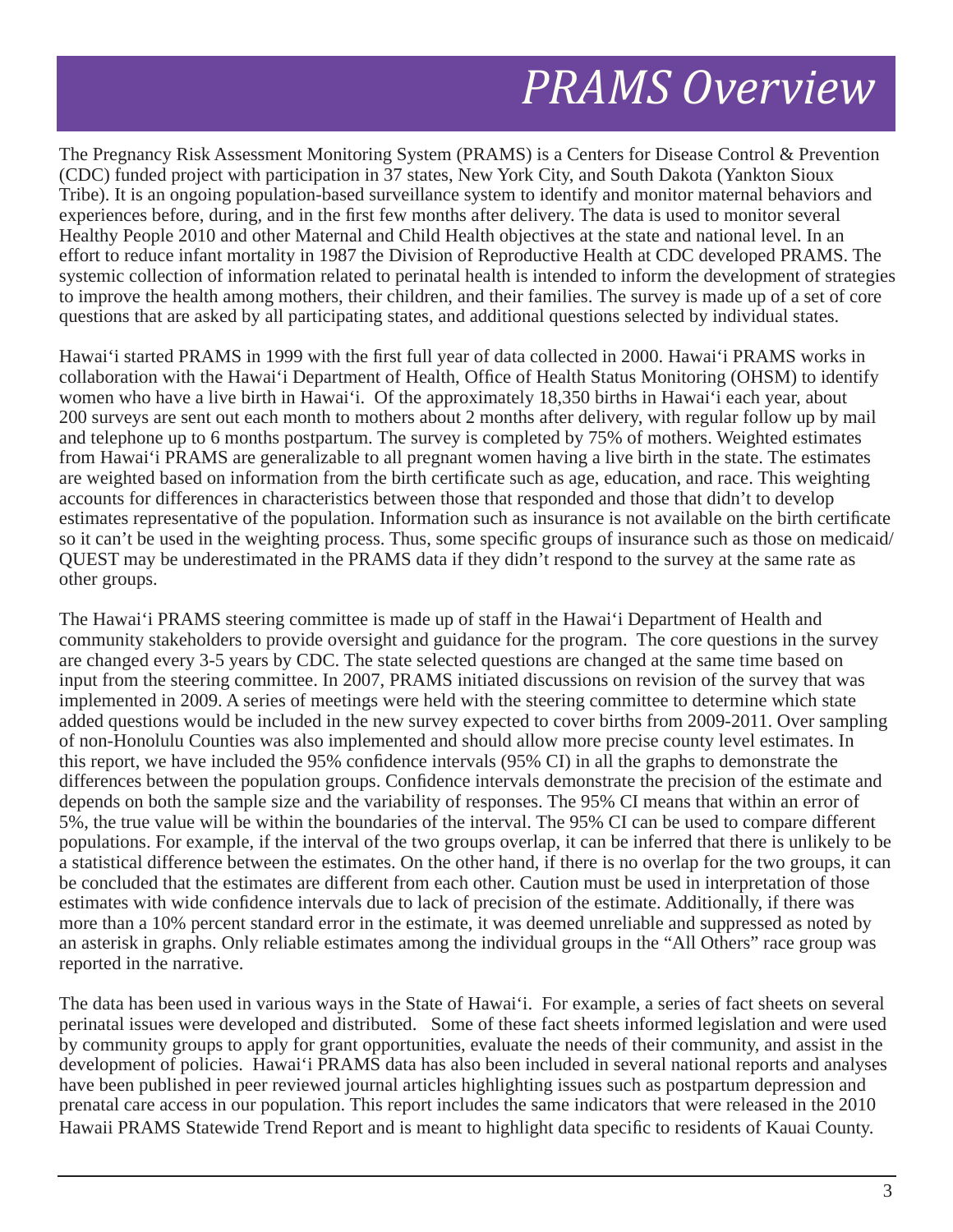### *PRAMS Overview*

The Pregnancy Risk Assessment Monitoring System (PRAMS) is a Centers for Disease Control & Prevention (CDC) funded project with participation in 37 states, New York City, and South Dakota (Yankton Sioux Tribe). It is an ongoing population-based surveillance system to identify and monitor maternal behaviors and experiences before, during, and in the first few months after delivery. The data is used to monitor several Healthy People 2010 and other Maternal and Child Health objectives at the state and national level. In an effort to reduce infant mortality in 1987 the Division of Reproductive Health at CDC developed PRAMS. The systemic collection of information related to perinatal health is intended to inform the development of strategies to improve the health among mothers, their children, and their families. The survey is made up of a set of core questions that are asked by all participating states, and additional questions selected by individual states.

Hawai'i started PRAMS in 1999 with the first full year of data collected in 2000. Hawai'i PRAMS works in collaboration with the Hawai'i Department of Health, Office of Health Status Monitoring (OHSM) to identify women who have a live birth in Hawai'i. Of the approximately 18,350 births in Hawai'i each year, about 200 surveys are sent out each month to mothers about 2 months after delivery, with regular follow up by mail and telephone up to 6 months postpartum. The survey is completed by 75% of mothers. Weighted estimates from Hawai'i PRAMS are generalizable to all pregnant women having a live birth in the state. The estimates are weighted based on information from the birth certificate such as age, education, and race. This weighting accounts for differences in characteristics between those that responded and those that didn't to develop estimates representative of the population. Information such as insurance is not available on the birth certificate so it can't be used in the weighting process. Thus, some specific groups of insurance such as those on medicaid/ QUEST may be underestimated in the PRAMS data if they didn't respond to the survey at the same rate as other groups.

The Hawai'i PRAMS steering committee is made up of staff in the Hawai'i Department of Health and community stakeholders to provide oversight and guidance for the program. The core questions in the survey are changed every 3-5 years by CDC. The state selected questions are changed at the same time based on input from the steering committee. In 2007, PRAMS initiated discussions on revision of the survey that was implemented in 2009. A series of meetings were held with the steering committee to determine which state added questions would be included in the new survey expected to cover births from 2009-2011. Over sampling of non-Honolulu Counties was also implemented and should allow more precise county level estimates. In this report, we have included the 95% confidence intervals (95% CI) in all the graphs to demonstrate the differences between the population groups. Confidence intervals demonstrate the precision of the estimate and depends on both the sample size and the variability of responses. The 95% CI means that within an error of 5%, the true value will be within the boundaries of the interval. The 95% CI can be used to compare different populations. For example, if the interval of the two groups overlap, it can be inferred that there is unlikely to be a statistical difference between the estimates. On the other hand, if there is no overlap for the two groups, it can be concluded that the estimates are different from each other. Caution must be used in interpretation of those estimates with wide confidence intervals due to lack of precision of the estimate. Additionally, if there was more than a 10% percent standard error in the estimate, it was deemed unreliable and suppressed as noted by an asterisk in graphs. Only reliable estimates among the individual groups in the "All Others" race group was reported in the narrative.

The data has been used in various ways in the State of Hawai'i. For example, a series of fact sheets on several perinatal issues were developed and distributed. Some of these fact sheets informed legislation and were used by community groups to apply for grant opportunities, evaluate the needs of their community, and assist in the development of policies. Hawai'i PRAMS data has also been included in several national reports and analyses have been published in peer reviewed journal articles highlighting issues such as postpartum depression and prenatal care access in our population. This report includes the same indicators that were released in the 2010 Hawaii PRAMS Statewide Trend Report and is meant to highlight data specific to residents of Kauai County.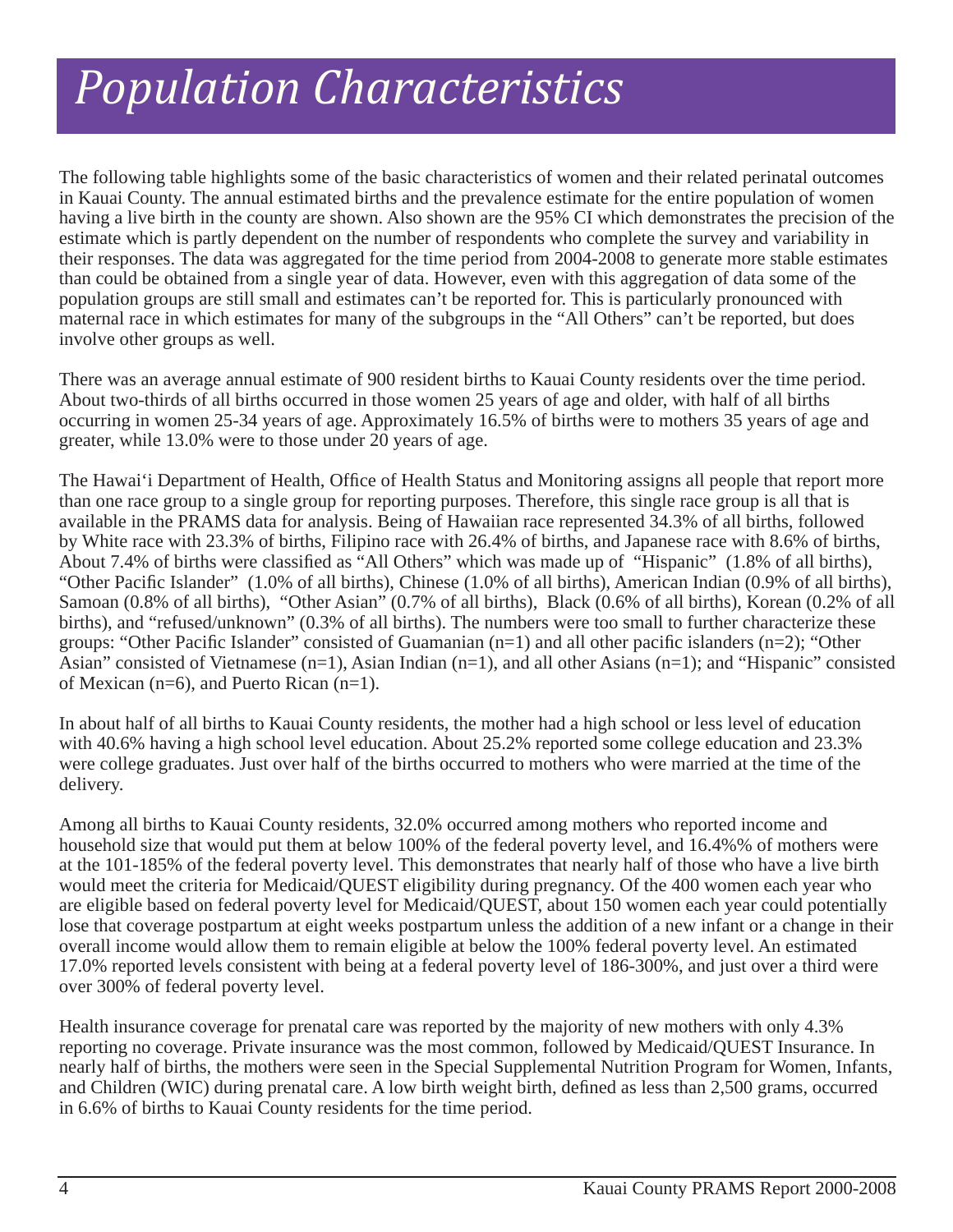### *Population Characteristics*

The following table highlights some of the basic characteristics of women and their related perinatal outcomes in Kauai County. The annual estimated births and the prevalence estimate for the entire population of women having a live birth in the county are shown. Also shown are the 95% CI which demonstrates the precision of the estimate which is partly dependent on the number of respondents who complete the survey and variability in their responses. The data was aggregated for the time period from 2004-2008 to generate more stable estimates than could be obtained from a single year of data. However, even with this aggregation of data some of the population groups are still small and estimates can't be reported for. This is particularly pronounced with maternal race in which estimates for many of the subgroups in the "All Others" can't be reported, but does involve other groups as well.

There was an average annual estimate of 900 resident births to Kauai County residents over the time period. About two-thirds of all births occurred in those women 25 years of age and older, with half of all births occurring in women 25-34 years of age. Approximately 16.5% of births were to mothers 35 years of age and greater, while 13.0% were to those under 20 years of age.

The Hawai'i Department of Health, Office of Health Status and Monitoring assigns all people that report more than one race group to a single group for reporting purposes. Therefore, this single race group is all that is available in the PRAMS data for analysis. Being of Hawaiian race represented 34.3% of all births, followed by White race with 23.3% of births, Filipino race with 26.4% of births, and Japanese race with 8.6% of births, About 7.4% of births were classified as "All Others" which was made up of "Hispanic" (1.8% of all births), "Other Pacific Islander" (1.0% of all births), Chinese (1.0% of all births), American Indian (0.9% of all births), Samoan (0.8% of all births), "Other Asian" (0.7% of all births), Black (0.6% of all births), Korean (0.2% of all births), and "refused/unknown" (0.3% of all births). The numbers were too small to further characterize these groups: "Other Pacific Islander" consisted of Guamanian  $(n=1)$  and all other pacific islanders  $(n=2)$ ; "Other Asian" consisted of Vietnamese (n=1), Asian Indian (n=1), and all other Asians (n=1); and "Hispanic" consisted of Mexican (n=6), and Puerto Rican (n=1).

In about half of all births to Kauai County residents, the mother had a high school or less level of education with 40.6% having a high school level education. About 25.2% reported some college education and 23.3% were college graduates. Just over half of the births occurred to mothers who were married at the time of the delivery.

Among all births to Kauai County residents, 32.0% occurred among mothers who reported income and household size that would put them at below 100% of the federal poverty level, and 16.4%% of mothers were at the 101-185% of the federal poverty level. This demonstrates that nearly half of those who have a live birth would meet the criteria for Medicaid/QUEST eligibility during pregnancy. Of the 400 women each year who are eligible based on federal poverty level for Medicaid/QUEST, about 150 women each year could potentially lose that coverage postpartum at eight weeks postpartum unless the addition of a new infant or a change in their overall income would allow them to remain eligible at below the 100% federal poverty level. An estimated 17.0% reported levels consistent with being at a federal poverty level of 186-300%, and just over a third were over 300% of federal poverty level.

Health insurance coverage for prenatal care was reported by the majority of new mothers with only 4.3% reporting no coverage. Private insurance was the most common, followed by Medicaid/QUEST Insurance. In nearly half of births, the mothers were seen in the Special Supplemental Nutrition Program for Women, Infants, and Children (WIC) during prenatal care. A low birth weight birth, defined as less than 2,500 grams, occurred in 6.6% of births to Kauai County residents for the time period.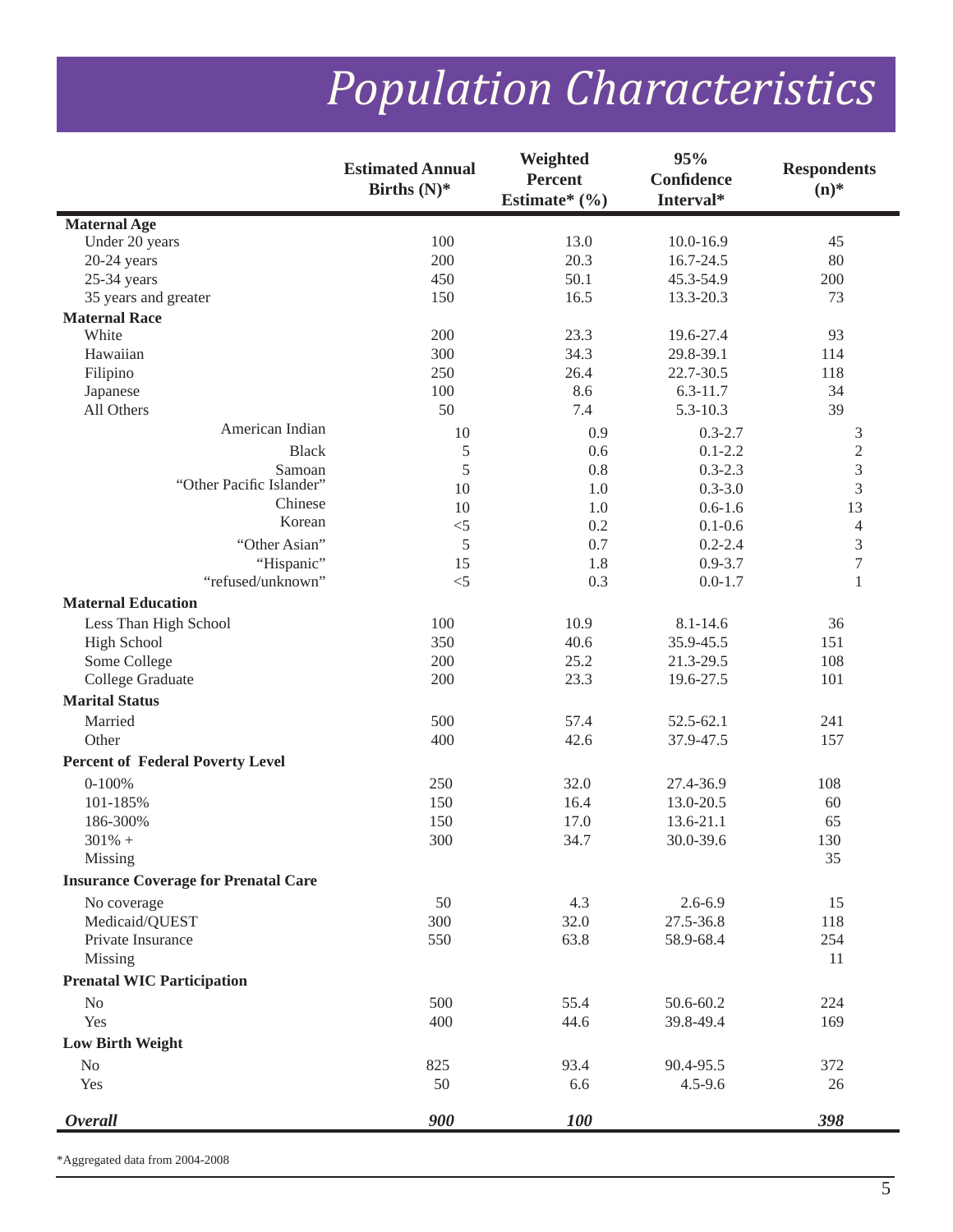## *Population Characteristics*

|                                             | <b>Estimated Annual</b><br>Births $(N)^*$ | Weighted<br><b>Percent</b><br>Estimate* $(\% )$ | 95%<br><b>Confidence</b><br><b>Interval*</b> | <b>Respondents</b><br>$(n)$ * |
|---------------------------------------------|-------------------------------------------|-------------------------------------------------|----------------------------------------------|-------------------------------|
| <b>Maternal Age</b>                         |                                           |                                                 |                                              |                               |
| Under 20 years                              | 100                                       | 13.0                                            | $10.0 - 16.9$                                | 45                            |
| $20-24$ years                               | 200                                       | 20.3                                            | 16.7-24.5                                    | 80                            |
| 25-34 years                                 | 450                                       | 50.1                                            | 45.3-54.9                                    | 200                           |
| 35 years and greater                        | 150                                       | 16.5                                            | 13.3-20.3                                    | 73                            |
| <b>Maternal Race</b>                        |                                           |                                                 |                                              |                               |
| White                                       | 200                                       | 23.3                                            | 19.6-27.4                                    | 93                            |
| Hawaiian                                    | 300                                       | 34.3                                            | 29.8-39.1                                    | 114                           |
| Filipino                                    | 250                                       | 26.4                                            | 22.7-30.5                                    | 118                           |
| Japanese                                    | 100                                       | 8.6                                             | $6.3 - 11.7$                                 | 34                            |
| All Others                                  | 50                                        | 7.4                                             | $5.3 - 10.3$                                 | 39                            |
| American Indian                             | 10                                        | 0.9                                             | $0.3 - 2.7$                                  | 3                             |
| <b>Black</b>                                | 5                                         | 0.6                                             | $0.1 - 2.2$                                  | $\overline{c}$                |
| Samoan                                      | 5                                         | 0.8                                             | $0.3 - 2.3$                                  | 3                             |
| "Other Pacific Islander"                    | 10                                        | 1.0                                             | $0.3 - 3.0$                                  | 3                             |
| Chinese                                     | 10                                        | $1.0\,$                                         | $0.6 - 1.6$                                  | 13                            |
| Korean                                      | $<$ 5                                     | 0.2                                             | $0.1 - 0.6$                                  | $\overline{4}$                |
| "Other Asian"                               | 5                                         | 0.7                                             | $0.2 - 2.4$                                  | 3                             |
| "Hispanic"                                  | 15                                        | 1.8                                             | $0.9 - 3.7$                                  | 7                             |
| "refused/unknown"                           | $<$ 5                                     | 0.3                                             | $0.0 - 1.7$                                  | 1                             |
| <b>Maternal Education</b>                   |                                           |                                                 |                                              |                               |
| Less Than High School                       | 100                                       | 10.9                                            | $8.1 - 14.6$                                 | 36                            |
| <b>High School</b>                          | 350                                       | 40.6                                            | 35.9-45.5                                    | 151                           |
| Some College                                | 200                                       | 25.2                                            | 21.3-29.5                                    | 108                           |
| College Graduate                            | 200                                       | 23.3                                            | 19.6-27.5                                    | 101                           |
| <b>Marital Status</b>                       |                                           |                                                 |                                              |                               |
| Married                                     | 500                                       | 57.4                                            | 52.5-62.1                                    | 241                           |
| Other                                       | 400                                       | 42.6                                            | 37.9-47.5                                    | 157                           |
| <b>Percent of Federal Poverty Level</b>     |                                           |                                                 |                                              |                               |
| $0 - 100%$                                  | 250                                       | 32.0                                            | 27.4-36.9                                    | 108                           |
| 101-185%                                    | 150                                       | 16.4                                            | 13.0-20.5                                    | 60                            |
| 186-300%                                    | 150                                       | 17.0                                            | 13.6-21.1                                    | 65                            |
| $301\% +$                                   | 300                                       | 34.7                                            | 30.0-39.6                                    | 130                           |
| Missing                                     |                                           |                                                 |                                              | 35                            |
| <b>Insurance Coverage for Prenatal Care</b> |                                           |                                                 |                                              |                               |
| No coverage                                 | 50                                        | 4.3                                             | $2.6 - 6.9$                                  | 15                            |
| Medicaid/QUEST                              | 300                                       | 32.0                                            | 27.5-36.8                                    | 118                           |
| Private Insurance                           | 550                                       | 63.8                                            | 58.9-68.4                                    | 254                           |
| Missing                                     |                                           |                                                 |                                              | 11                            |
| <b>Prenatal WIC Participation</b>           |                                           |                                                 |                                              |                               |
| No                                          | 500                                       | 55.4                                            | 50.6-60.2                                    | 224                           |
| Yes                                         | 400                                       | 44.6                                            | 39.8-49.4                                    | 169                           |
| <b>Low Birth Weight</b>                     |                                           |                                                 |                                              |                               |
| N <sub>o</sub>                              | 825                                       | 93.4                                            | 90.4-95.5                                    | 372                           |
| Yes                                         | 50                                        | 6.6                                             | $4.5 - 9.6$                                  | 26                            |
|                                             |                                           |                                                 |                                              |                               |
| <b>Overall</b>                              | 900                                       | 100                                             |                                              | 398                           |

\*Aggregated data from 2004-2008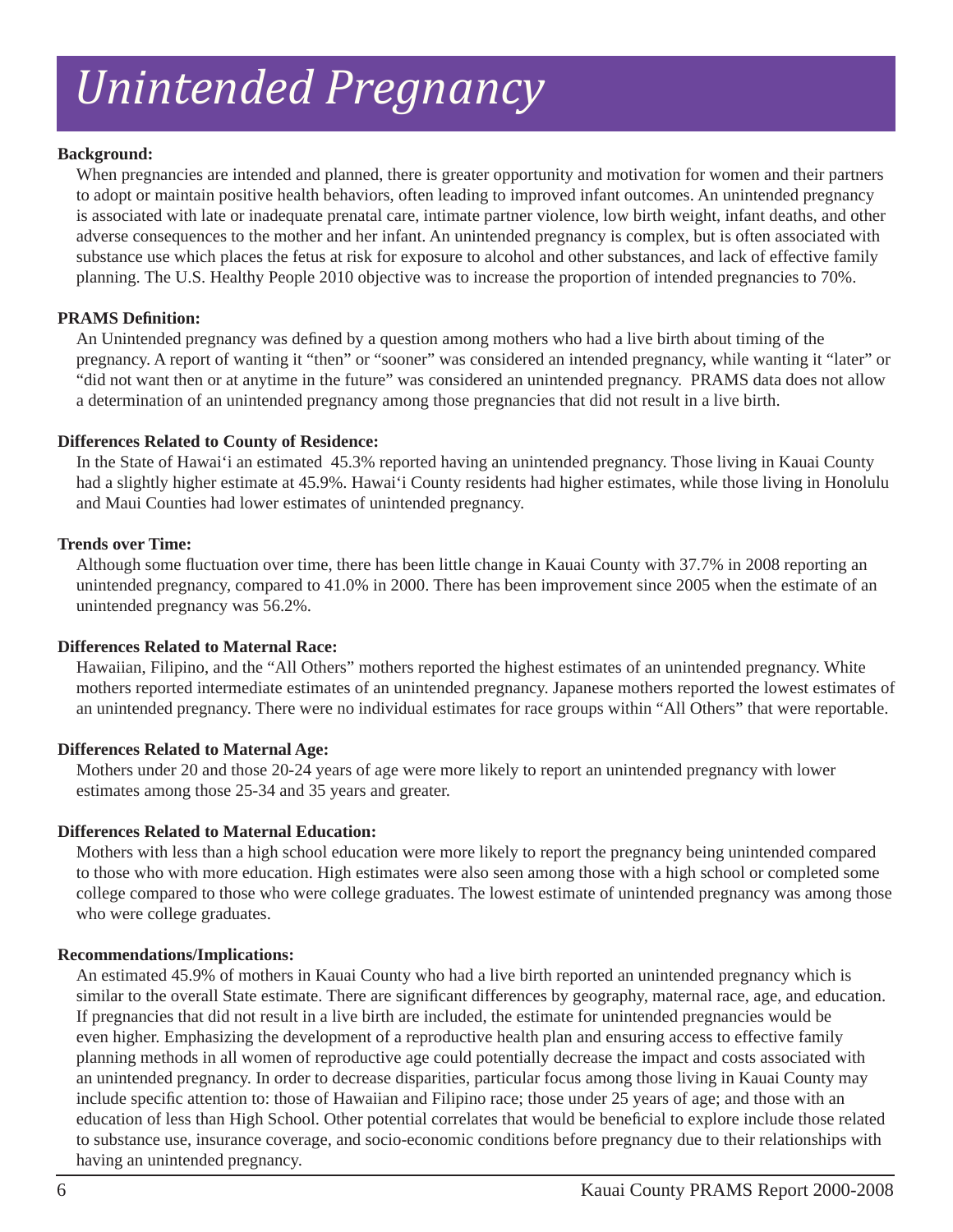### *Unintended Pregnancy*

#### **Background:**

When pregnancies are intended and planned, there is greater opportunity and motivation for women and their partners to adopt or maintain positive health behaviors, often leading to improved infant outcomes. An unintended pregnancy is associated with late or inadequate prenatal care, intimate partner violence, low birth weight, infant deaths, and other adverse consequences to the mother and her infant. An unintended pregnancy is complex, but is often associated with substance use which places the fetus at risk for exposure to alcohol and other substances, and lack of effective family planning. The U.S. Healthy People 2010 objective was to increase the proportion of intended pregnancies to 70%.

#### **PRAMS Definition:**

An Unintended pregnancy was defined by a question among mothers who had a live birth about timing of the pregnancy. A report of wanting it "then" or "sooner" was considered an intended pregnancy, while wanting it "later" or "did not want then or at anytime in the future" was considered an unintended pregnancy. PRAMS data does not allow a determination of an unintended pregnancy among those pregnancies that did not result in a live birth.

#### **Differences Related to County of Residence:**

In the State of Hawai'i an estimated 45.3% reported having an unintended pregnancy. Those living in Kauai County had a slightly higher estimate at 45.9%. Hawai'i County residents had higher estimates, while those living in Honolulu and Maui Counties had lower estimates of unintended pregnancy.

#### **Trends over Time:**

Although some fluctuation over time, there has been little change in Kauai County with 37.7% in 2008 reporting an unintended pregnancy, compared to 41.0% in 2000. There has been improvement since 2005 when the estimate of an unintended pregnancy was 56.2%.

#### **Differences Related to Maternal Race:**

Hawaiian, Filipino, and the "All Others" mothers reported the highest estimates of an unintended pregnancy. White mothers reported intermediate estimates of an unintended pregnancy. Japanese mothers reported the lowest estimates of an unintended pregnancy. There were no individual estimates for race groups within "All Others" that were reportable.

#### **Differences Related to Maternal Age:**

Mothers under 20 and those 20-24 years of age were more likely to report an unintended pregnancy with lower estimates among those 25-34 and 35 years and greater.

#### **Differences Related to Maternal Education:**

Mothers with less than a high school education were more likely to report the pregnancy being unintended compared to those who with more education. High estimates were also seen among those with a high school or completed some college compared to those who were college graduates. The lowest estimate of unintended pregnancy was among those who were college graduates.

#### **Recommendations/Implications:**

An estimated 45.9% of mothers in Kauai County who had a live birth reported an unintended pregnancy which is similar to the overall State estimate. There are significant differences by geography, maternal race, age, and education. If pregnancies that did not result in a live birth are included, the estimate for unintended pregnancies would be even higher. Emphasizing the development of a reproductive health plan and ensuring access to effective family planning methods in all women of reproductive age could potentially decrease the impact and costs associated with an unintended pregnancy. In order to decrease disparities, particular focus among those living in Kauai County may include specific attention to: those of Hawaiian and Filipino race; those under 25 years of age; and those with an education of less than High School. Other potential correlates that would be beneficial to explore include those related to substance use, insurance coverage, and socio-economic conditions before pregnancy due to their relationships with having an unintended pregnancy.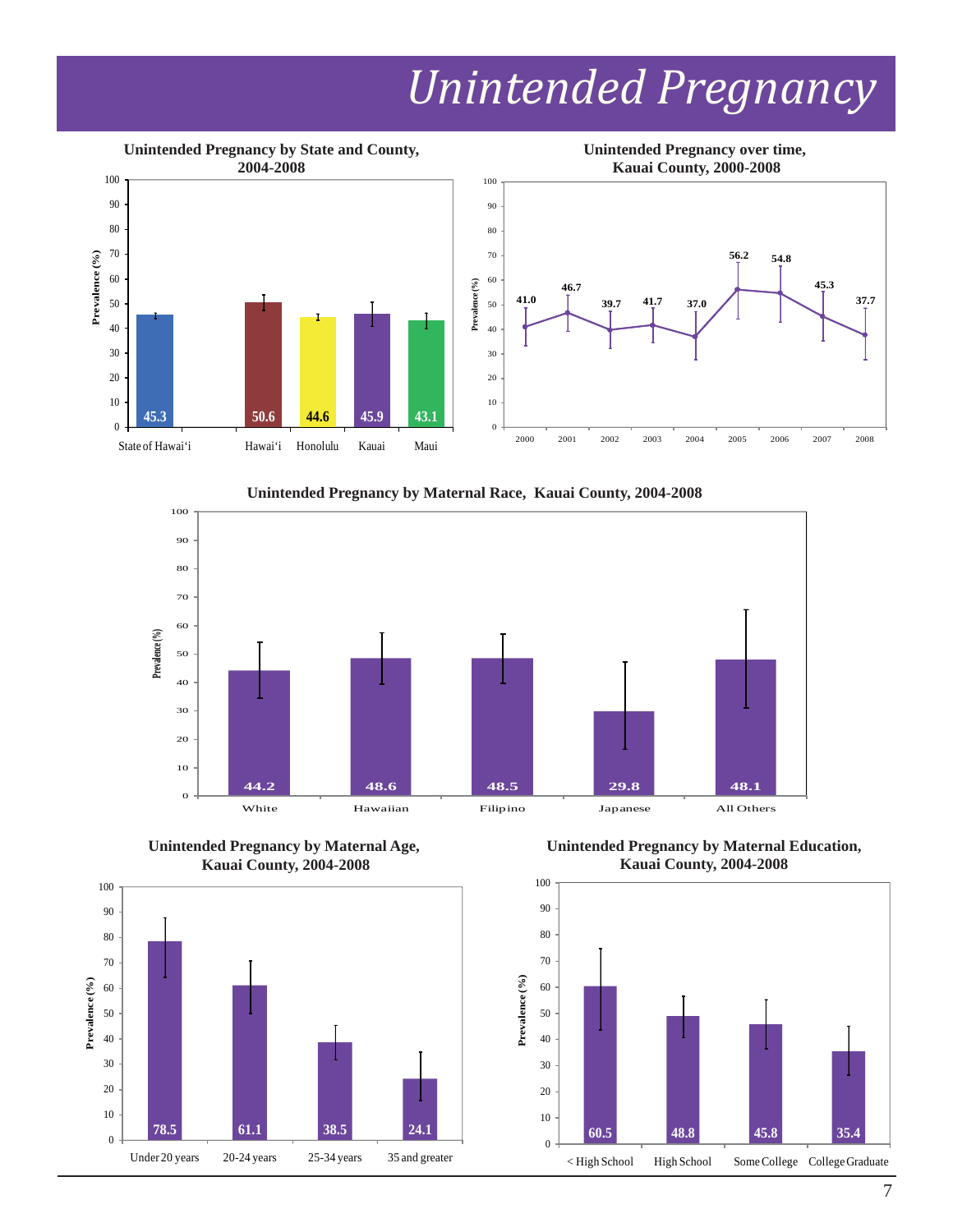## *Unintended Pregnancy*





**Unintended Pregnancy by Maternal Race, Kauai County, 2004-2008**





**Unintended Pregnancy by Maternal Education, Kauai County, 2004-2008**

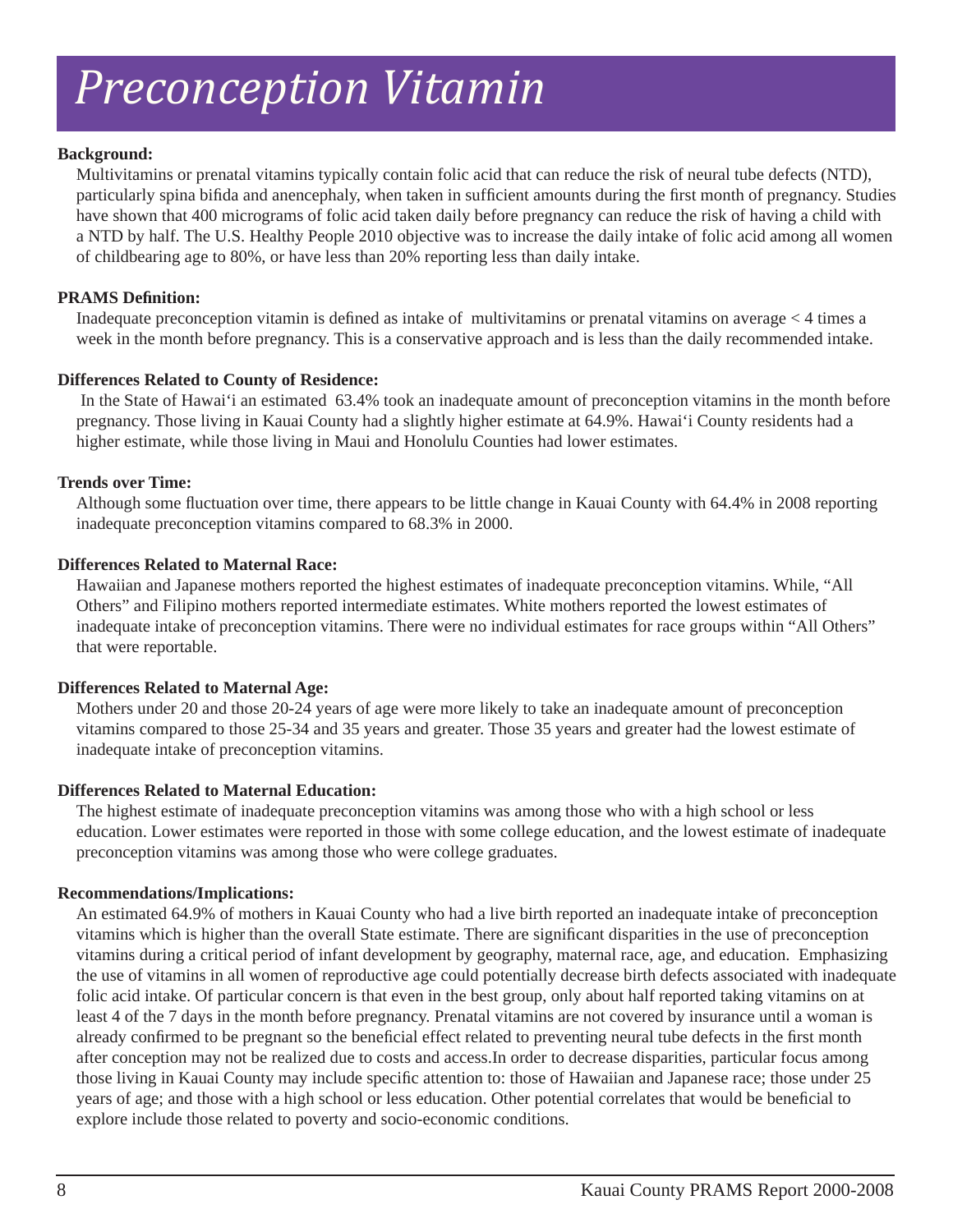### *Preconception Vitamin*

#### **Background:**

Multivitamins or prenatal vitamins typically contain folic acid that can reduce the risk of neural tube defects (NTD), particularly spina bifida and anencephaly, when taken in sufficient amounts during the first month of pregnancy. Studies have shown that 400 micrograms of folic acid taken daily before pregnancy can reduce the risk of having a child with a NTD by half. The U.S. Healthy People 2010 objective was to increase the daily intake of folic acid among all women of childbearing age to 80%, or have less than 20% reporting less than daily intake.

#### **PRAMS Definition:**

Inadequate preconception vitamin is defined as intake of multivitamins or prenatal vitamins on average  $<$  4 times a week in the month before pregnancy. This is a conservative approach and is less than the daily recommended intake.

#### **Differences Related to County of Residence:**

 In the State of Hawai'i an estimated 63.4% took an inadequate amount of preconception vitamins in the month before pregnancy. Those living in Kauai County had a slightly higher estimate at 64.9%. Hawai'i County residents had a higher estimate, while those living in Maui and Honolulu Counties had lower estimates.

#### **Trends over Time:**

Although some fluctuation over time, there appears to be little change in Kauai County with 64.4% in 2008 reporting inadequate preconception vitamins compared to 68.3% in 2000.

#### **Differences Related to Maternal Race:**

Hawaiian and Japanese mothers reported the highest estimates of inadequate preconception vitamins. While, "All Others" and Filipino mothers reported intermediate estimates. White mothers reported the lowest estimates of inadequate intake of preconception vitamins. There were no individual estimates for race groups within "All Others" that were reportable.

#### **Differences Related to Maternal Age:**

Mothers under 20 and those 20-24 years of age were more likely to take an inadequate amount of preconception vitamins compared to those 25-34 and 35 years and greater. Those 35 years and greater had the lowest estimate of inadequate intake of preconception vitamins.

#### **Differences Related to Maternal Education:**

The highest estimate of inadequate preconception vitamins was among those who with a high school or less education. Lower estimates were reported in those with some college education, and the lowest estimate of inadequate preconception vitamins was among those who were college graduates.

#### **Recommendations/Implications:**

An estimated 64.9% of mothers in Kauai County who had a live birth reported an inadequate intake of preconception vitamins which is higher than the overall State estimate. There are significant disparities in the use of preconception vitamins during a critical period of infant development by geography, maternal race, age, and education. Emphasizing the use of vitamins in all women of reproductive age could potentially decrease birth defects associated with inadequate folic acid intake. Of particular concern is that even in the best group, only about half reported taking vitamins on at least 4 of the 7 days in the month before pregnancy. Prenatal vitamins are not covered by insurance until a woman is already confirmed to be pregnant so the beneficial effect related to preventing neural tube defects in the first month after conception may not be realized due to costs and access.In order to decrease disparities, particular focus among those living in Kauai County may include specific attention to: those of Hawaiian and Japanese race; those under 25 years of age; and those with a high school or less education. Other potential correlates that would be beneficial to explore include those related to poverty and socio-economic conditions.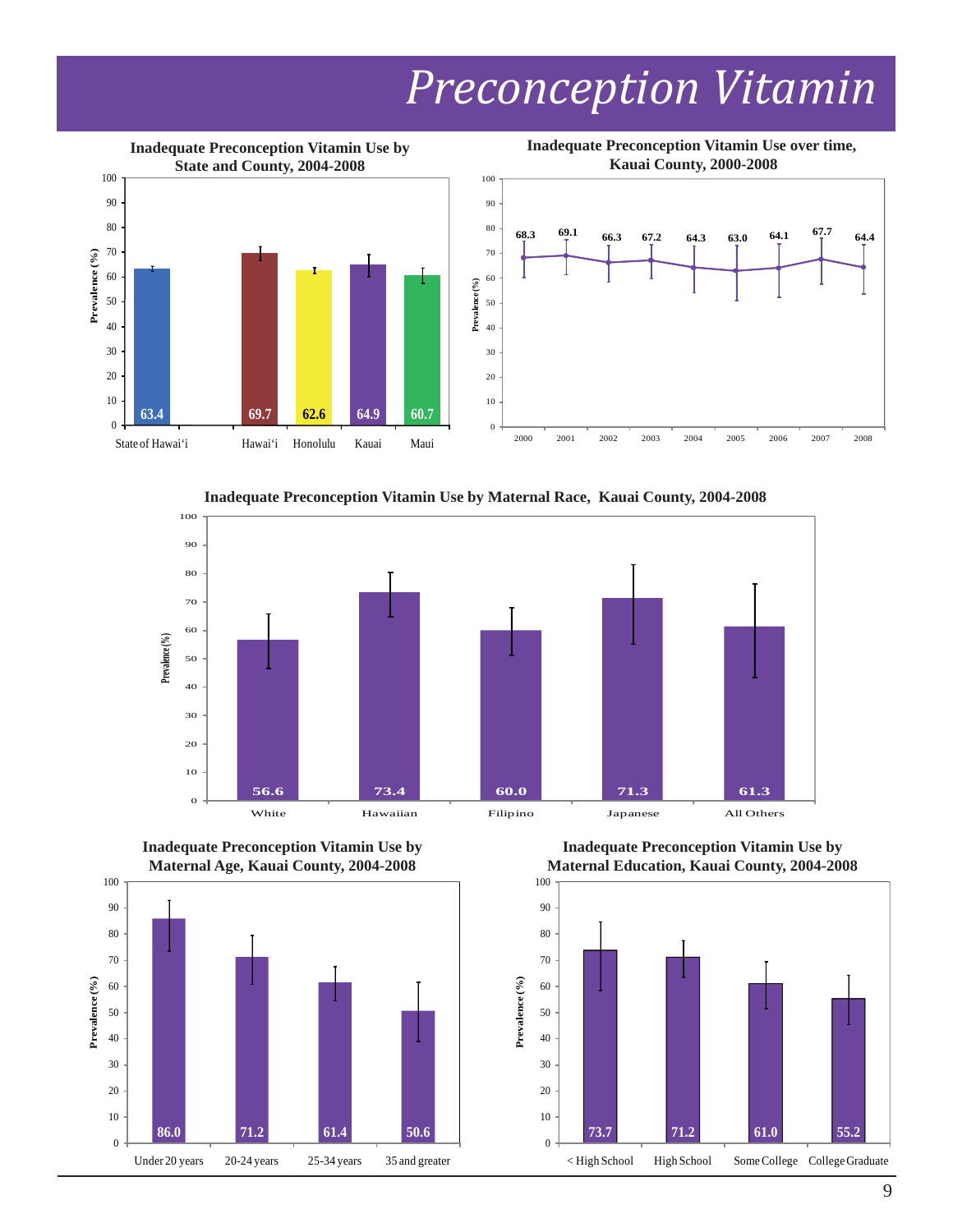### *Preconception Vitamin*



**Inadequate Preconception Vitamin Use by Maternal Race, Kauai County, 2004-2008**







**Inadequate Preconception Vitamin Use by Maternal Education, Kauai County, 2004-2008**

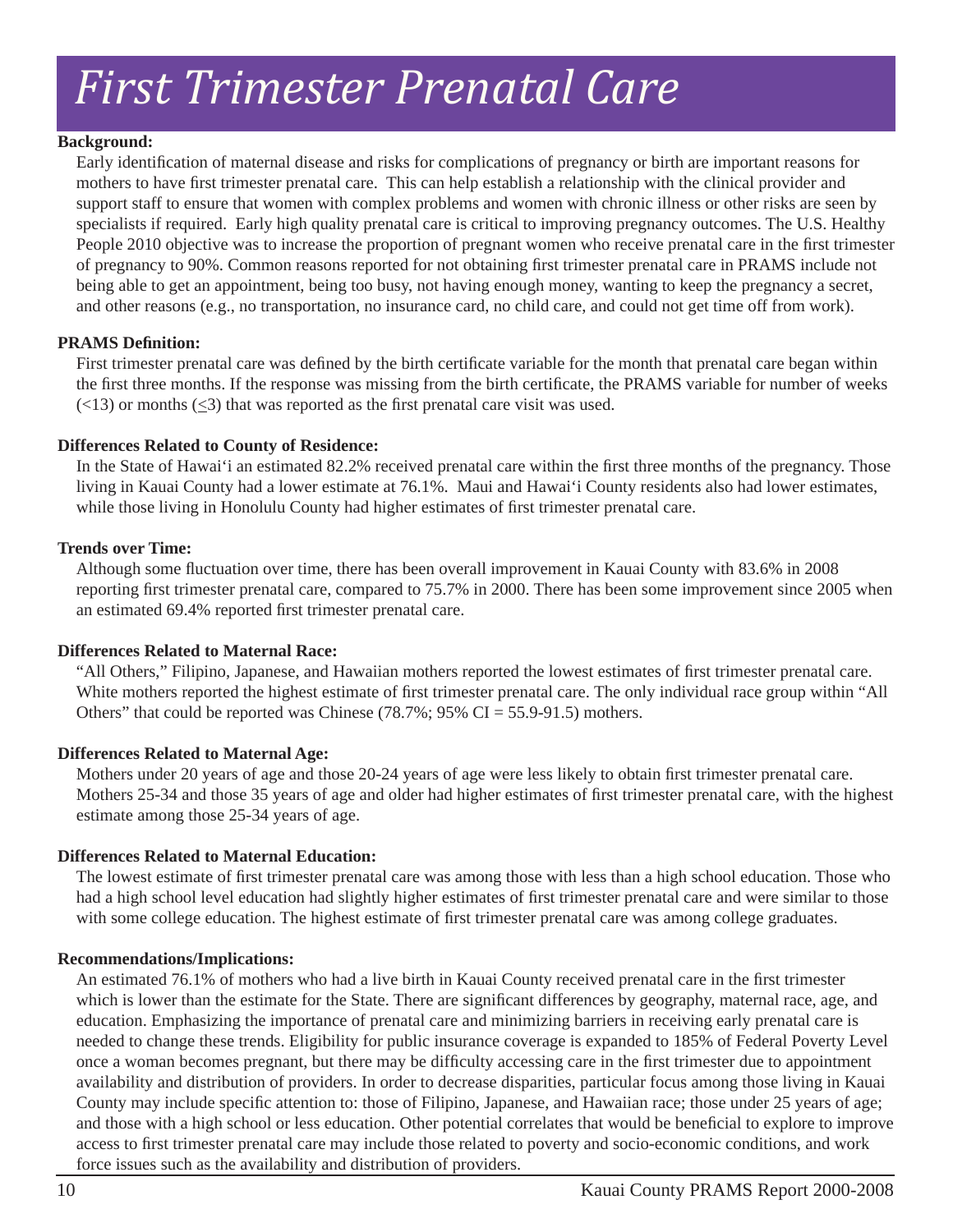### *First Trimester Prenatal Care*

#### **Background:**

Early identification of maternal disease and risks for complications of pregnancy or birth are important reasons for mothers to have first trimester prenatal care. This can help establish a relationship with the clinical provider and support staff to ensure that women with complex problems and women with chronic illness or other risks are seen by specialists if required. Early high quality prenatal care is critical to improving pregnancy outcomes. The U.S. Healthy People 2010 objective was to increase the proportion of pregnant women who receive prenatal care in the first trimester of pregnancy to 90%. Common reasons reported for not obtaining first trimester prenatal care in PRAMS include not being able to get an appointment, being too busy, not having enough money, wanting to keep the pregnancy a secret, and other reasons (e.g., no transportation, no insurance card, no child care, and could not get time off from work).

#### **PRAMS Definition:**

First trimester prenatal care was defined by the birth certificate variable for the month that prenatal care began within the first three months. If the response was missing from the birth certificate, the PRAMS variable for number of weeks  $(\leq 13)$  or months  $(\leq 3)$  that was reported as the first prenatal care visit was used.

#### **Differences Related to County of Residence:**

In the State of Hawai'i an estimated 82.2% received prenatal care within the first three months of the pregnancy. Those living in Kauai County had a lower estimate at 76.1%. Maui and Hawai'i County residents also had lower estimates, while those living in Honolulu County had higher estimates of first trimester prenatal care.

#### **Trends over Time:**

Although some fluctuation over time, there has been overall improvement in Kauai County with 83.6% in 2008 reporting first trimester prenatal care, compared to 75.7% in 2000. There has been some improvement since 2005 when an estimated 69.4% reported first trimester prenatal care.

#### **Differences Related to Maternal Race:**

"All Others," Filipino, Japanese, and Hawaiian mothers reported the lowest estimates of first trimester prenatal care. White mothers reported the highest estimate of first trimester prenatal care. The only individual race group within "All Others" that could be reported was Chinese  $(78.7\%; 95\% \text{ CI} = 55.9-91.5)$  mothers.

#### **Differences Related to Maternal Age:**

Mothers under 20 years of age and those 20-24 years of age were less likely to obtain first trimester prenatal care. Mothers 25-34 and those 35 years of age and older had higher estimates of first trimester prenatal care, with the highest estimate among those 25-34 years of age.

#### **Differences Related to Maternal Education:**

The lowest estimate of first trimester prenatal care was among those with less than a high school education. Those who had a high school level education had slightly higher estimates of first trimester prenatal care and were similar to those with some college education. The highest estimate of first trimester prenatal care was among college graduates.

#### **Recommendations/Implications:**

An estimated 76.1% of mothers who had a live birth in Kauai County received prenatal care in the first trimester which is lower than the estimate for the State. There are significant differences by geography, maternal race, age, and education. Emphasizing the importance of prenatal care and minimizing barriers in receiving early prenatal care is needed to change these trends. Eligibility for public insurance coverage is expanded to 185% of Federal Poverty Level once a woman becomes pregnant, but there may be difficulty accessing care in the first trimester due to appointment availability and distribution of providers. In order to decrease disparities, particular focus among those living in Kauai County may include specific attention to: those of Filipino, Japanese, and Hawaiian race; those under 25 years of age; and those with a high school or less education. Other potential correlates that would be beneficial to explore to improve access to first trimester prenatal care may include those related to poverty and socio-economic conditions, and work force issues such as the availability and distribution of providers.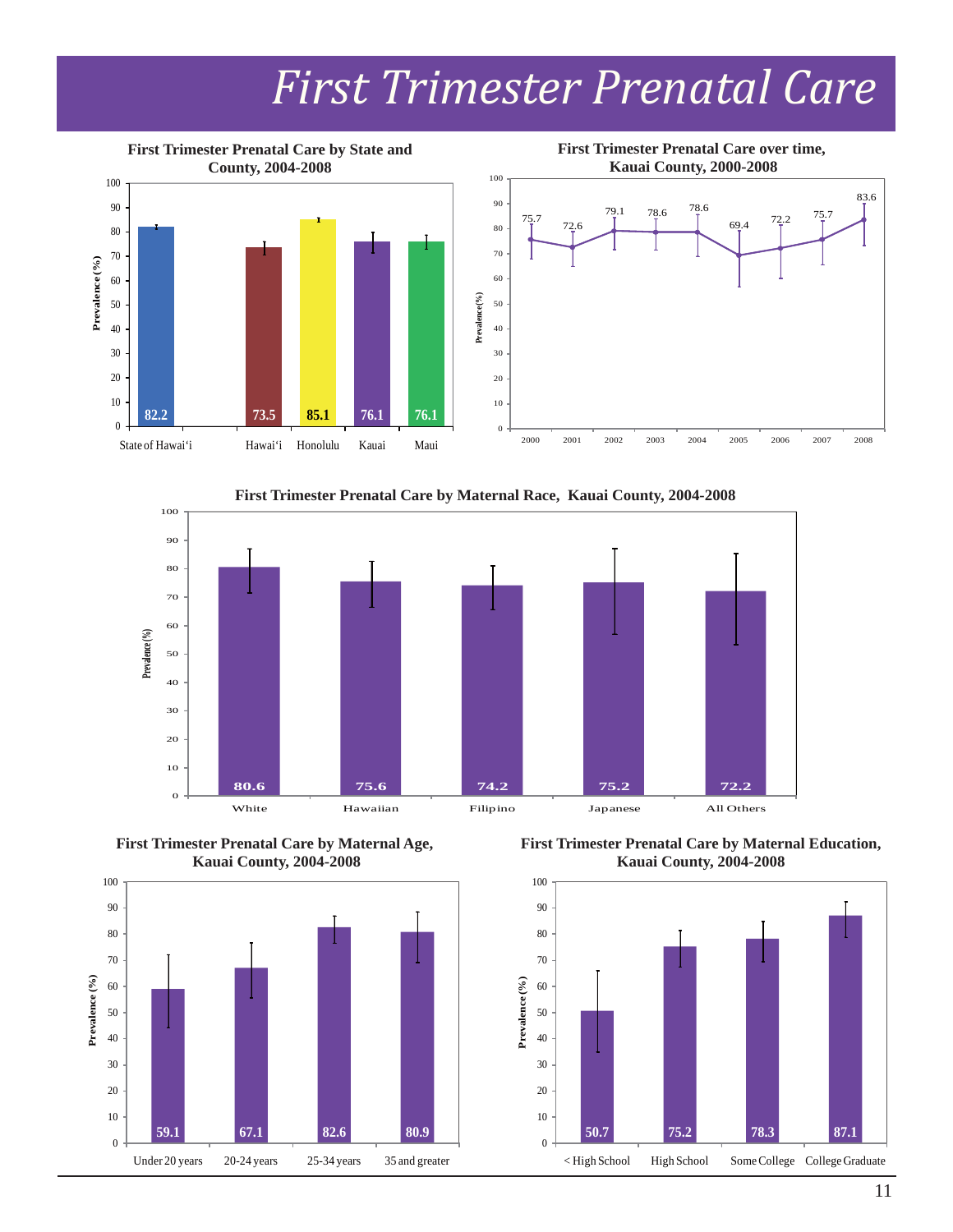### *First Trimester Prenatal Care*







**First Trimester Prenatal Care by Maternal Age, Kauai County, 2004-2008**



**First Trimester Prenatal Care by Maternal Education, Kauai County, 2004-2008**

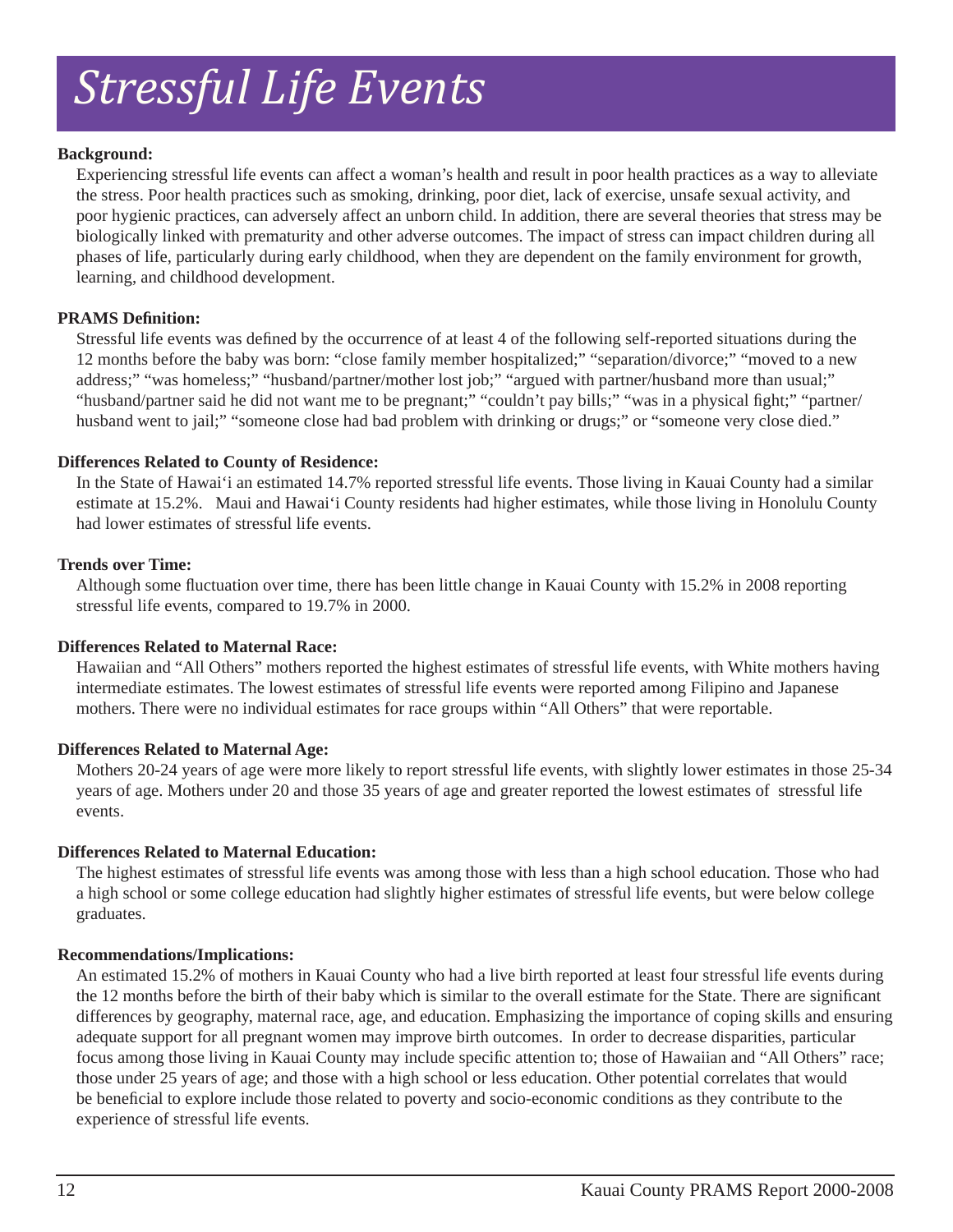## *Stressful Life Events*

#### **Background:**

Experiencing stressful life events can affect a woman's health and result in poor health practices as a way to alleviate the stress. Poor health practices such as smoking, drinking, poor diet, lack of exercise, unsafe sexual activity, and poor hygienic practices, can adversely affect an unborn child. In addition, there are several theories that stress may be biologically linked with prematurity and other adverse outcomes. The impact of stress can impact children during all phases of life, particularly during early childhood, when they are dependent on the family environment for growth, learning, and childhood development.

#### **PRAMS Definition:**

Stressful life events was defined by the occurrence of at least 4 of the following self-reported situations during the 12 months before the baby was born: "close family member hospitalized;" "separation/divorce;" "moved to a new address;" "was homeless;" "husband/partner/mother lost job;" "argued with partner/husband more than usual;" "husband/partner said he did not want me to be pregnant;" "couldn't pay bills;" "was in a physical fight;" "partner/ husband went to jail;" "someone close had bad problem with drinking or drugs;" or "someone very close died."

#### **Differences Related to County of Residence:**

In the State of Hawai'i an estimated 14.7% reported stressful life events. Those living in Kauai County had a similar estimate at 15.2%. Maui and Hawai'i County residents had higher estimates, while those living in Honolulu County had lower estimates of stressful life events.

#### **Trends over Time:**

Although some fluctuation over time, there has been little change in Kauai County with 15.2% in 2008 reporting stressful life events, compared to 19.7% in 2000.

#### **Differences Related to Maternal Race:**

Hawaiian and "All Others" mothers reported the highest estimates of stressful life events, with White mothers having intermediate estimates. The lowest estimates of stressful life events were reported among Filipino and Japanese mothers. There were no individual estimates for race groups within "All Others" that were reportable.

#### **Differences Related to Maternal Age:**

Mothers 20-24 years of age were more likely to report stressful life events, with slightly lower estimates in those 25-34 years of age. Mothers under 20 and those 35 years of age and greater reported the lowest estimates of stressful life events.

#### **Differences Related to Maternal Education:**

The highest estimates of stressful life events was among those with less than a high school education. Those who had a high school or some college education had slightly higher estimates of stressful life events, but were below college graduates.

#### **Recommendations/Implications:**

An estimated 15.2% of mothers in Kauai County who had a live birth reported at least four stressful life events during the 12 months before the birth of their baby which is similar to the overall estimate for the State. There are significant differences by geography, maternal race, age, and education. Emphasizing the importance of coping skills and ensuring adequate support for all pregnant women may improve birth outcomes. In order to decrease disparities, particular focus among those living in Kauai County may include specific attention to; those of Hawaiian and "All Others" race; those under 25 years of age; and those with a high school or less education. Other potential correlates that would be beneficial to explore include those related to poverty and socio-economic conditions as they contribute to the experience of stressful life events.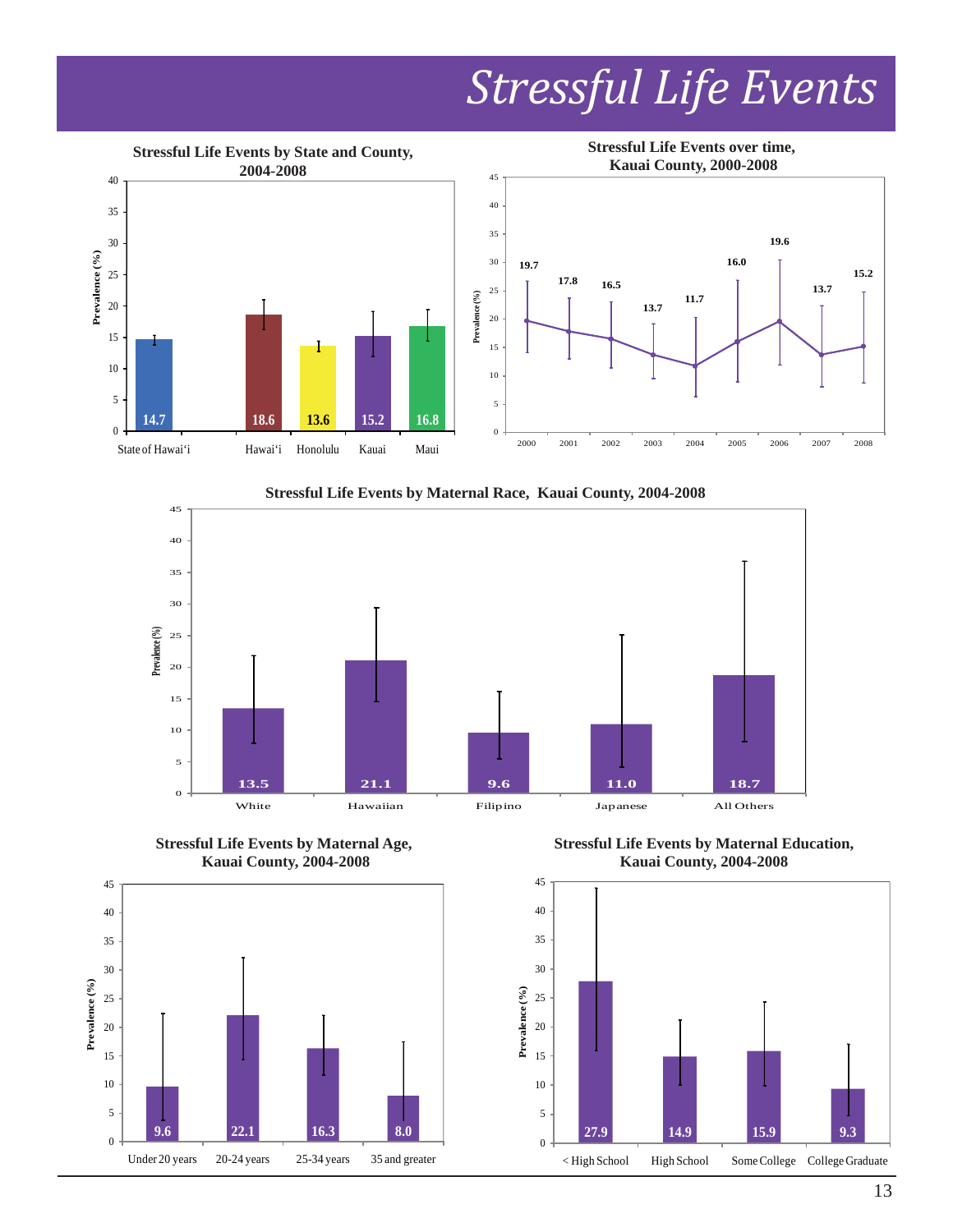### *Stressful Life Events*





**Stressful Life Events by Maternal Age, Kauai County, 2004-2008**



**Stressful Life Events by Maternal Education, Kauai County, 2004-2008**

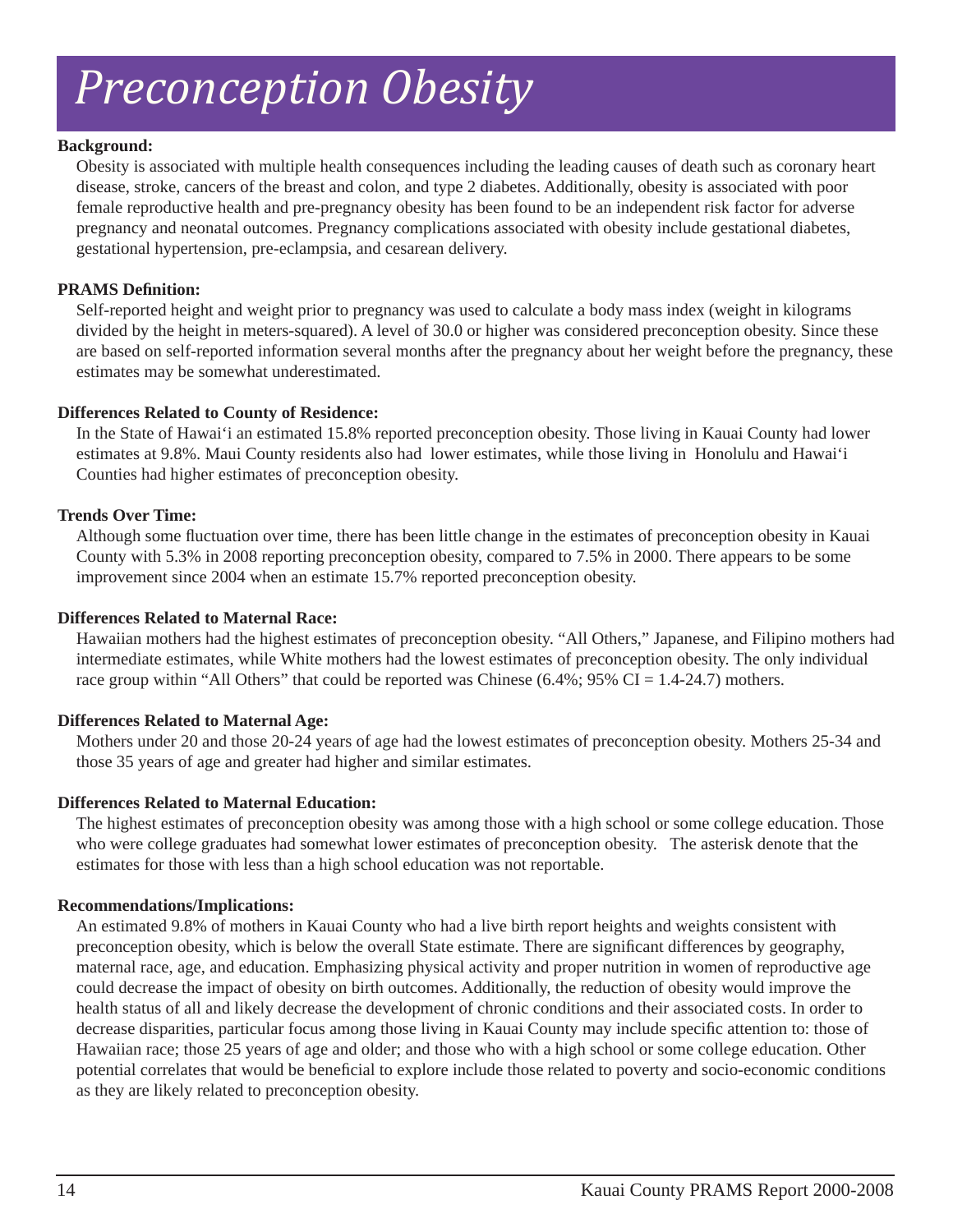### *Preconception Obesity*

#### **Background:**

Obesity is associated with multiple health consequences including the leading causes of death such as coronary heart disease, stroke, cancers of the breast and colon, and type 2 diabetes. Additionally, obesity is associated with poor female reproductive health and pre-pregnancy obesity has been found to be an independent risk factor for adverse pregnancy and neonatal outcomes. Pregnancy complications associated with obesity include gestational diabetes, gestational hypertension, pre-eclampsia, and cesarean delivery.

#### **PRAMS Definition:**

Self-reported height and weight prior to pregnancy was used to calculate a body mass index (weight in kilograms divided by the height in meters-squared). A level of 30.0 or higher was considered preconception obesity. Since these are based on self-reported information several months after the pregnancy about her weight before the pregnancy, these estimates may be somewhat underestimated.

#### **Differences Related to County of Residence:**

In the State of Hawai'i an estimated 15.8% reported preconception obesity. Those living in Kauai County had lower estimates at 9.8%. Maui County residents also had lower estimates, while those living in Honolulu and Hawai'i Counties had higher estimates of preconception obesity.

#### **Trends Over Time:**

Although some fluctuation over time, there has been little change in the estimates of preconception obesity in Kauai County with 5.3% in 2008 reporting preconception obesity, compared to 7.5% in 2000. There appears to be some improvement since 2004 when an estimate 15.7% reported preconception obesity.

#### **Differences Related to Maternal Race:**

Hawaiian mothers had the highest estimates of preconception obesity. "All Others," Japanese, and Filipino mothers had intermediate estimates, while White mothers had the lowest estimates of preconception obesity. The only individual race group within "All Others" that could be reported was Chinese  $(6.4\%; 95\% \text{ CI} = 1.4-24.7)$  mothers.

#### **Differences Related to Maternal Age:**

Mothers under 20 and those 20-24 years of age had the lowest estimates of preconception obesity. Mothers 25-34 and those 35 years of age and greater had higher and similar estimates.

#### **Differences Related to Maternal Education:**

The highest estimates of preconception obesity was among those with a high school or some college education. Those who were college graduates had somewhat lower estimates of preconception obesity. The asterisk denote that the estimates for those with less than a high school education was not reportable.

#### **Recommendations/Implications:**

An estimated 9.8% of mothers in Kauai County who had a live birth report heights and weights consistent with preconception obesity, which is below the overall State estimate. There are significant differences by geography, maternal race, age, and education. Emphasizing physical activity and proper nutrition in women of reproductive age could decrease the impact of obesity on birth outcomes. Additionally, the reduction of obesity would improve the health status of all and likely decrease the development of chronic conditions and their associated costs. In order to decrease disparities, particular focus among those living in Kauai County may include specific attention to: those of Hawaiian race; those 25 years of age and older; and those who with a high school or some college education. Other potential correlates that would be beneficial to explore include those related to poverty and socio-economic conditions as they are likely related to preconception obesity.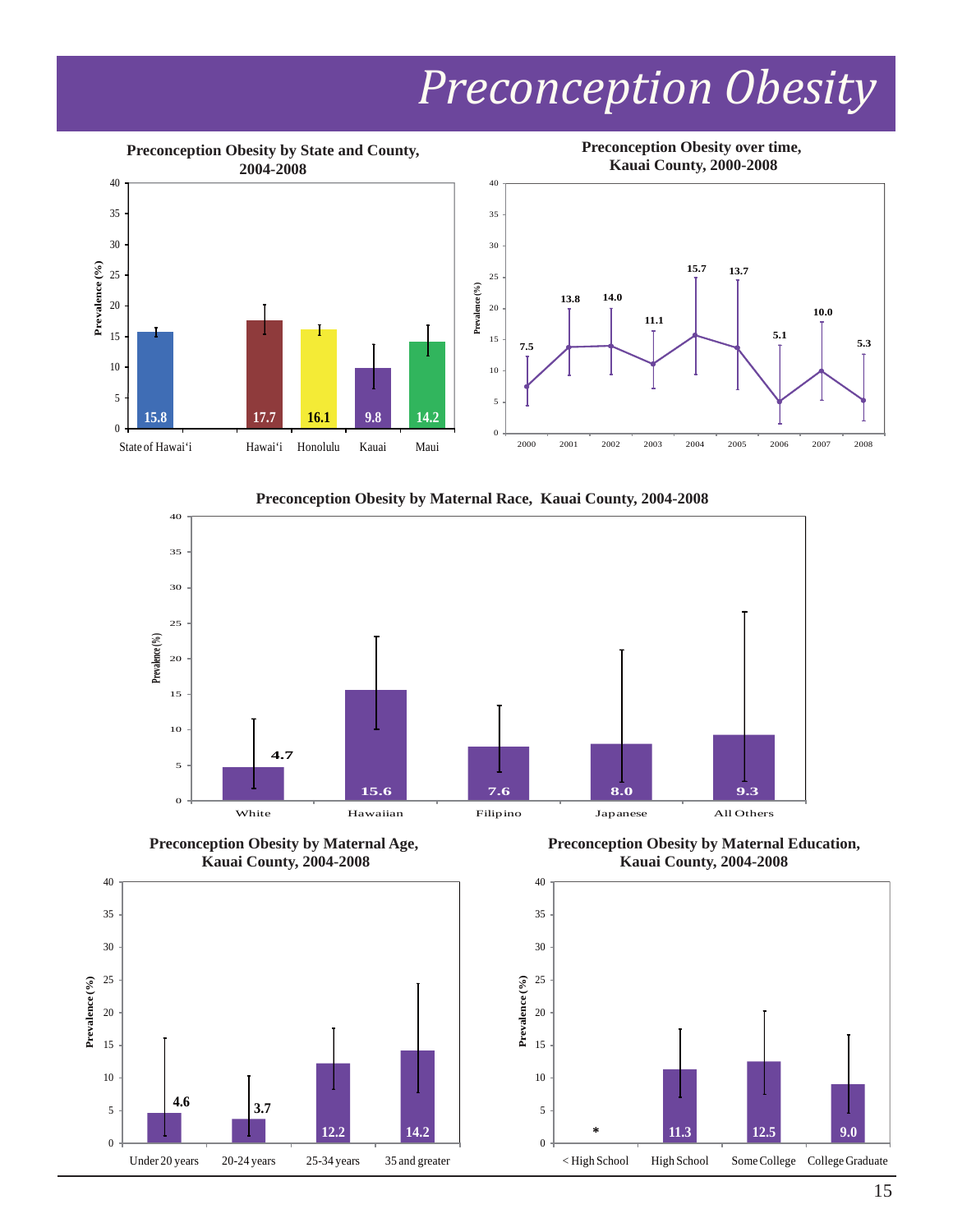## *Preconception Obesity*





**Preconception Obesity by Maternal Race, Kauai County, 2004-2008**





**Preconception Obesity by Maternal Education, Kauai County, 2004-2008**

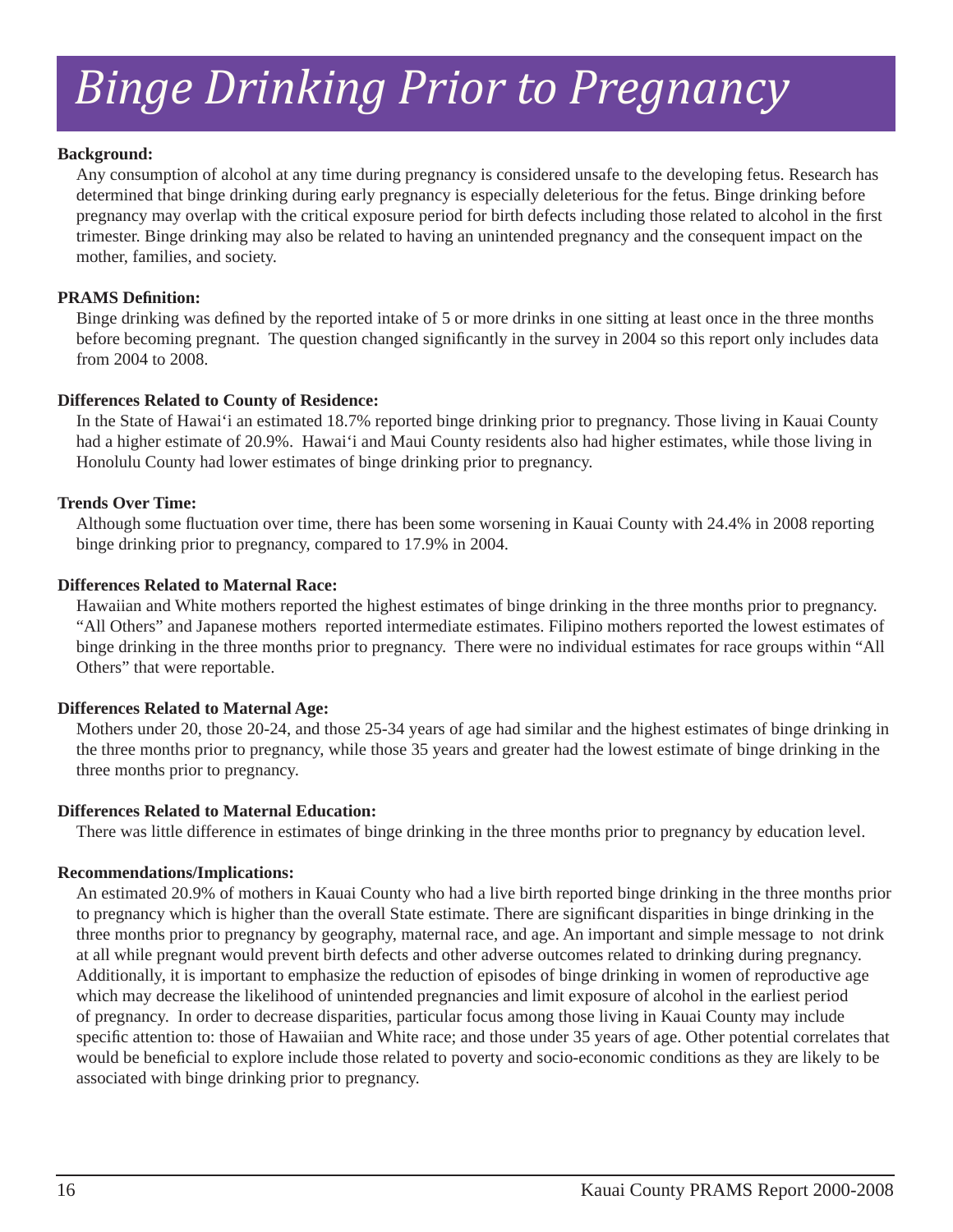## *Binge Drinking Prior to Pregnancy*

#### **Background:**

Any consumption of alcohol at any time during pregnancy is considered unsafe to the developing fetus. Research has determined that binge drinking during early pregnancy is especially deleterious for the fetus. Binge drinking before pregnancy may overlap with the critical exposure period for birth defects including those related to alcohol in the first trimester. Binge drinking may also be related to having an unintended pregnancy and the consequent impact on the mother, families, and society.

#### **PRAMS Definition:**

Binge drinking was defined by the reported intake of 5 or more drinks in one sitting at least once in the three months before becoming pregnant. The question changed significantly in the survey in 2004 so this report only includes data from 2004 to 2008.

#### **Differences Related to County of Residence:**

In the State of Hawai'i an estimated 18.7% reported binge drinking prior to pregnancy. Those living in Kauai County had a higher estimate of 20.9%. Hawai'i and Maui County residents also had higher estimates, while those living in Honolulu County had lower estimates of binge drinking prior to pregnancy.

#### **Trends Over Time:**

Although some fluctuation over time, there has been some worsening in Kauai County with 24.4% in 2008 reporting binge drinking prior to pregnancy, compared to 17.9% in 2004.

#### **Differences Related to Maternal Race:**

Hawaiian and White mothers reported the highest estimates of binge drinking in the three months prior to pregnancy. "All Others" and Japanese mothers reported intermediate estimates. Filipino mothers reported the lowest estimates of binge drinking in the three months prior to pregnancy. There were no individual estimates for race groups within "All Others" that were reportable.

#### **Differences Related to Maternal Age:**

Mothers under 20, those 20-24, and those 25-34 years of age had similar and the highest estimates of binge drinking in the three months prior to pregnancy, while those 35 years and greater had the lowest estimate of binge drinking in the three months prior to pregnancy.

#### **Differences Related to Maternal Education:**

There was little difference in estimates of binge drinking in the three months prior to pregnancy by education level.

#### **Recommendations/Implications:**

An estimated 20.9% of mothers in Kauai County who had a live birth reported binge drinking in the three months prior to pregnancy which is higher than the overall State estimate. There are significant disparities in binge drinking in the three months prior to pregnancy by geography, maternal race, and age. An important and simple message to not drink at all while pregnant would prevent birth defects and other adverse outcomes related to drinking during pregnancy. Additionally, it is important to emphasize the reduction of episodes of binge drinking in women of reproductive age which may decrease the likelihood of unintended pregnancies and limit exposure of alcohol in the earliest period of pregnancy. In order to decrease disparities, particular focus among those living in Kauai County may include specific attention to: those of Hawaiian and White race; and those under 35 years of age. Other potential correlates that would be beneficial to explore include those related to poverty and socio-economic conditions as they are likely to be associated with binge drinking prior to pregnancy.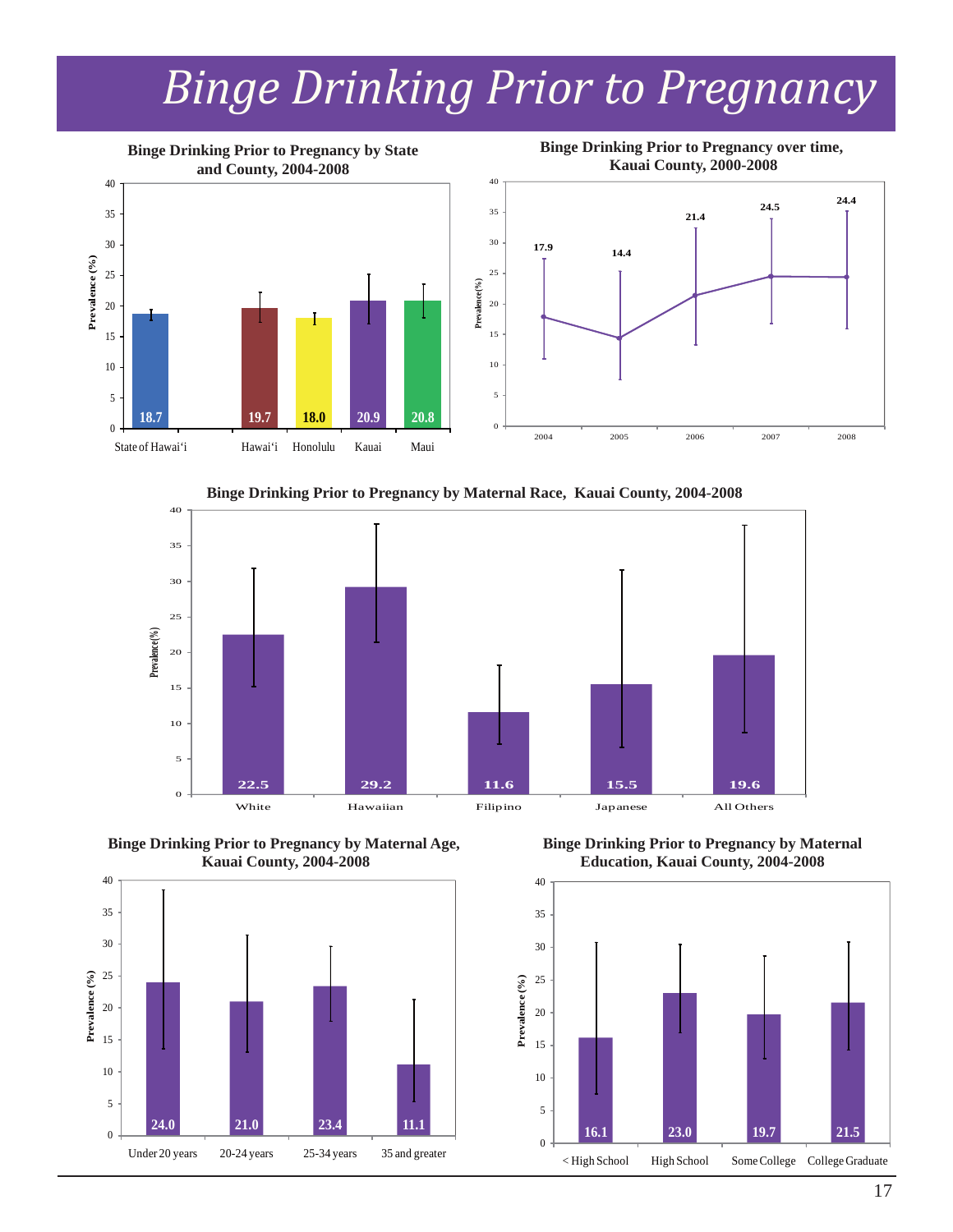## *Binge Drinking Prior to Pregnancy*





**Binge Drinking Prior to Pregnancy by Maternal Age, Kauai County, 2004-2008**



**Binge Drinking Prior to Pregnancy by Maternal Education, Kauai County, 2004-2008**

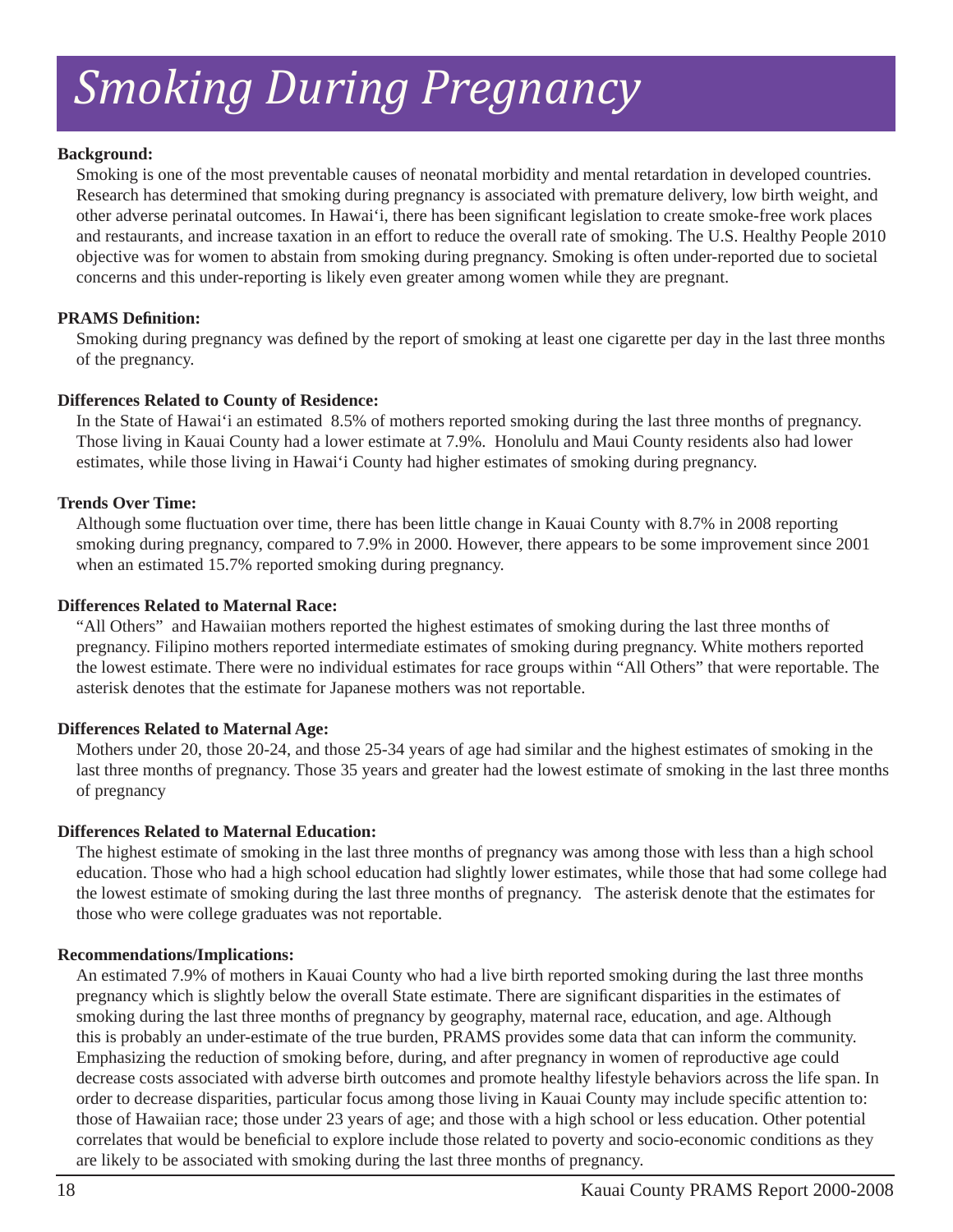## *Smoking During Pregnancy*

#### **Background:**

Smoking is one of the most preventable causes of neonatal morbidity and mental retardation in developed countries. Research has determined that smoking during pregnancy is associated with premature delivery, low birth weight, and other adverse perinatal outcomes. In Hawai'i, there has been significant legislation to create smoke-free work places and restaurants, and increase taxation in an effort to reduce the overall rate of smoking. The U.S. Healthy People 2010 objective was for women to abstain from smoking during pregnancy. Smoking is often under-reported due to societal concerns and this under-reporting is likely even greater among women while they are pregnant.

#### **PRAMS Definition:**

Smoking during pregnancy was defined by the report of smoking at least one cigarette per day in the last three months of the pregnancy.

#### **Differences Related to County of Residence:**

In the State of Hawai'i an estimated 8.5% of mothers reported smoking during the last three months of pregnancy. Those living in Kauai County had a lower estimate at 7.9%. Honolulu and Maui County residents also had lower estimates, while those living in Hawai'i County had higher estimates of smoking during pregnancy.

#### **Trends Over Time:**

Although some fluctuation over time, there has been little change in Kauai County with 8.7% in 2008 reporting smoking during pregnancy, compared to 7.9% in 2000. However, there appears to be some improvement since 2001 when an estimated 15.7% reported smoking during pregnancy.

#### **Differences Related to Maternal Race:**

"All Others" and Hawaiian mothers reported the highest estimates of smoking during the last three months of pregnancy. Filipino mothers reported intermediate estimates of smoking during pregnancy. White mothers reported the lowest estimate. There were no individual estimates for race groups within "All Others" that were reportable. The asterisk denotes that the estimate for Japanese mothers was not reportable.

#### **Differences Related to Maternal Age:**

Mothers under 20, those 20-24, and those 25-34 years of age had similar and the highest estimates of smoking in the last three months of pregnancy. Those 35 years and greater had the lowest estimate of smoking in the last three months of pregnancy

#### **Differences Related to Maternal Education:**

The highest estimate of smoking in the last three months of pregnancy was among those with less than a high school education. Those who had a high school education had slightly lower estimates, while those that had some college had the lowest estimate of smoking during the last three months of pregnancy. The asterisk denote that the estimates for those who were college graduates was not reportable.

#### **Recommendations/Implications:**

An estimated 7.9% of mothers in Kauai County who had a live birth reported smoking during the last three months pregnancy which is slightly below the overall State estimate. There are significant disparities in the estimates of smoking during the last three months of pregnancy by geography, maternal race, education, and age. Although this is probably an under-estimate of the true burden, PRAMS provides some data that can inform the community. Emphasizing the reduction of smoking before, during, and after pregnancy in women of reproductive age could decrease costs associated with adverse birth outcomes and promote healthy lifestyle behaviors across the life span. In order to decrease disparities, particular focus among those living in Kauai County may include specifi c attention to: those of Hawaiian race; those under 23 years of age; and those with a high school or less education. Other potential correlates that would be beneficial to explore include those related to poverty and socio-economic conditions as they are likely to be associated with smoking during the last three months of pregnancy.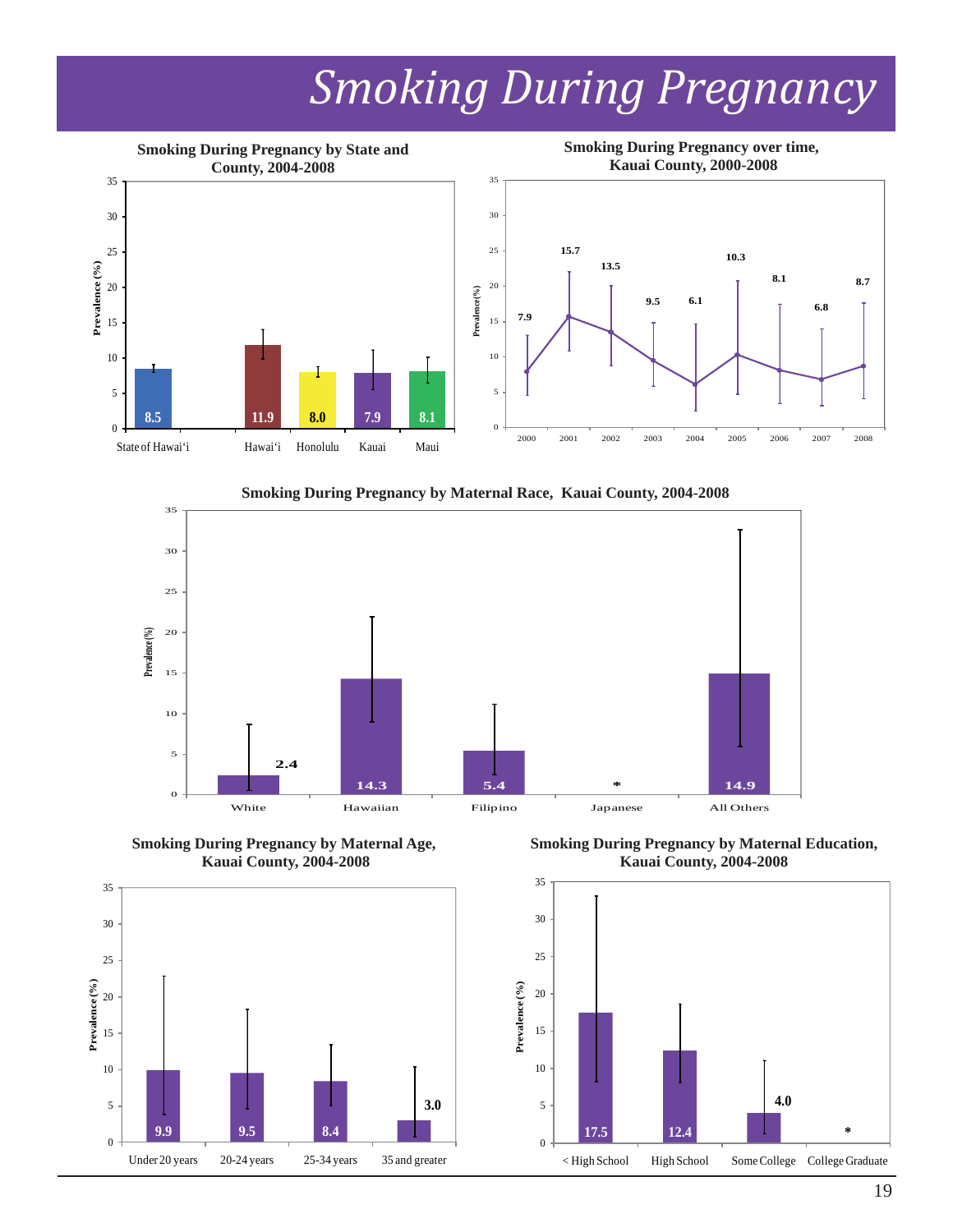### *Smoking During Pregnancy*





**Smoking During Pregnancy by Maternal Age, Kauai County, 2004-2008**



**Smoking During Pregnancy by Maternal Education, Kauai County, 2004-2008**

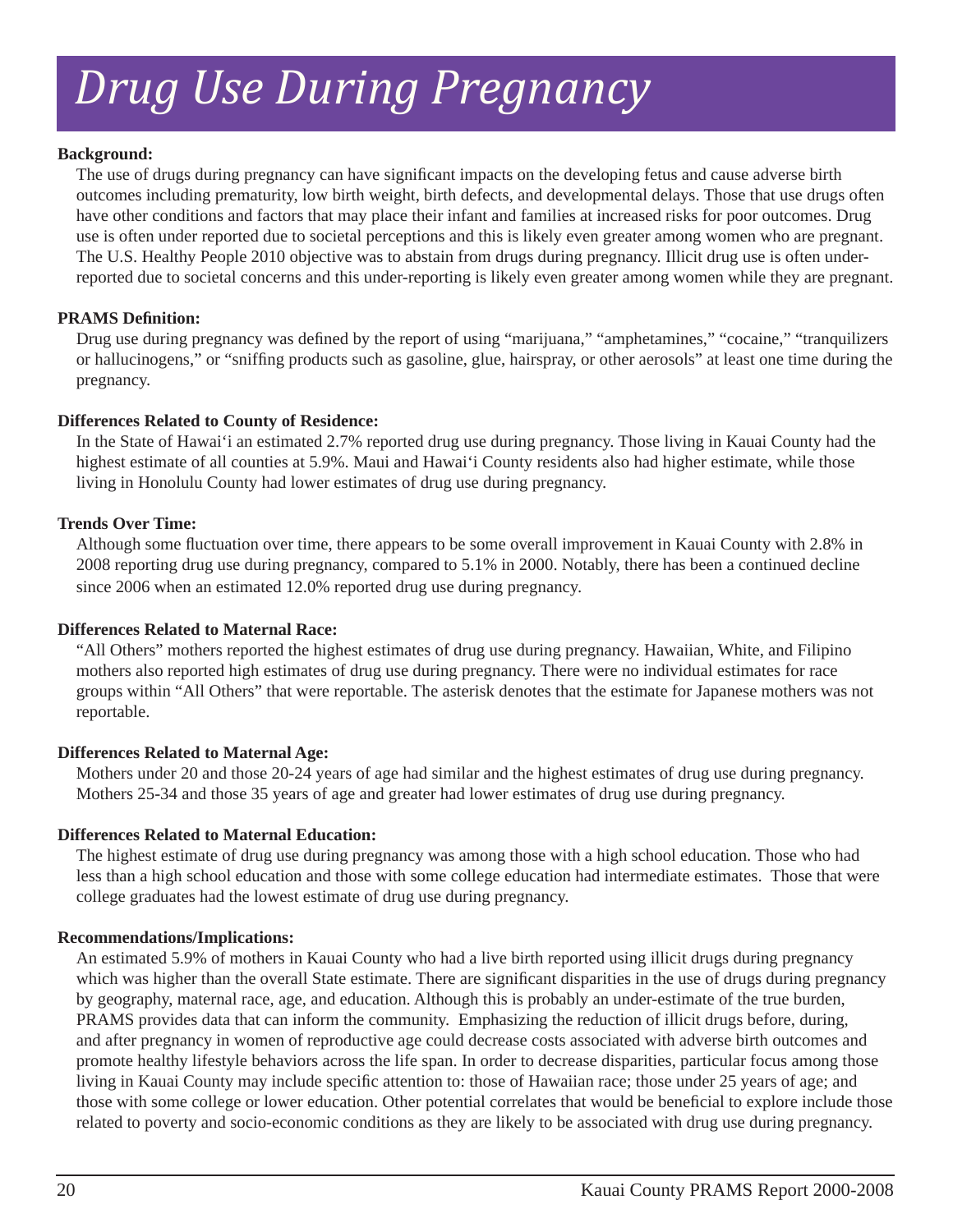## *Drug Use During Pregnancy*

#### **Background:**

The use of drugs during pregnancy can have significant impacts on the developing fetus and cause adverse birth outcomes including prematurity, low birth weight, birth defects, and developmental delays. Those that use drugs often have other conditions and factors that may place their infant and families at increased risks for poor outcomes. Drug use is often under reported due to societal perceptions and this is likely even greater among women who are pregnant. The U.S. Healthy People 2010 objective was to abstain from drugs during pregnancy. Illicit drug use is often underreported due to societal concerns and this under-reporting is likely even greater among women while they are pregnant.

#### **PRAMS Definition:**

Drug use during pregnancy was defined by the report of using "marijuana," "amphetamines," "cocaine," "tranquilizers or hallucinogens," or "sniffing products such as gasoline, glue, hairspray, or other aerosols" at least one time during the pregnancy.

#### **Differences Related to County of Residence:**

In the State of Hawai'i an estimated 2.7% reported drug use during pregnancy. Those living in Kauai County had the highest estimate of all counties at 5.9%. Maui and Hawai'i County residents also had higher estimate, while those living in Honolulu County had lower estimates of drug use during pregnancy.

#### **Trends Over Time:**

Although some fluctuation over time, there appears to be some overall improvement in Kauai County with 2.8% in 2008 reporting drug use during pregnancy, compared to 5.1% in 2000. Notably, there has been a continued decline since 2006 when an estimated 12.0% reported drug use during pregnancy.

#### **Differences Related to Maternal Race:**

"All Others" mothers reported the highest estimates of drug use during pregnancy. Hawaiian, White, and Filipino mothers also reported high estimates of drug use during pregnancy. There were no individual estimates for race groups within "All Others" that were reportable. The asterisk denotes that the estimate for Japanese mothers was not reportable.

#### **Differences Related to Maternal Age:**

Mothers under 20 and those 20-24 years of age had similar and the highest estimates of drug use during pregnancy. Mothers 25-34 and those 35 years of age and greater had lower estimates of drug use during pregnancy.

#### **Differences Related to Maternal Education:**

The highest estimate of drug use during pregnancy was among those with a high school education. Those who had less than a high school education and those with some college education had intermediate estimates. Those that were college graduates had the lowest estimate of drug use during pregnancy.

#### **Recommendations/Implications:**

An estimated 5.9% of mothers in Kauai County who had a live birth reported using illicit drugs during pregnancy which was higher than the overall State estimate. There are significant disparities in the use of drugs during pregnancy by geography, maternal race, age, and education. Although this is probably an under-estimate of the true burden, PRAMS provides data that can inform the community. Emphasizing the reduction of illicit drugs before, during, and after pregnancy in women of reproductive age could decrease costs associated with adverse birth outcomes and promote healthy lifestyle behaviors across the life span. In order to decrease disparities, particular focus among those living in Kauai County may include specific attention to: those of Hawaiian race; those under 25 years of age; and those with some college or lower education. Other potential correlates that would be beneficial to explore include those related to poverty and socio-economic conditions as they are likely to be associated with drug use during pregnancy.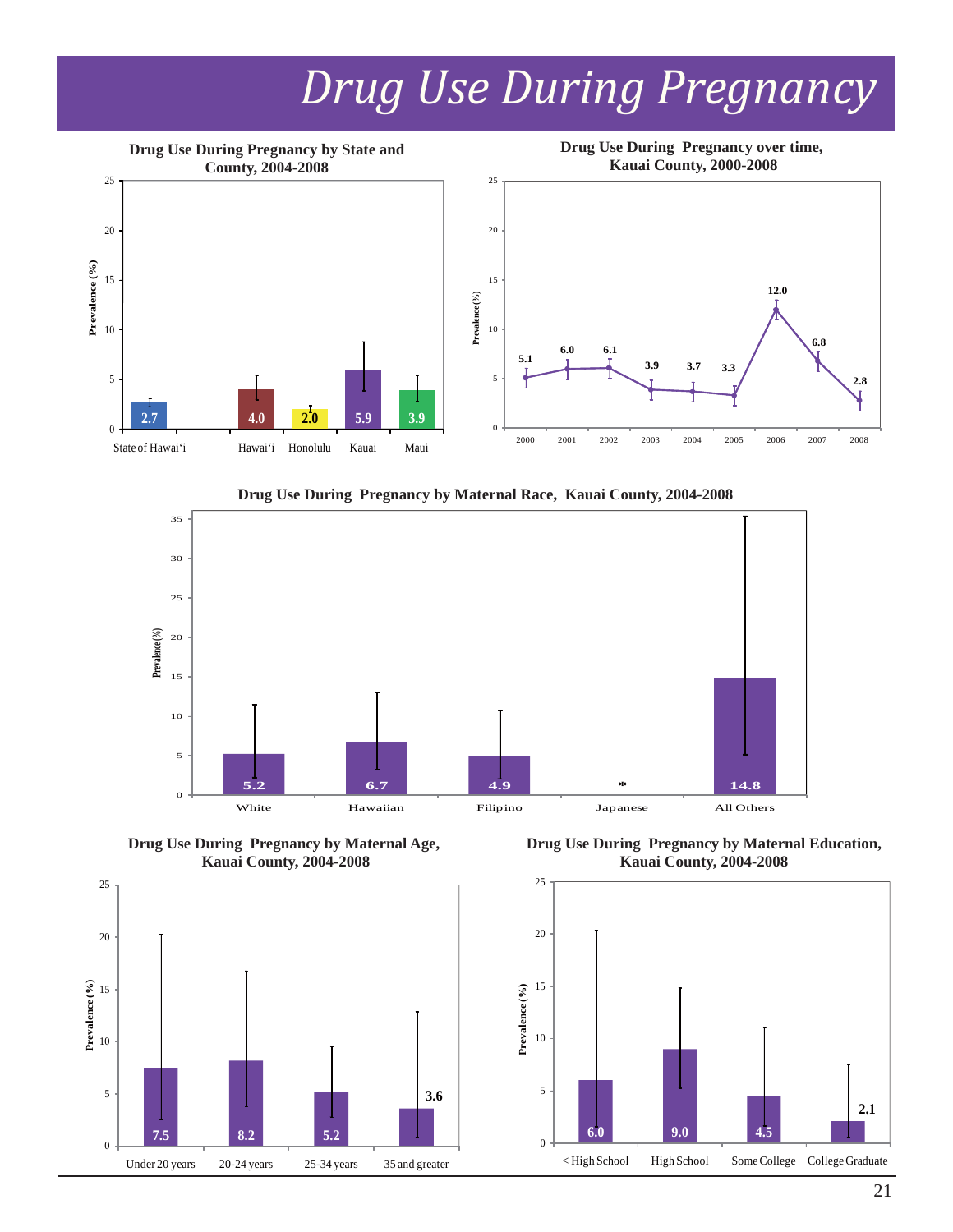### *Drug Use During Pregnancy*





**Drug Use During Pregnancy by Maternal Age, Kauai County, 2004-2008**



**Drug Use During Pregnancy by Maternal Education, Kauai County, 2004-2008**

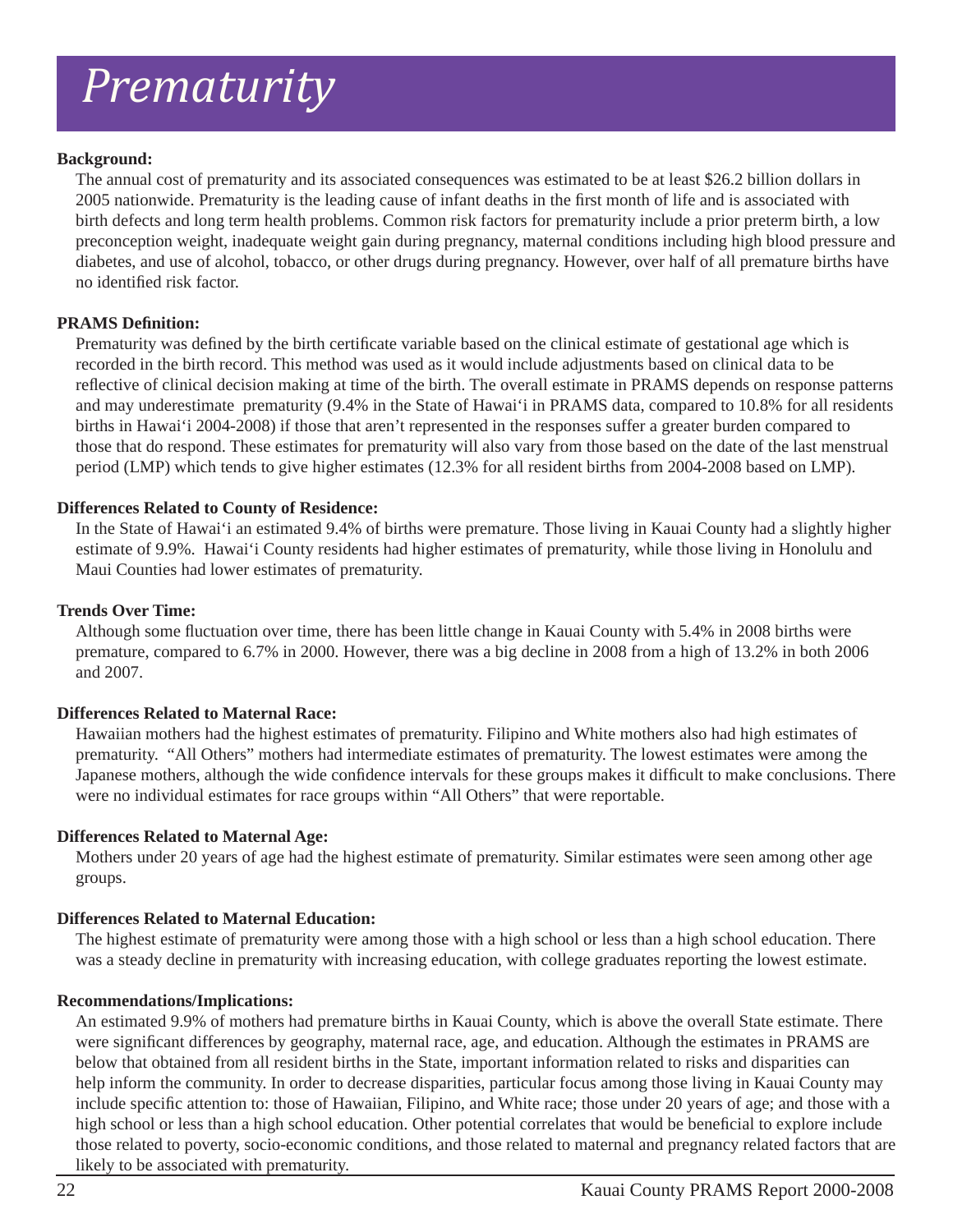### *Prematurity*

#### **Background:**

The annual cost of prematurity and its associated consequences was estimated to be at least \$26.2 billion dollars in 2005 nationwide. Prematurity is the leading cause of infant deaths in the first month of life and is associated with birth defects and long term health problems. Common risk factors for prematurity include a prior preterm birth, a low preconception weight, inadequate weight gain during pregnancy, maternal conditions including high blood pressure and diabetes, and use of alcohol, tobacco, or other drugs during pregnancy. However, over half of all premature births have no identified risk factor.

#### **PRAMS Definition:**

Prematurity was defined by the birth certificate variable based on the clinical estimate of gestational age which is recorded in the birth record. This method was used as it would include adjustments based on clinical data to be reflective of clinical decision making at time of the birth. The overall estimate in PRAMS depends on response patterns and may underestimate prematurity (9.4% in the State of Hawai'i in PRAMS data, compared to 10.8% for all residents births in Hawai'i 2004-2008) if those that aren't represented in the responses suffer a greater burden compared to those that do respond. These estimates for prematurity will also vary from those based on the date of the last menstrual period (LMP) which tends to give higher estimates (12.3% for all resident births from 2004-2008 based on LMP).

#### **Differences Related to County of Residence:**

In the State of Hawai'i an estimated 9.4% of births were premature. Those living in Kauai County had a slightly higher estimate of 9.9%. Hawai'i County residents had higher estimates of prematurity, while those living in Honolulu and Maui Counties had lower estimates of prematurity.

#### **Trends Over Time:**

Although some fluctuation over time, there has been little change in Kauai County with 5.4% in 2008 births were premature, compared to 6.7% in 2000. However, there was a big decline in 2008 from a high of 13.2% in both 2006 and 2007.

#### **Differences Related to Maternal Race:**

Hawaiian mothers had the highest estimates of prematurity. Filipino and White mothers also had high estimates of prematurity. "All Others" mothers had intermediate estimates of prematurity. The lowest estimates were among the Japanese mothers, although the wide confidence intervals for these groups makes it difficult to make conclusions. There were no individual estimates for race groups within "All Others" that were reportable.

#### **Differences Related to Maternal Age:**

Mothers under 20 years of age had the highest estimate of prematurity. Similar estimates were seen among other age groups.

#### **Differences Related to Maternal Education:**

The highest estimate of prematurity were among those with a high school or less than a high school education. There was a steady decline in prematurity with increasing education, with college graduates reporting the lowest estimate.

#### **Recommendations/Implications:**

An estimated 9.9% of mothers had premature births in Kauai County, which is above the overall State estimate. There were significant differences by geography, maternal race, age, and education. Although the estimates in PRAMS are below that obtained from all resident births in the State, important information related to risks and disparities can help inform the community. In order to decrease disparities, particular focus among those living in Kauai County may include specific attention to: those of Hawaiian, Filipino, and White race; those under 20 years of age; and those with a high school or less than a high school education. Other potential correlates that would be beneficial to explore include those related to poverty, socio-economic conditions, and those related to maternal and pregnancy related factors that are likely to be associated with prematurity.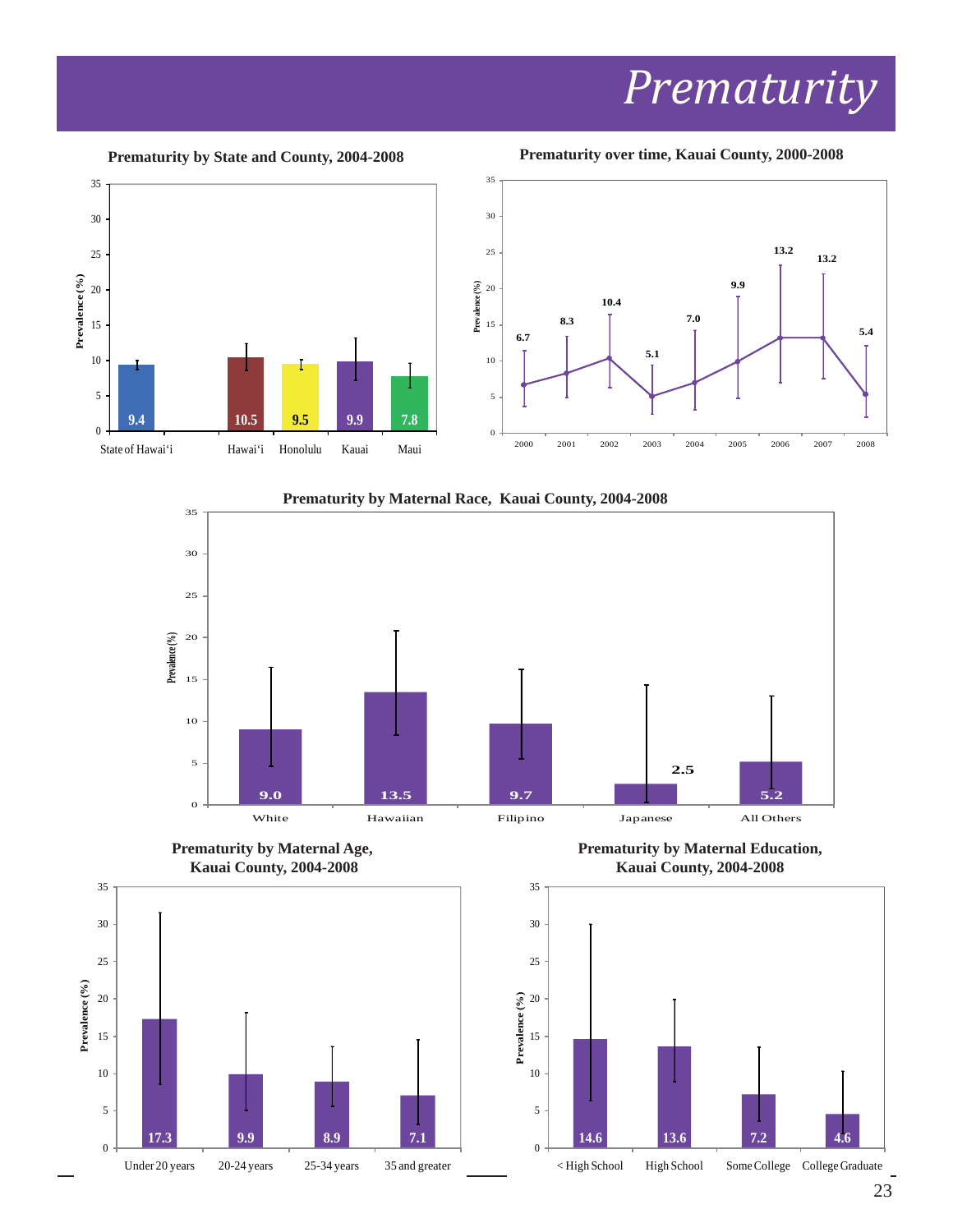### *Prematurity*









**Prematurity by Maternal Education, Kauai County, 2004-2008**

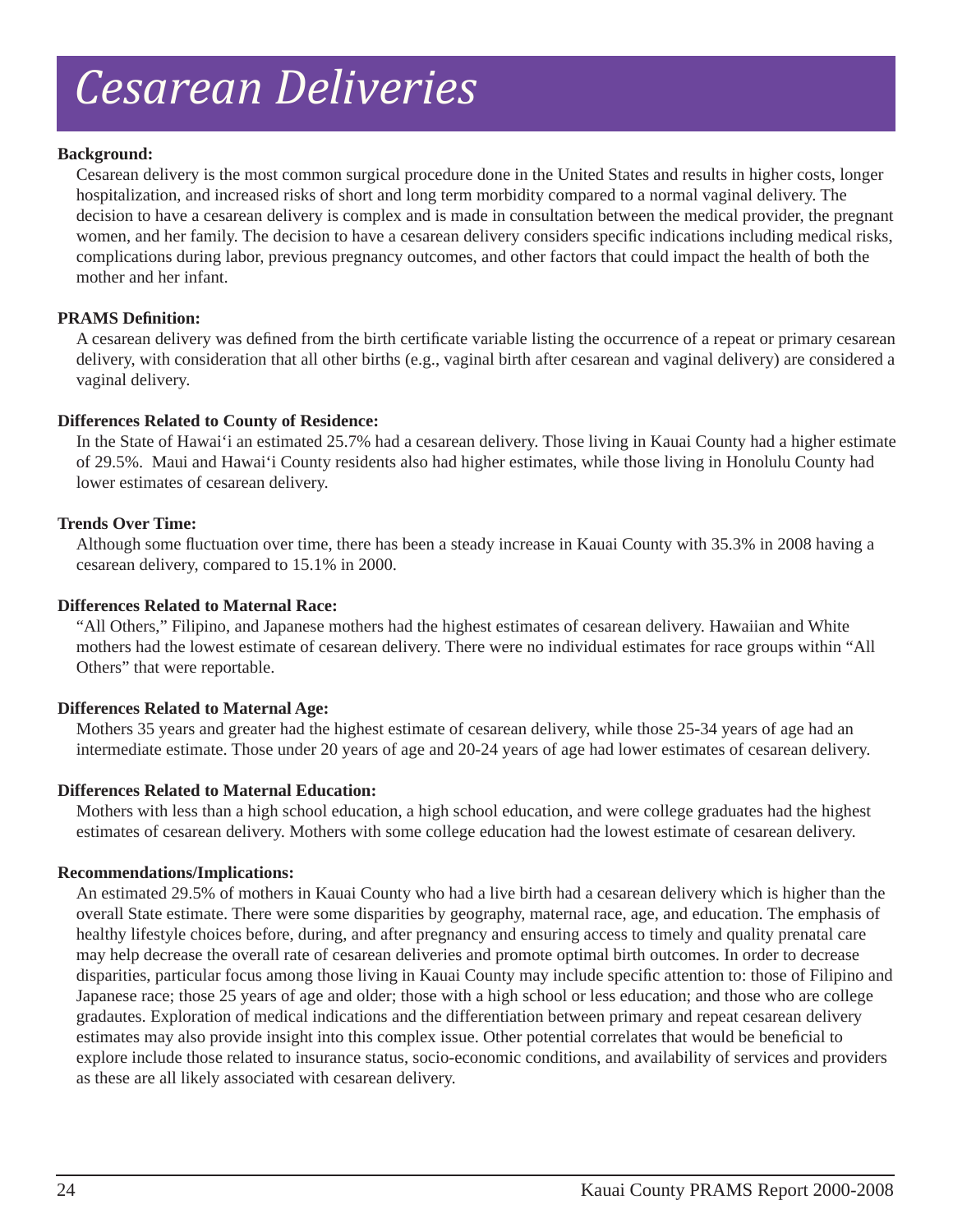### *Cesarean Deliveries*

#### **Background:**

Cesarean delivery is the most common surgical procedure done in the United States and results in higher costs, longer hospitalization, and increased risks of short and long term morbidity compared to a normal vaginal delivery. The decision to have a cesarean delivery is complex and is made in consultation between the medical provider, the pregnant women, and her family. The decision to have a cesarean delivery considers specific indications including medical risks, complications during labor, previous pregnancy outcomes, and other factors that could impact the health of both the mother and her infant.

#### **PRAMS Definition:**

A cesarean delivery was defined from the birth certificate variable listing the occurrence of a repeat or primary cesarean delivery, with consideration that all other births (e.g., vaginal birth after cesarean and vaginal delivery) are considered a vaginal delivery.

#### **Differences Related to County of Residence:**

In the State of Hawai'i an estimated 25.7% had a cesarean delivery. Those living in Kauai County had a higher estimate of 29.5%. Maui and Hawai'i County residents also had higher estimates, while those living in Honolulu County had lower estimates of cesarean delivery.

#### **Trends Over Time:**

Although some fluctuation over time, there has been a steady increase in Kauai County with 35.3% in 2008 having a cesarean delivery, compared to 15.1% in 2000.

#### **Differences Related to Maternal Race:**

"All Others," Filipino, and Japanese mothers had the highest estimates of cesarean delivery. Hawaiian and White mothers had the lowest estimate of cesarean delivery. There were no individual estimates for race groups within "All Others" that were reportable.

#### **Differences Related to Maternal Age:**

Mothers 35 years and greater had the highest estimate of cesarean delivery, while those 25-34 years of age had an intermediate estimate. Those under 20 years of age and 20-24 years of age had lower estimates of cesarean delivery.

#### **Differences Related to Maternal Education:**

Mothers with less than a high school education, a high school education, and were college graduates had the highest estimates of cesarean delivery. Mothers with some college education had the lowest estimate of cesarean delivery.

#### **Recommendations/Implications:**

An estimated 29.5% of mothers in Kauai County who had a live birth had a cesarean delivery which is higher than the overall State estimate. There were some disparities by geography, maternal race, age, and education. The emphasis of healthy lifestyle choices before, during, and after pregnancy and ensuring access to timely and quality prenatal care may help decrease the overall rate of cesarean deliveries and promote optimal birth outcomes. In order to decrease disparities, particular focus among those living in Kauai County may include specific attention to: those of Filipino and Japanese race; those 25 years of age and older; those with a high school or less education; and those who are college gradautes. Exploration of medical indications and the differentiation between primary and repeat cesarean delivery estimates may also provide insight into this complex issue. Other potential correlates that would be beneficial to explore include those related to insurance status, socio-economic conditions, and availability of services and providers as these are all likely associated with cesarean delivery.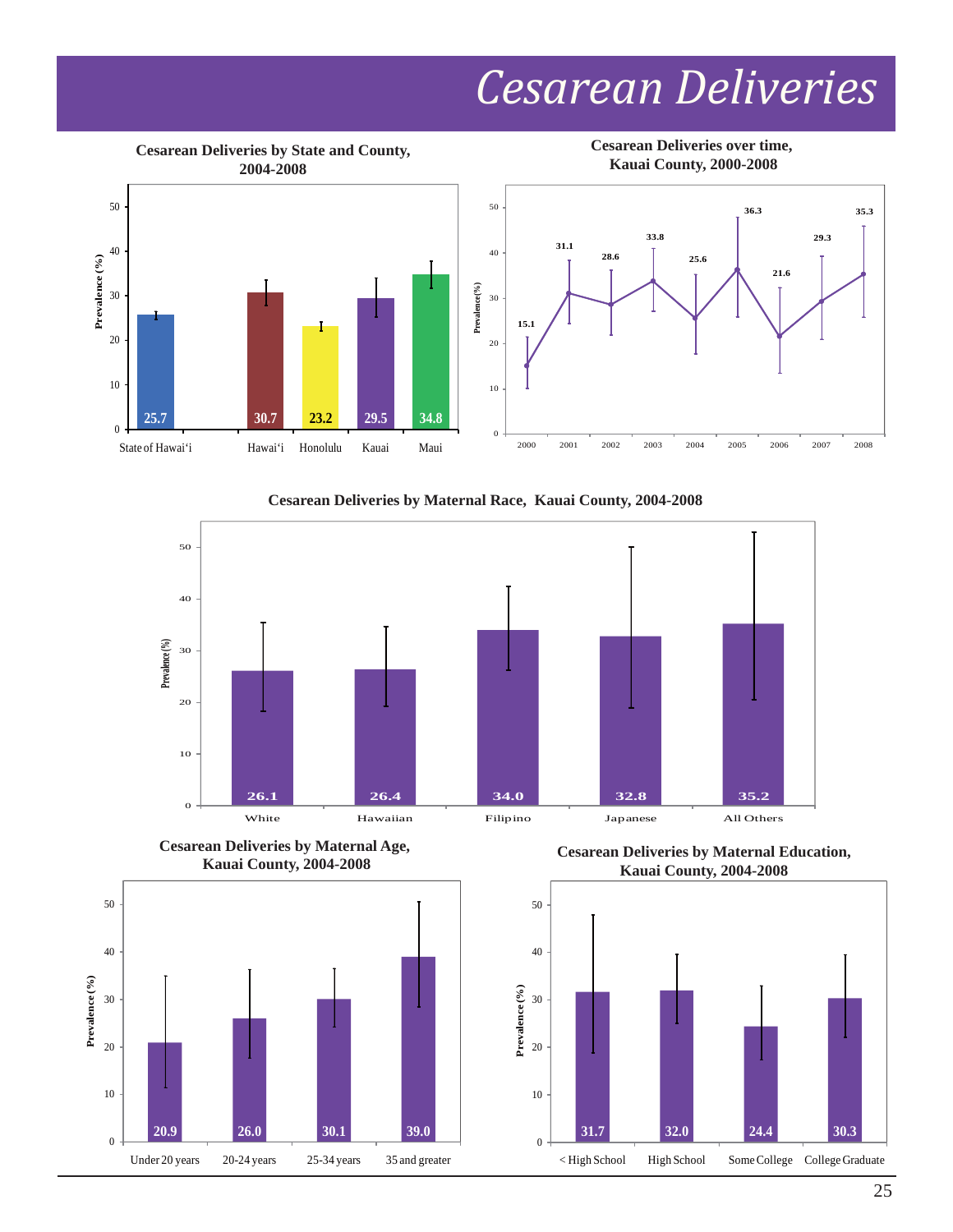### *Cesarean Deliveries*











 **Kauai County, 2004-2008 Cesarean Deliveries by Maternal Education, Kauai County, 2004-2008**

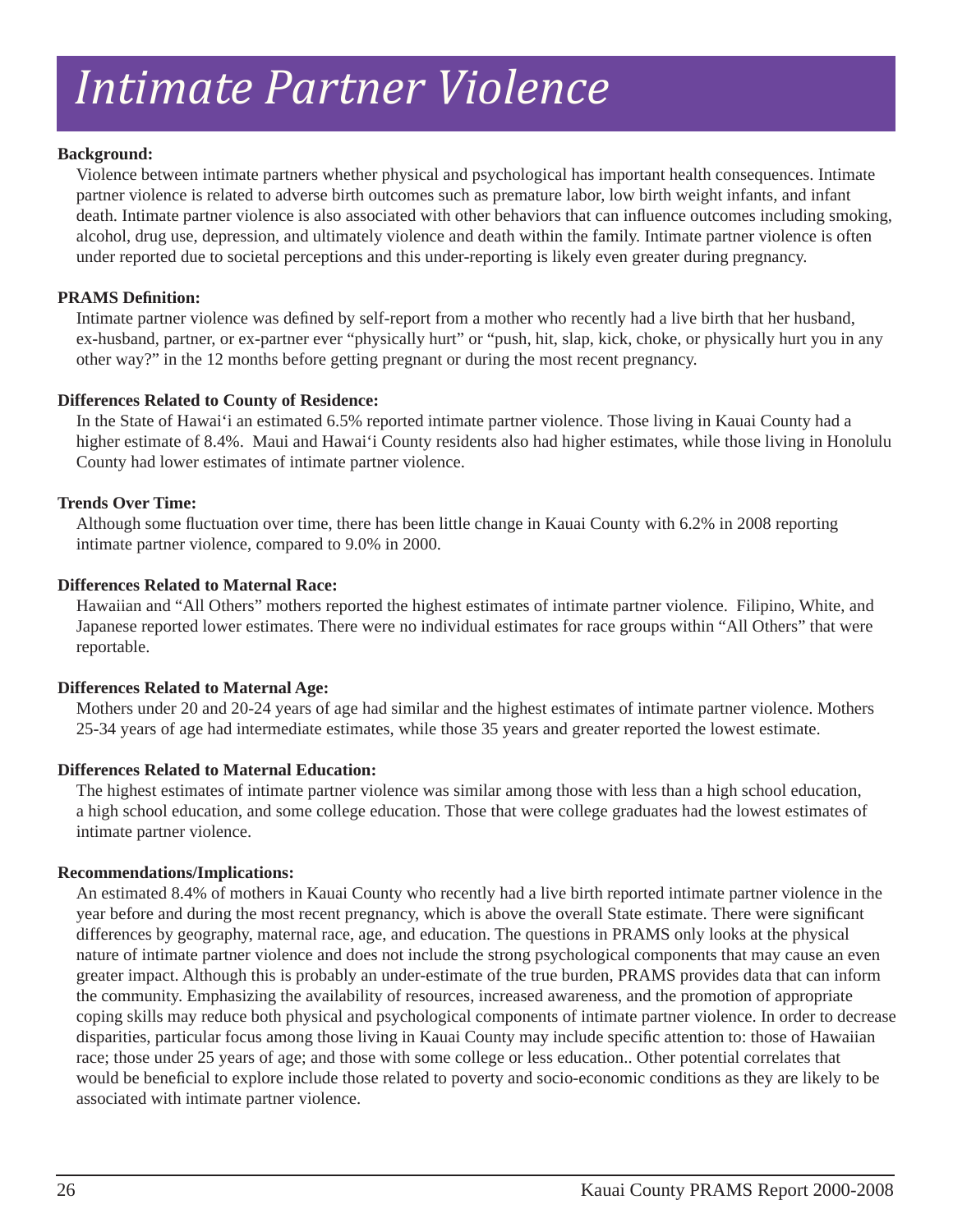### *Intimate Partner Violence*

#### **Background:**

Violence between intimate partners whether physical and psychological has important health consequences. Intimate partner violence is related to adverse birth outcomes such as premature labor, low birth weight infants, and infant death. Intimate partner violence is also associated with other behaviors that can influence outcomes including smoking, alcohol, drug use, depression, and ultimately violence and death within the family. Intimate partner violence is often under reported due to societal perceptions and this under-reporting is likely even greater during pregnancy.

#### **PRAMS Definition:**

Intimate partner violence was defined by self-report from a mother who recently had a live birth that her husband, ex-husband, partner, or ex-partner ever "physically hurt" or "push, hit, slap, kick, choke, or physically hurt you in any other way?" in the 12 months before getting pregnant or during the most recent pregnancy.

#### **Differences Related to County of Residence:**

In the State of Hawai'i an estimated 6.5% reported intimate partner violence. Those living in Kauai County had a higher estimate of 8.4%. Maui and Hawai'i County residents also had higher estimates, while those living in Honolulu County had lower estimates of intimate partner violence.

#### **Trends Over Time:**

Although some fluctuation over time, there has been little change in Kauai County with 6.2% in 2008 reporting intimate partner violence, compared to 9.0% in 2000.

#### **Differences Related to Maternal Race:**

Hawaiian and "All Others" mothers reported the highest estimates of intimate partner violence. Filipino, White, and Japanese reported lower estimates. There were no individual estimates for race groups within "All Others" that were reportable.

#### **Differences Related to Maternal Age:**

Mothers under 20 and 20-24 years of age had similar and the highest estimates of intimate partner violence. Mothers 25-34 years of age had intermediate estimates, while those 35 years and greater reported the lowest estimate.

#### **Differences Related to Maternal Education:**

The highest estimates of intimate partner violence was similar among those with less than a high school education, a high school education, and some college education. Those that were college graduates had the lowest estimates of intimate partner violence.

#### **Recommendations/Implications:**

An estimated 8.4% of mothers in Kauai County who recently had a live birth reported intimate partner violence in the year before and during the most recent pregnancy, which is above the overall State estimate. There were significant differences by geography, maternal race, age, and education. The questions in PRAMS only looks at the physical nature of intimate partner violence and does not include the strong psychological components that may cause an even greater impact. Although this is probably an under-estimate of the true burden, PRAMS provides data that can inform the community. Emphasizing the availability of resources, increased awareness, and the promotion of appropriate coping skills may reduce both physical and psychological components of intimate partner violence. In order to decrease disparities, particular focus among those living in Kauai County may include specific attention to: those of Hawaiian race; those under 25 years of age; and those with some college or less education.. Other potential correlates that would be beneficial to explore include those related to poverty and socio-economic conditions as they are likely to be associated with intimate partner violence.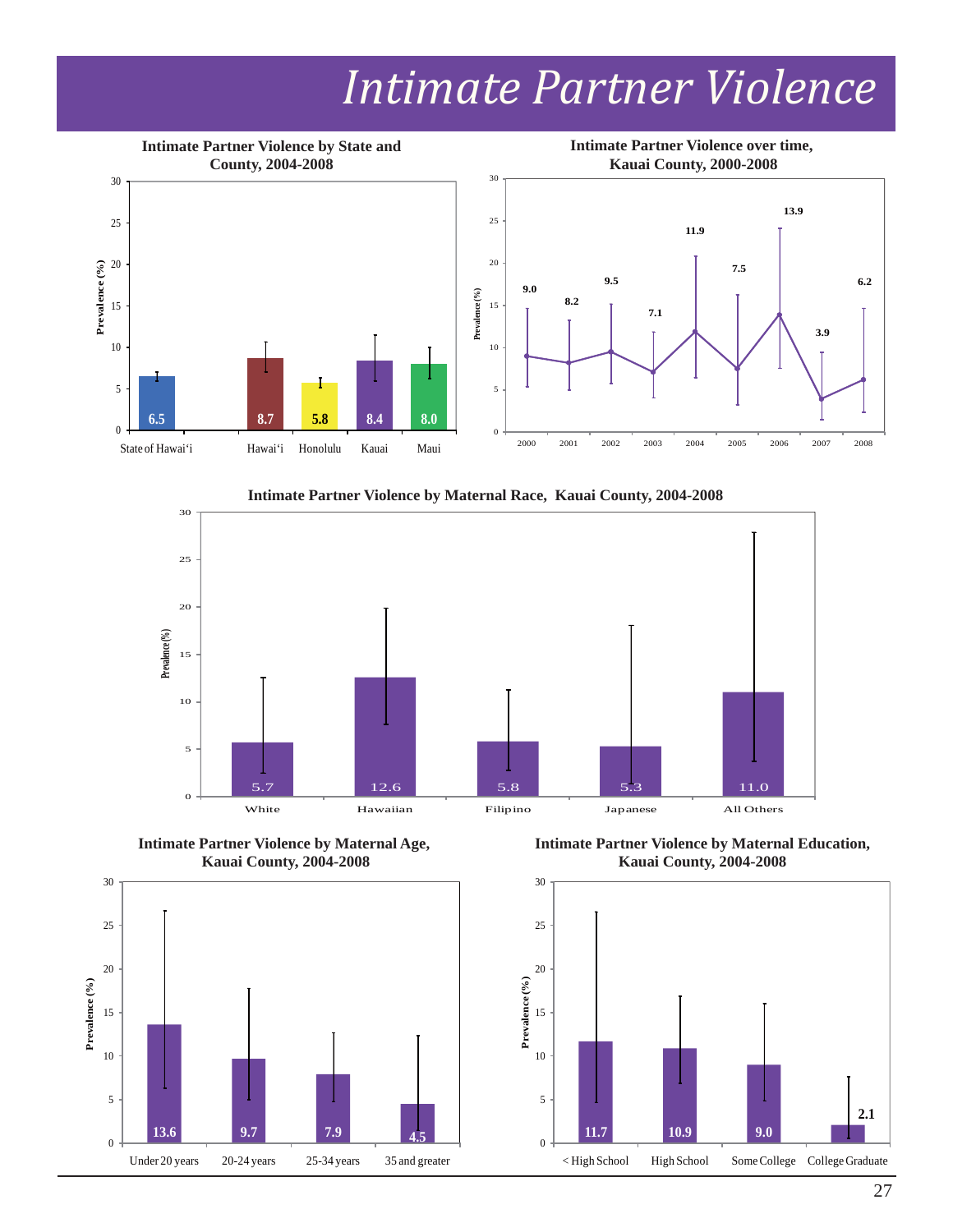### *Intimate Partner Violence*





**Intimate Partner Violence by Maternal Age, Kauai County, 2004-2008**



**Intimate Partner Violence by Maternal Education, Kauai County, 2004-2008**

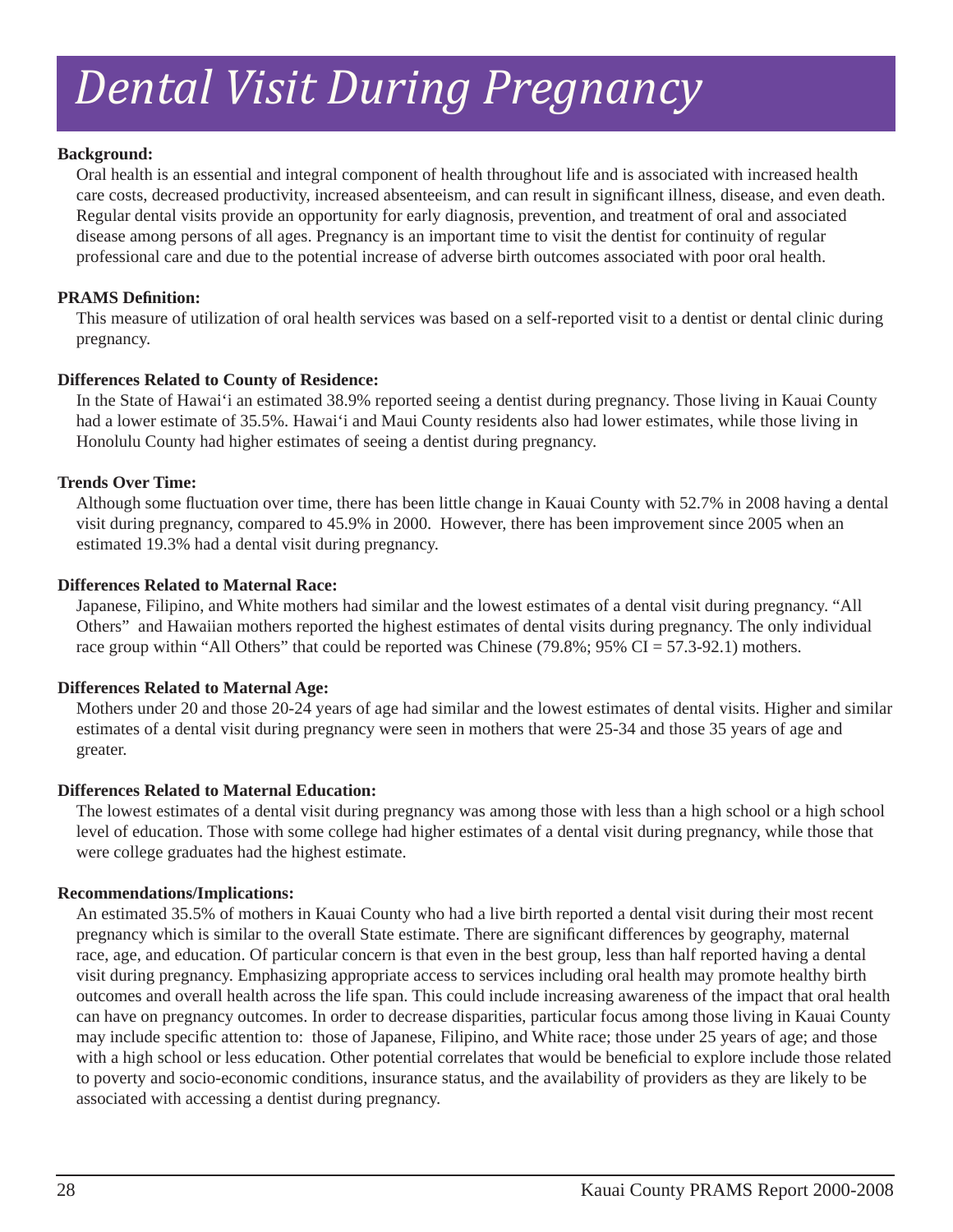## *Dental Visit During Pregnancy*

#### **Background:**

Oral health is an essential and integral component of health throughout life and is associated with increased health care costs, decreased productivity, increased absenteeism, and can result in significant illness, disease, and even death. Regular dental visits provide an opportunity for early diagnosis, prevention, and treatment of oral and associated disease among persons of all ages. Pregnancy is an important time to visit the dentist for continuity of regular professional care and due to the potential increase of adverse birth outcomes associated with poor oral health.

#### **PRAMS Definition:**

This measure of utilization of oral health services was based on a self-reported visit to a dentist or dental clinic during pregnancy.

#### **Differences Related to County of Residence:**

In the State of Hawai'i an estimated 38.9% reported seeing a dentist during pregnancy. Those living in Kauai County had a lower estimate of 35.5%. Hawai'i and Maui County residents also had lower estimates, while those living in Honolulu County had higher estimates of seeing a dentist during pregnancy.

#### **Trends Over Time:**

Although some fluctuation over time, there has been little change in Kauai County with 52.7% in 2008 having a dental visit during pregnancy, compared to 45.9% in 2000. However, there has been improvement since 2005 when an estimated 19.3% had a dental visit during pregnancy.

#### **Differences Related to Maternal Race:**

Japanese, Filipino, and White mothers had similar and the lowest estimates of a dental visit during pregnancy. "All Others" and Hawaiian mothers reported the highest estimates of dental visits during pregnancy. The only individual race group within "All Others" that could be reported was Chinese (79.8%; 95% CI = 57.3-92.1) mothers.

#### **Differences Related to Maternal Age:**

Mothers under 20 and those 20-24 years of age had similar and the lowest estimates of dental visits. Higher and similar estimates of a dental visit during pregnancy were seen in mothers that were 25-34 and those 35 years of age and greater.

#### **Differences Related to Maternal Education:**

The lowest estimates of a dental visit during pregnancy was among those with less than a high school or a high school level of education. Those with some college had higher estimates of a dental visit during pregnancy, while those that were college graduates had the highest estimate.

#### **Recommendations/Implications:**

An estimated 35.5% of mothers in Kauai County who had a live birth reported a dental visit during their most recent pregnancy which is similar to the overall State estimate. There are significant differences by geography, maternal race, age, and education. Of particular concern is that even in the best group, less than half reported having a dental visit during pregnancy. Emphasizing appropriate access to services including oral health may promote healthy birth outcomes and overall health across the life span. This could include increasing awareness of the impact that oral health can have on pregnancy outcomes. In order to decrease disparities, particular focus among those living in Kauai County may include specific attention to: those of Japanese, Filipino, and White race; those under 25 years of age; and those with a high school or less education. Other potential correlates that would be beneficial to explore include those related to poverty and socio-economic conditions, insurance status, and the availability of providers as they are likely to be associated with accessing a dentist during pregnancy.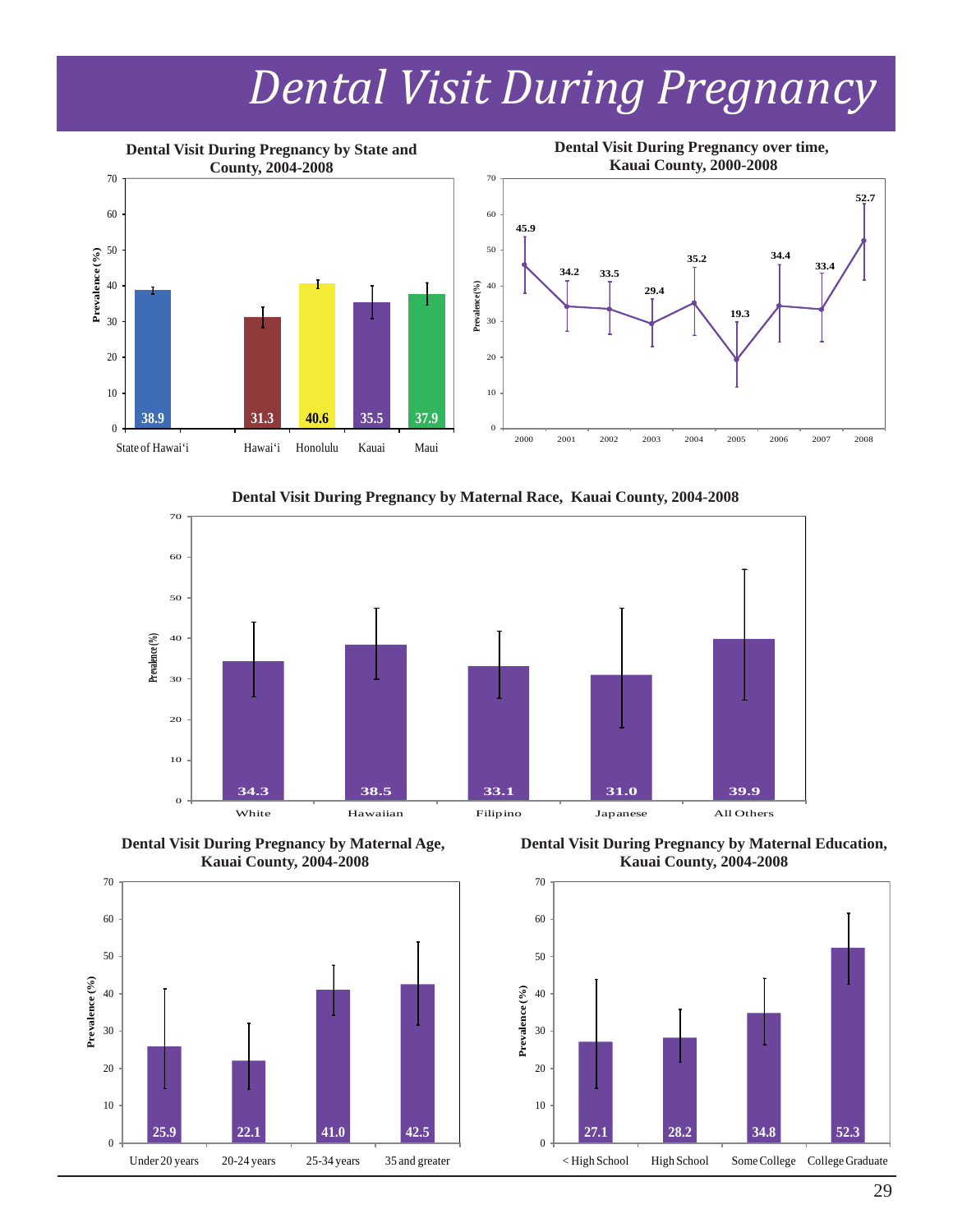### *Dental Visit During Pregnancy*





**Dental Visit During Pregnancy by Maternal Race, Kauai County, 2004-2008**





**Dental Visit During Pregnancy by Maternal Education, Kauai County, 2004-2008**

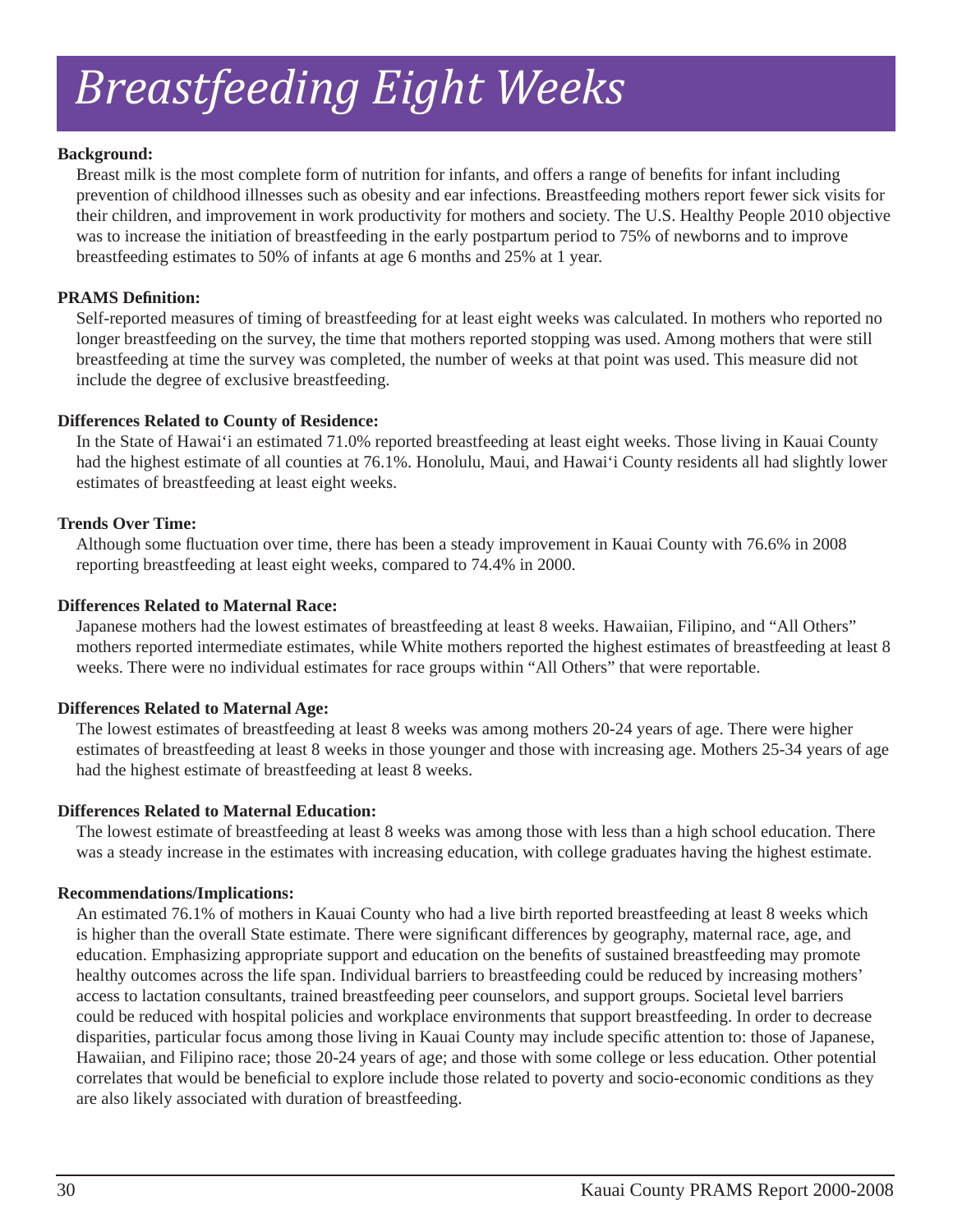### *Breastfeeding Eight Weeks*

#### **Background:**

Breast milk is the most complete form of nutrition for infants, and offers a range of benefits for infant including prevention of childhood illnesses such as obesity and ear infections. Breastfeeding mothers report fewer sick visits for their children, and improvement in work productivity for mothers and society. The U.S. Healthy People 2010 objective was to increase the initiation of breastfeeding in the early postpartum period to 75% of newborns and to improve breastfeeding estimates to 50% of infants at age 6 months and 25% at 1 year.

#### **PRAMS Definition:**

Self-reported measures of timing of breastfeeding for at least eight weeks was calculated. In mothers who reported no longer breastfeeding on the survey, the time that mothers reported stopping was used. Among mothers that were still breastfeeding at time the survey was completed, the number of weeks at that point was used. This measure did not include the degree of exclusive breastfeeding.

#### **Differences Related to County of Residence:**

In the State of Hawai'i an estimated 71.0% reported breastfeeding at least eight weeks. Those living in Kauai County had the highest estimate of all counties at 76.1%. Honolulu, Maui, and Hawai'i County residents all had slightly lower estimates of breastfeeding at least eight weeks.

#### **Trends Over Time:**

Although some fluctuation over time, there has been a steady improvement in Kauai County with 76.6% in 2008 reporting breastfeeding at least eight weeks, compared to 74.4% in 2000.

#### **Differences Related to Maternal Race:**

Japanese mothers had the lowest estimates of breastfeeding at least 8 weeks. Hawaiian, Filipino, and "All Others" mothers reported intermediate estimates, while White mothers reported the highest estimates of breastfeeding at least 8 weeks. There were no individual estimates for race groups within "All Others" that were reportable.

#### **Differences Related to Maternal Age:**

The lowest estimates of breastfeeding at least 8 weeks was among mothers 20-24 years of age. There were higher estimates of breastfeeding at least 8 weeks in those younger and those with increasing age. Mothers 25-34 years of age had the highest estimate of breastfeeding at least 8 weeks.

#### **Differences Related to Maternal Education:**

The lowest estimate of breastfeeding at least 8 weeks was among those with less than a high school education. There was a steady increase in the estimates with increasing education, with college graduates having the highest estimate.

#### **Recommendations/Implications:**

An estimated 76.1% of mothers in Kauai County who had a live birth reported breastfeeding at least 8 weeks which is higher than the overall State estimate. There were significant differences by geography, maternal race, age, and education. Emphasizing appropriate support and education on the benefits of sustained breastfeeding may promote healthy outcomes across the life span. Individual barriers to breastfeeding could be reduced by increasing mothers' access to lactation consultants, trained breastfeeding peer counselors, and support groups. Societal level barriers could be reduced with hospital policies and workplace environments that support breastfeeding. In order to decrease disparities, particular focus among those living in Kauai County may include specifi c attention to: those of Japanese, Hawaiian, and Filipino race; those 20-24 years of age; and those with some college or less education. Other potential correlates that would be beneficial to explore include those related to poverty and socio-economic conditions as they are also likely associated with duration of breastfeeding.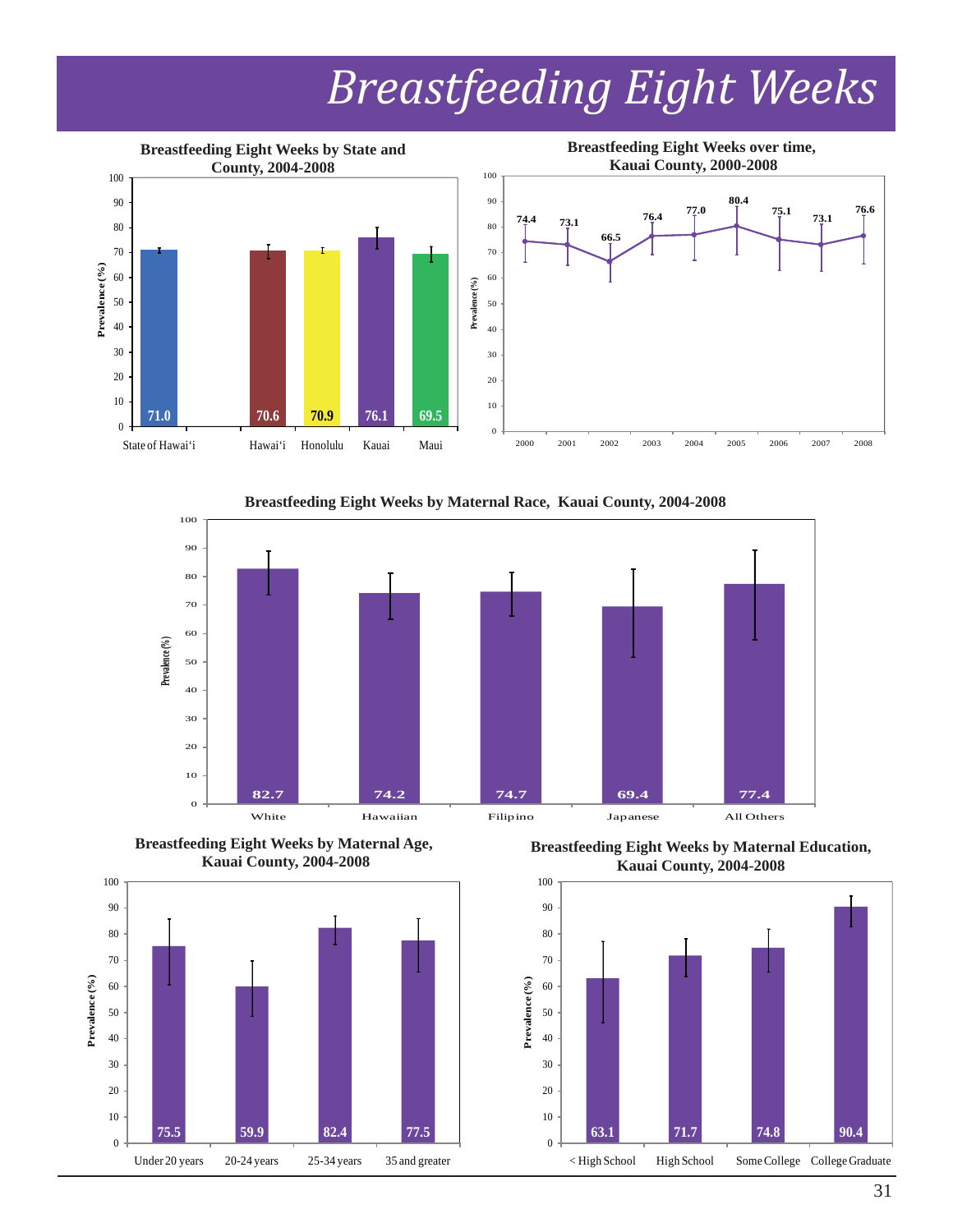## *Breastfeeding Eight Weeks*







**Breastfeeding Eight Weeks by Maternal Age, Kauai County, 2004-2008**



**Breastfeeding Eight Weeks by Maternal Education, Kauai County, 2004-2008**

![](_page_34_Figure_7.jpeg)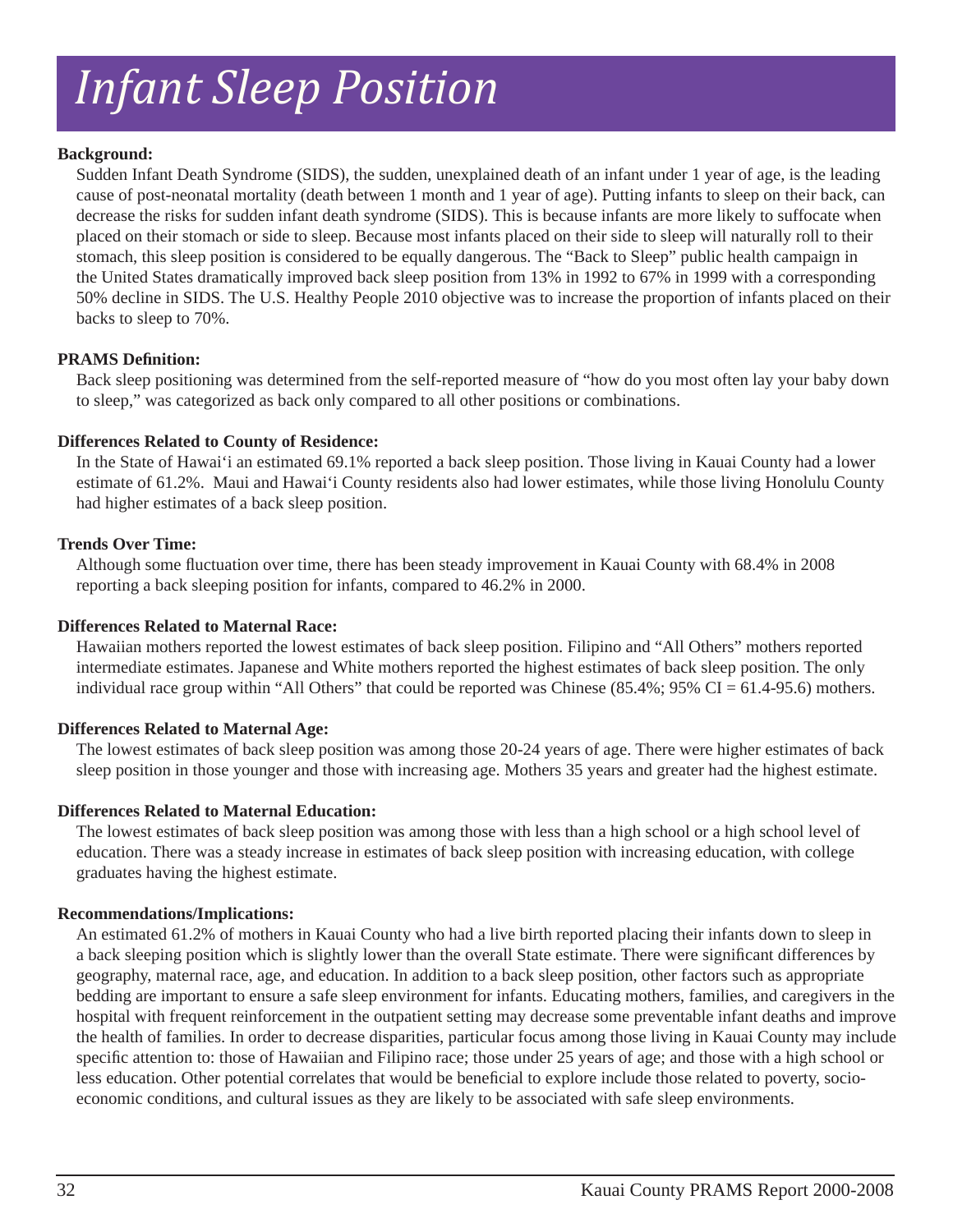## *Infant Sleep Position*

#### **Background:**

Sudden Infant Death Syndrome (SIDS), the sudden, unexplained death of an infant under 1 year of age, is the leading cause of post-neonatal mortality (death between 1 month and 1 year of age). Putting infants to sleep on their back, can decrease the risks for sudden infant death syndrome (SIDS). This is because infants are more likely to suffocate when placed on their stomach or side to sleep. Because most infants placed on their side to sleep will naturally roll to their stomach, this sleep position is considered to be equally dangerous. The "Back to Sleep" public health campaign in the United States dramatically improved back sleep position from 13% in 1992 to 67% in 1999 with a corresponding 50% decline in SIDS. The U.S. Healthy People 2010 objective was to increase the proportion of infants placed on their backs to sleep to 70%.

#### **PRAMS Definition:**

Back sleep positioning was determined from the self-reported measure of "how do you most often lay your baby down to sleep," was categorized as back only compared to all other positions or combinations.

#### **Differences Related to County of Residence:**

In the State of Hawai'i an estimated 69.1% reported a back sleep position. Those living in Kauai County had a lower estimate of 61.2%. Maui and Hawai'i County residents also had lower estimates, while those living Honolulu County had higher estimates of a back sleep position.

#### **Trends Over Time:**

Although some fluctuation over time, there has been steady improvement in Kauai County with 68.4% in 2008 reporting a back sleeping position for infants, compared to 46.2% in 2000.

#### **Differences Related to Maternal Race:**

Hawaiian mothers reported the lowest estimates of back sleep position. Filipino and "All Others" mothers reported intermediate estimates. Japanese and White mothers reported the highest estimates of back sleep position. The only individual race group within "All Others" that could be reported was Chinese  $(85.4\%; 95\% \text{ CI} = 61.4-95.6)$  mothers.

#### **Differences Related to Maternal Age:**

The lowest estimates of back sleep position was among those 20-24 years of age. There were higher estimates of back sleep position in those younger and those with increasing age. Mothers 35 years and greater had the highest estimate.

#### **Differences Related to Maternal Education:**

The lowest estimates of back sleep position was among those with less than a high school or a high school level of education. There was a steady increase in estimates of back sleep position with increasing education, with college graduates having the highest estimate.

#### **Recommendations/Implications:**

An estimated 61.2% of mothers in Kauai County who had a live birth reported placing their infants down to sleep in a back sleeping position which is slightly lower than the overall State estimate. There were significant differences by geography, maternal race, age, and education. In addition to a back sleep position, other factors such as appropriate bedding are important to ensure a safe sleep environment for infants. Educating mothers, families, and caregivers in the hospital with frequent reinforcement in the outpatient setting may decrease some preventable infant deaths and improve the health of families. In order to decrease disparities, particular focus among those living in Kauai County may include specific attention to: those of Hawaiian and Filipino race; those under 25 years of age; and those with a high school or less education. Other potential correlates that would be beneficial to explore include those related to poverty, socioeconomic conditions, and cultural issues as they are likely to be associated with safe sleep environments.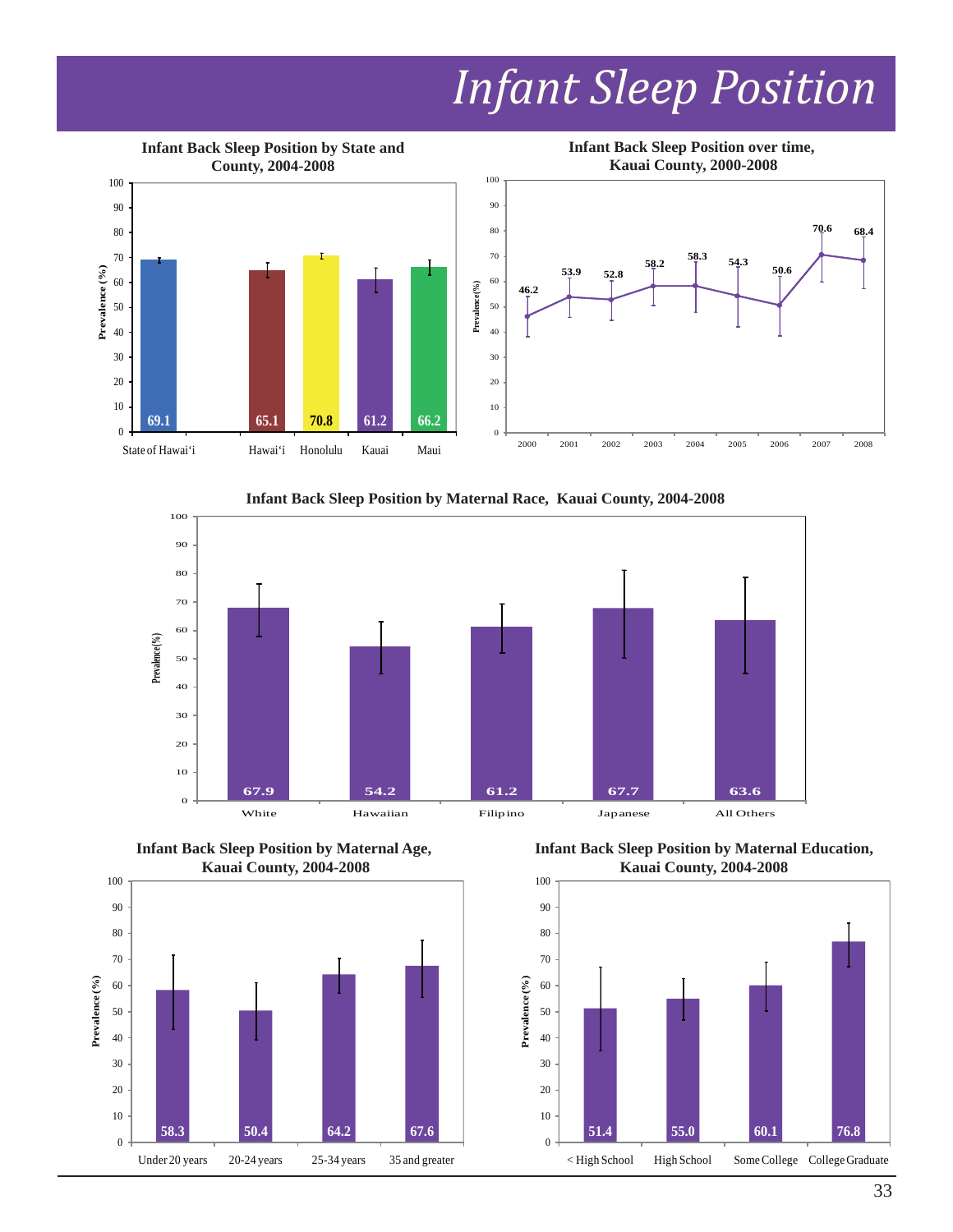## *Infant Sleep Position*

**Infant Back Sleep Position over time, Infant Back Sleep Position by State and Kauai County, 2000-2008 County, 2004-2008 70.6 68.4 58.2 58.3 54.3 50.6** Prevalence (%) **Prevalence (%) 53.9 52.8** Prevalence  $(%$ **Prevalence (%) 46.2 69.1 65.1 70.8 61.2 66.2** 2001 2002 2003 2004 2005 2006 2007 2008 State of Hawai'i Hawai'i Honolulu Kauai Maui

![](_page_36_Figure_2.jpeg)

**Infant Back Sleep Position by Maternal Race, Kauai County, 2004-2008**

![](_page_36_Figure_4.jpeg)

![](_page_36_Figure_5.jpeg)

**Infant Back Sleep Position by Maternal Education, Kauai County, 2004-2008**

![](_page_36_Figure_7.jpeg)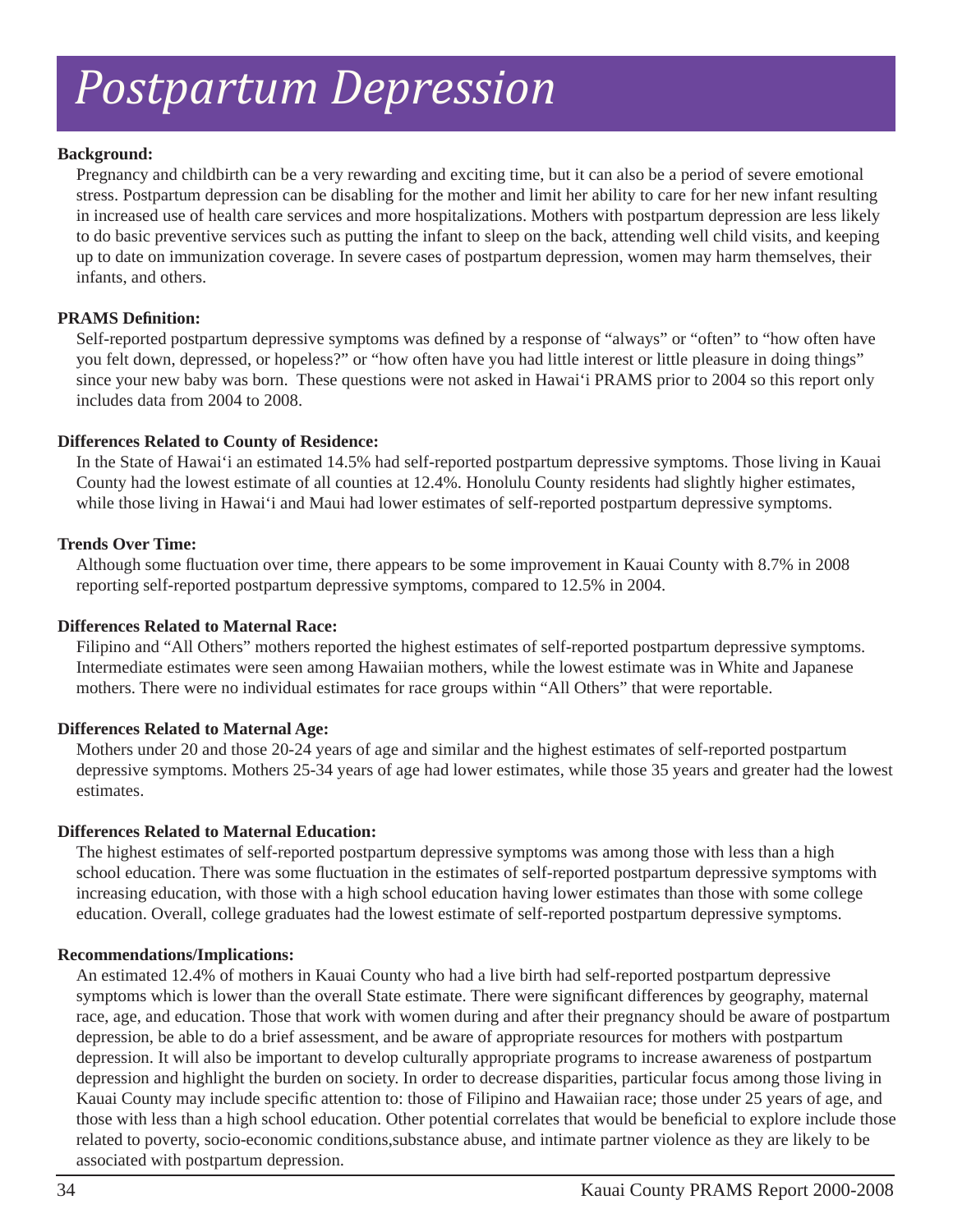### *Postpartum Depression*

#### **Background:**

Pregnancy and childbirth can be a very rewarding and exciting time, but it can also be a period of severe emotional stress. Postpartum depression can be disabling for the mother and limit her ability to care for her new infant resulting in increased use of health care services and more hospitalizations. Mothers with postpartum depression are less likely to do basic preventive services such as putting the infant to sleep on the back, attending well child visits, and keeping up to date on immunization coverage. In severe cases of postpartum depression, women may harm themselves, their infants, and others.

#### **PRAMS Definition:**

Self-reported postpartum depressive symptoms was defined by a response of "always" or "often" to "how often have you felt down, depressed, or hopeless?" or "how often have you had little interest or little pleasure in doing things" since your new baby was born. These questions were not asked in Hawai'i PRAMS prior to 2004 so this report only includes data from 2004 to 2008.

#### **Differences Related to County of Residence:**

In the State of Hawai'i an estimated 14.5% had self-reported postpartum depressive symptoms. Those living in Kauai County had the lowest estimate of all counties at 12.4%. Honolulu County residents had slightly higher estimates, while those living in Hawai'i and Maui had lower estimates of self-reported postpartum depressive symptoms.

#### **Trends Over Time:**

Although some fluctuation over time, there appears to be some improvement in Kauai County with 8.7% in 2008 reporting self-reported postpartum depressive symptoms, compared to 12.5% in 2004.

#### **Differences Related to Maternal Race:**

Filipino and "All Others" mothers reported the highest estimates of self-reported postpartum depressive symptoms. Intermediate estimates were seen among Hawaiian mothers, while the lowest estimate was in White and Japanese mothers. There were no individual estimates for race groups within "All Others" that were reportable.

#### **Differences Related to Maternal Age:**

Mothers under 20 and those 20-24 years of age and similar and the highest estimates of self-reported postpartum depressive symptoms. Mothers 25-34 years of age had lower estimates, while those 35 years and greater had the lowest estimates.

#### **Differences Related to Maternal Education:**

The highest estimates of self-reported postpartum depressive symptoms was among those with less than a high school education. There was some fluctuation in the estimates of self-reported postpartum depressive symptoms with increasing education, with those with a high school education having lower estimates than those with some college education. Overall, college graduates had the lowest estimate of self-reported postpartum depressive symptoms.

#### **Recommendations/Implications:**

An estimated 12.4% of mothers in Kauai County who had a live birth had self-reported postpartum depressive symptoms which is lower than the overall State estimate. There were significant differences by geography, maternal race, age, and education. Those that work with women during and after their pregnancy should be aware of postpartum depression, be able to do a brief assessment, and be aware of appropriate resources for mothers with postpartum depression. It will also be important to develop culturally appropriate programs to increase awareness of postpartum depression and highlight the burden on society. In order to decrease disparities, particular focus among those living in Kauai County may include specific attention to: those of Filipino and Hawaiian race; those under 25 years of age, and those with less than a high school education. Other potential correlates that would be beneficial to explore include those related to poverty, socio-economic conditions,substance abuse, and intimate partner violence as they are likely to be associated with postpartum depression.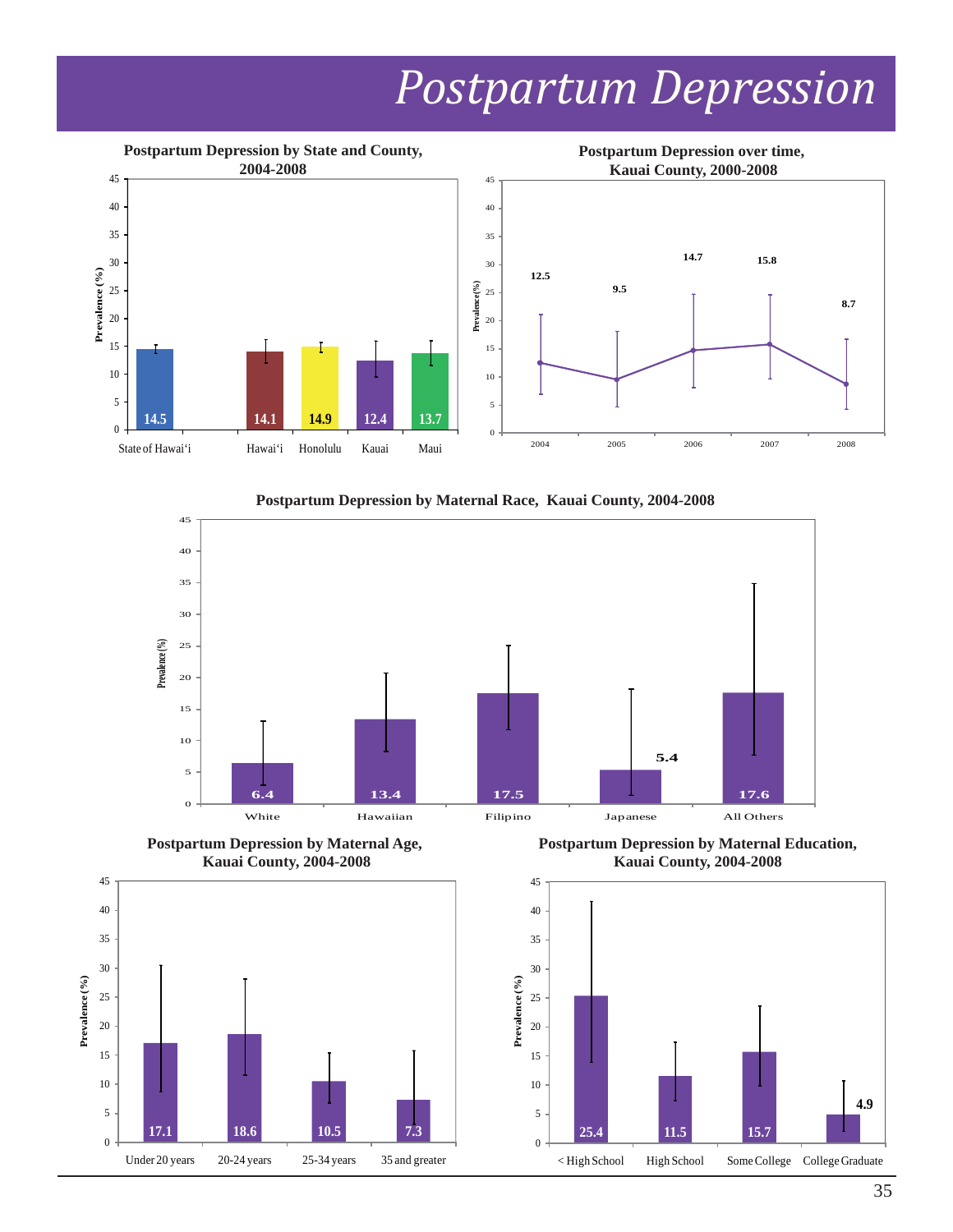### *Postpartum Depression*

![](_page_38_Figure_1.jpeg)

![](_page_38_Figure_2.jpeg)

![](_page_38_Figure_3.jpeg)

**Postpartum Depression by Maternal Age, Kauai County, 2004-2008**

![](_page_38_Figure_5.jpeg)

**Postpartum Depression by Maternal Education, Kauai County, 2004-2008**

![](_page_38_Figure_7.jpeg)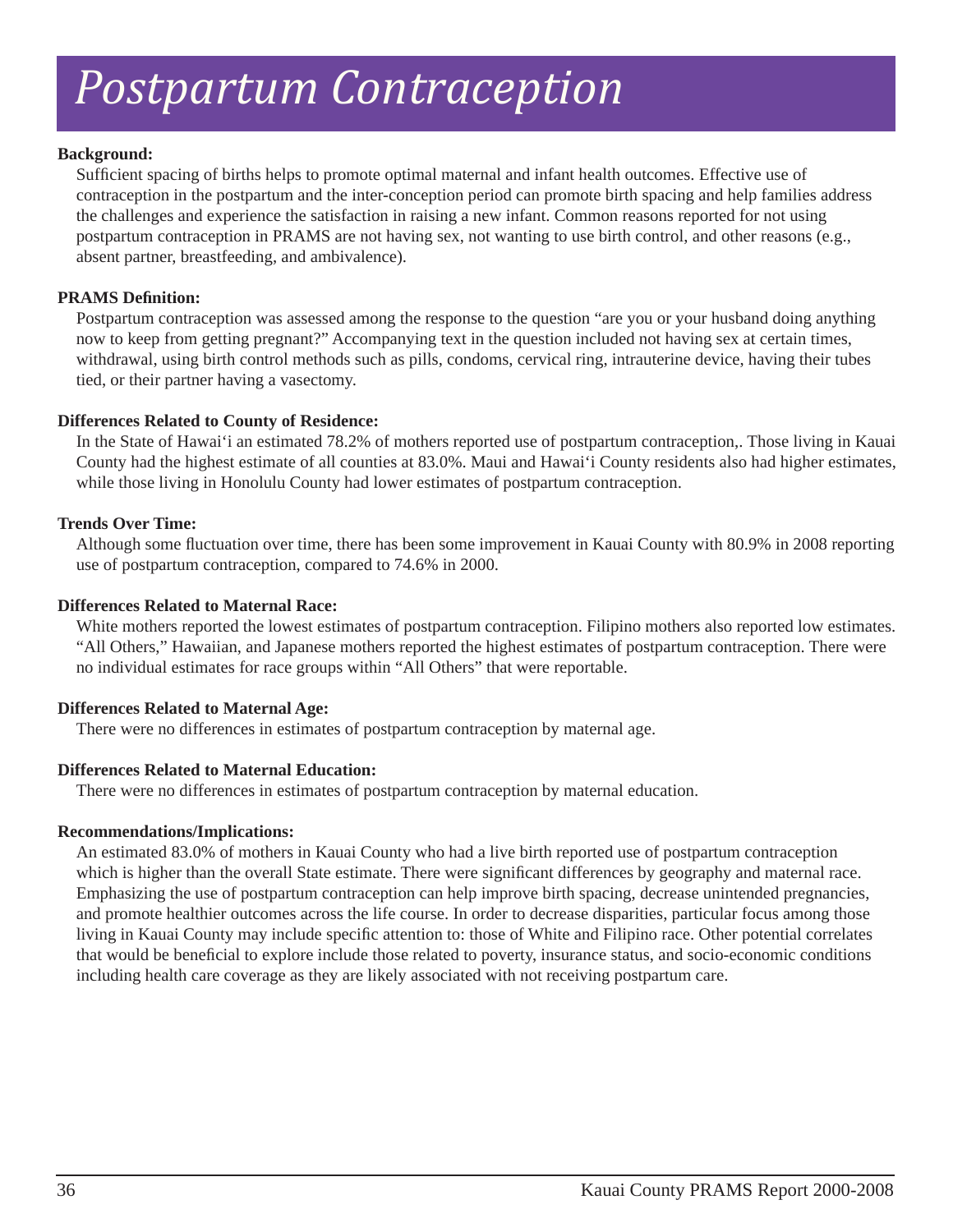### *Postpartum Contraception*

#### **Background:**

Sufficient spacing of births helps to promote optimal maternal and infant health outcomes. Effective use of contraception in the postpartum and the inter-conception period can promote birth spacing and help families address the challenges and experience the satisfaction in raising a new infant. Common reasons reported for not using postpartum contraception in PRAMS are not having sex, not wanting to use birth control, and other reasons (e.g., absent partner, breastfeeding, and ambivalence).

#### **PRAMS Definition:**

Postpartum contraception was assessed among the response to the question "are you or your husband doing anything now to keep from getting pregnant?" Accompanying text in the question included not having sex at certain times, withdrawal, using birth control methods such as pills, condoms, cervical ring, intrauterine device, having their tubes tied, or their partner having a vasectomy.

#### **Differences Related to County of Residence:**

In the State of Hawai'i an estimated 78.2% of mothers reported use of postpartum contraception,. Those living in Kauai County had the highest estimate of all counties at 83.0%. Maui and Hawai'i County residents also had higher estimates, while those living in Honolulu County had lower estimates of postpartum contraception.

#### **Trends Over Time:**

Although some fluctuation over time, there has been some improvement in Kauai County with 80.9% in 2008 reporting use of postpartum contraception, compared to 74.6% in 2000.

#### **Differences Related to Maternal Race:**

White mothers reported the lowest estimates of postpartum contraception. Filipino mothers also reported low estimates. "All Others," Hawaiian, and Japanese mothers reported the highest estimates of postpartum contraception. There were no individual estimates for race groups within "All Others" that were reportable.

#### **Differences Related to Maternal Age:**

There were no differences in estimates of postpartum contraception by maternal age.

#### **Differences Related to Maternal Education:**

There were no differences in estimates of postpartum contraception by maternal education.

#### **Recommendations/Implications:**

An estimated 83.0% of mothers in Kauai County who had a live birth reported use of postpartum contraception which is higher than the overall State estimate. There were significant differences by geography and maternal race. Emphasizing the use of postpartum contraception can help improve birth spacing, decrease unintended pregnancies, and promote healthier outcomes across the life course. In order to decrease disparities, particular focus among those living in Kauai County may include specific attention to: those of White and Filipino race. Other potential correlates that would be beneficial to explore include those related to poverty, insurance status, and socio-economic conditions including health care coverage as they are likely associated with not receiving postpartum care.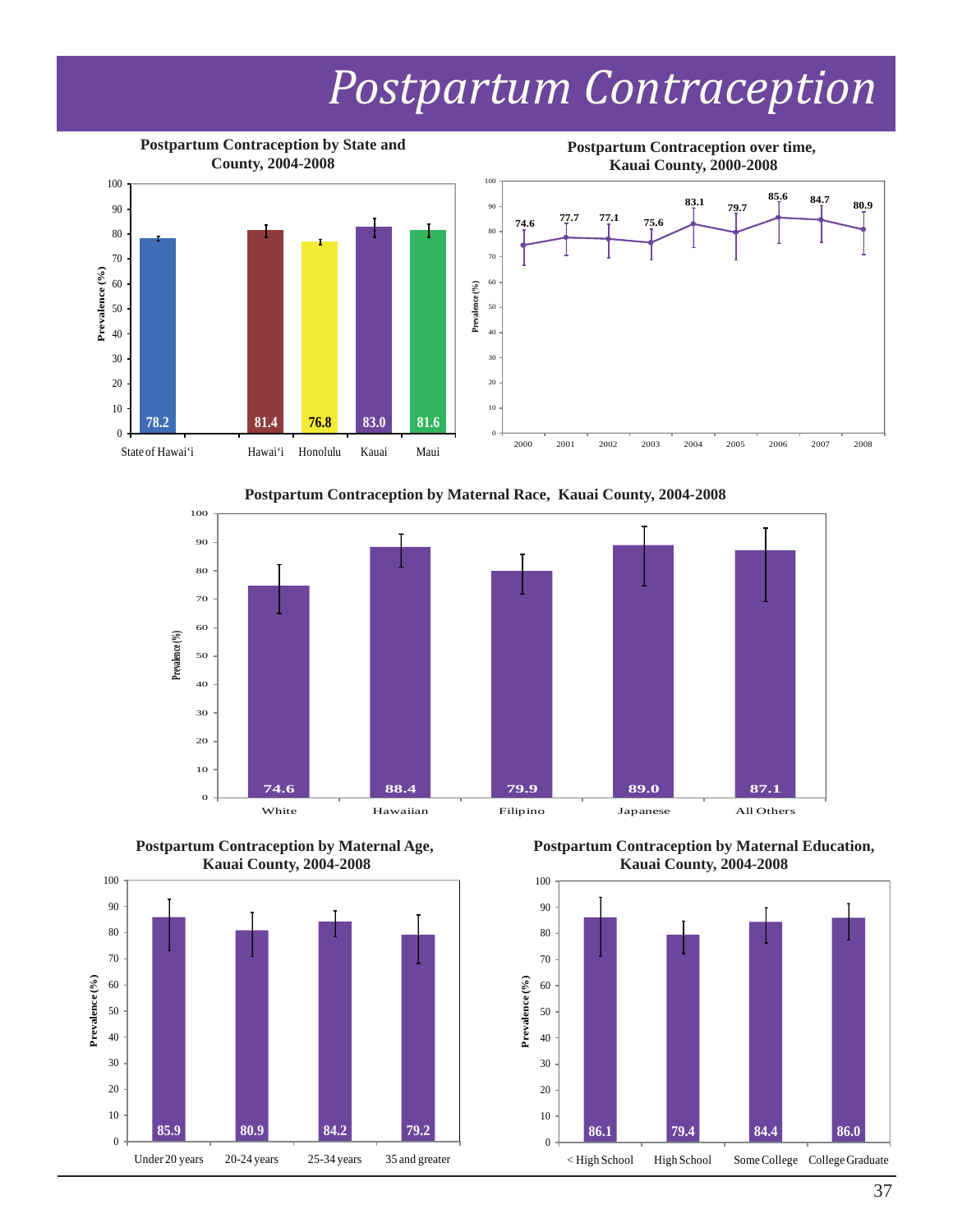### *Postpartum Contraception*

**Postpartum Contraception by State and** 

![](_page_40_Figure_2.jpeg)

![](_page_40_Figure_3.jpeg)

**Postpartum Contraception by Maternal Race, Kauai County, 2004-2008**

![](_page_40_Figure_5.jpeg)

**Postpartum Contraception by Maternal Age, Kauai County, 2004-2008**

![](_page_40_Figure_7.jpeg)

**Postpartum Contraception by Maternal Education, Kauai County, 2004-2008**

![](_page_40_Figure_9.jpeg)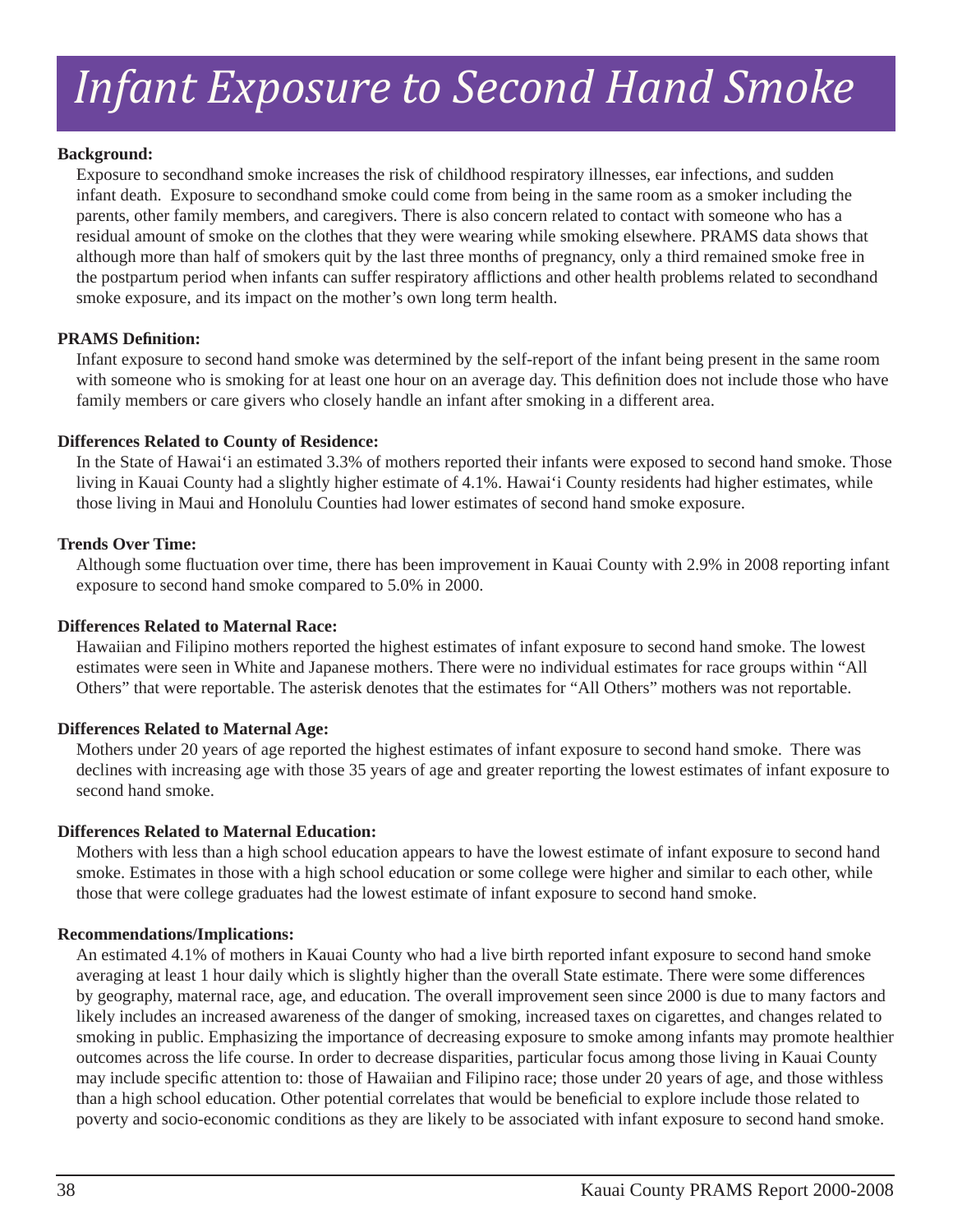## *Infant Exposure to Second Hand Smoke*

#### **Background:**

Exposure to secondhand smoke increases the risk of childhood respiratory illnesses, ear infections, and sudden infant death. Exposure to secondhand smoke could come from being in the same room as a smoker including the parents, other family members, and caregivers. There is also concern related to contact with someone who has a residual amount of smoke on the clothes that they were wearing while smoking elsewhere. PRAMS data shows that although more than half of smokers quit by the last three months of pregnancy, only a third remained smoke free in the postpartum period when infants can suffer respiratory afflictions and other health problems related to secondhand smoke exposure, and its impact on the mother's own long term health.

#### **PRAMS Defi nition:**

Infant exposure to second hand smoke was determined by the self-report of the infant being present in the same room with someone who is smoking for at least one hour on an average day. This definition does not include those who have family members or care givers who closely handle an infant after smoking in a different area.

#### **Differences Related to County of Residence:**

In the State of Hawai'i an estimated 3.3% of mothers reported their infants were exposed to second hand smoke. Those living in Kauai County had a slightly higher estimate of 4.1%. Hawai'i County residents had higher estimates, while those living in Maui and Honolulu Counties had lower estimates of second hand smoke exposure.

#### **Trends Over Time:**

Although some fluctuation over time, there has been improvement in Kauai County with 2.9% in 2008 reporting infant exposure to second hand smoke compared to 5.0% in 2000.

#### **Differences Related to Maternal Race:**

Hawaiian and Filipino mothers reported the highest estimates of infant exposure to second hand smoke. The lowest estimates were seen in White and Japanese mothers. There were no individual estimates for race groups within "All Others" that were reportable. The asterisk denotes that the estimates for "All Others" mothers was not reportable.

#### **Differences Related to Maternal Age:**

Mothers under 20 years of age reported the highest estimates of infant exposure to second hand smoke. There was declines with increasing age with those 35 years of age and greater reporting the lowest estimates of infant exposure to second hand smoke.

#### **Differences Related to Maternal Education:**

Mothers with less than a high school education appears to have the lowest estimate of infant exposure to second hand smoke. Estimates in those with a high school education or some college were higher and similar to each other, while those that were college graduates had the lowest estimate of infant exposure to second hand smoke.

#### **Recommendations/Implications:**

An estimated 4.1% of mothers in Kauai County who had a live birth reported infant exposure to second hand smoke averaging at least 1 hour daily which is slightly higher than the overall State estimate. There were some differences by geography, maternal race, age, and education. The overall improvement seen since 2000 is due to many factors and likely includes an increased awareness of the danger of smoking, increased taxes on cigarettes, and changes related to smoking in public. Emphasizing the importance of decreasing exposure to smoke among infants may promote healthier outcomes across the life course. In order to decrease disparities, particular focus among those living in Kauai County may include specific attention to: those of Hawaiian and Filipino race; those under 20 years of age, and those withless than a high school education. Other potential correlates that would be beneficial to explore include those related to poverty and socio-economic conditions as they are likely to be associated with infant exposure to second hand smoke.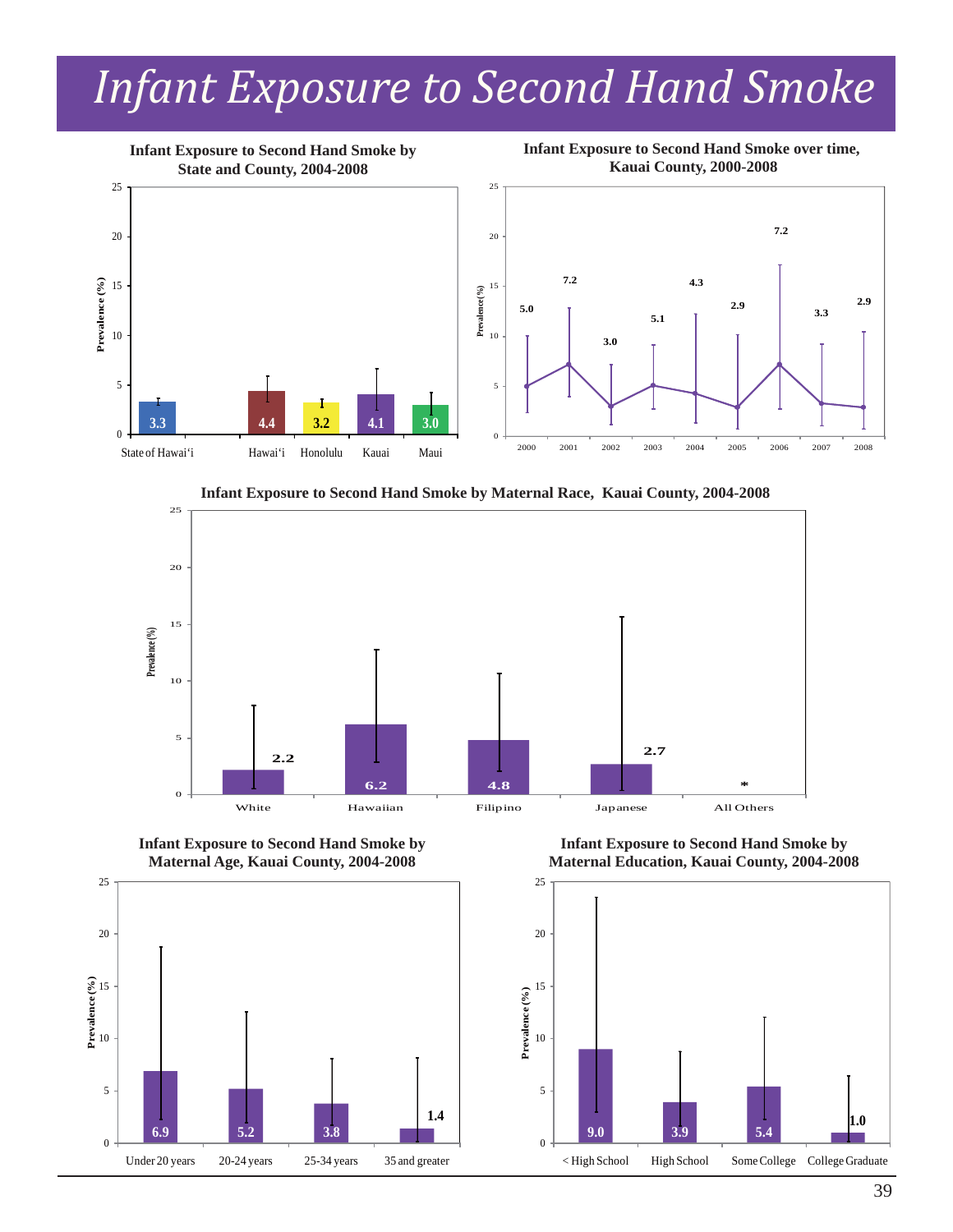### *Infant Exposure to Second Hand Smoke*

![](_page_42_Figure_1.jpeg)

![](_page_42_Figure_2.jpeg)

**Infant Exposure to Second Hand Smoke by Maternal Age, Kauai County, 2004-2008**

![](_page_42_Figure_4.jpeg)

**Infant Exposure to Second Hand Smoke by Maternal Education, Kauai County, 2004-2008**

![](_page_42_Figure_6.jpeg)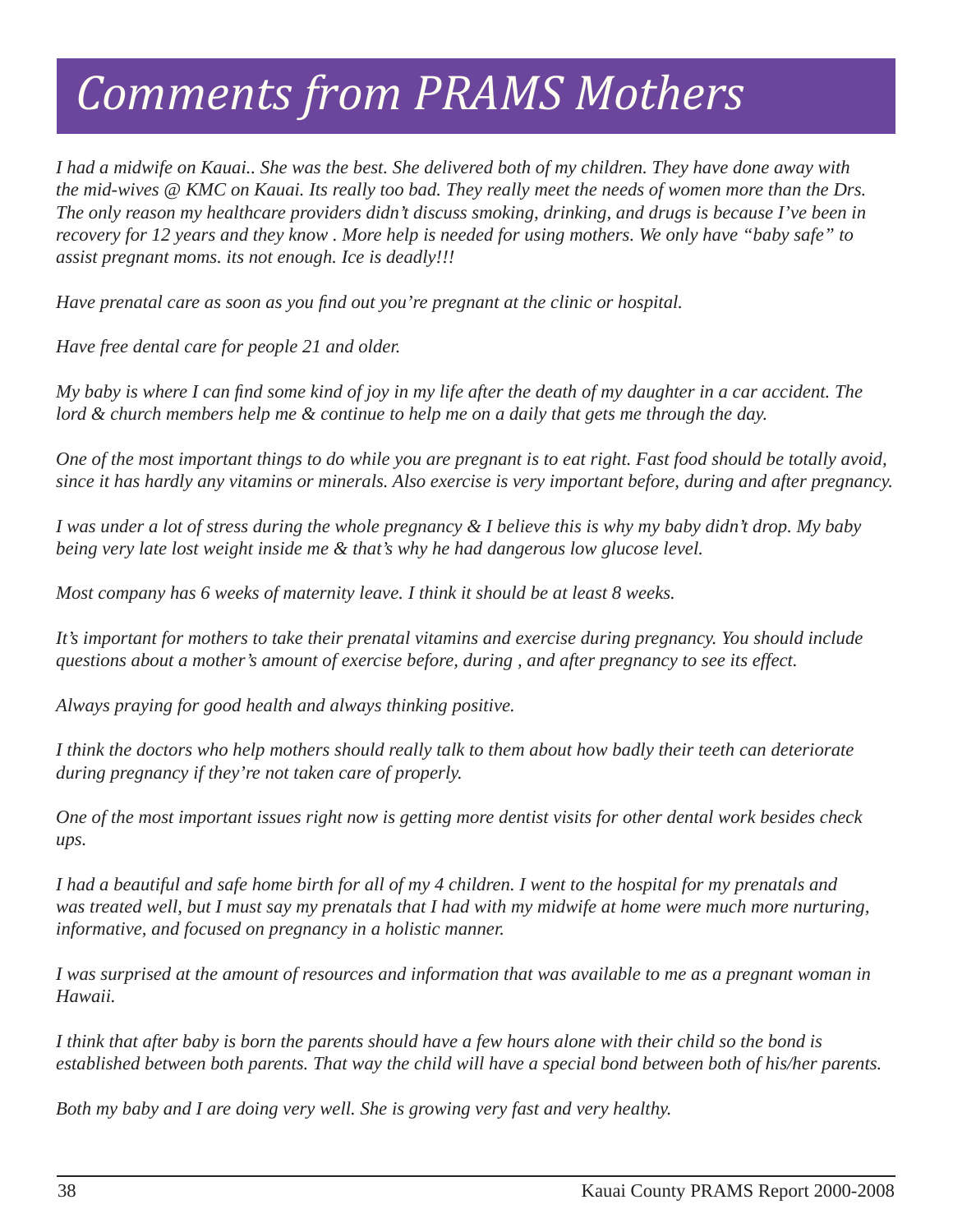### *Comments from PRAMS Mothers*

*I had a midwife on Kauai.. She was the best. She delivered both of my children. They have done away with the mid-wives @ KMC on Kauai. Its really too bad. They really meet the needs of women more than the Drs. The only reason my healthcare providers didn't discuss smoking, drinking, and drugs is because I've been in recovery for 12 years and they know . More help is needed for using mothers. We only have "baby safe" to assist pregnant moms. its not enough. Ice is deadly!!!*

*Have prenatal care as soon as you find out you're pregnant at the clinic or hospital.* 

*Have free dental care for people 21 and older.*

*My baby is where I can find some kind of joy in my life after the death of my daughter in a car accident. The lord & church members help me & continue to help me on a daily that gets me through the day.*

*One of the most important things to do while you are pregnant is to eat right. Fast food should be totally avoid, since it has hardly any vitamins or minerals. Also exercise is very important before, during and after pregnancy.*

*I was under a lot of stress during the whole pregnancy & I believe this is why my baby didn't drop. My baby being very late lost weight inside me & that's why he had dangerous low glucose level.* 

*Most company has 6 weeks of maternity leave. I think it should be at least 8 weeks.*

*It's important for mothers to take their prenatal vitamins and exercise during pregnancy. You should include questions about a mother's amount of exercise before, during , and after pregnancy to see its effect.*

*Always praying for good health and always thinking positive.*

*I think the doctors who help mothers should really talk to them about how badly their teeth can deteriorate during pregnancy if they're not taken care of properly.* 

*One of the most important issues right now is getting more dentist visits for other dental work besides check ups.* 

*I had a beautiful and safe home birth for all of my 4 children. I went to the hospital for my prenatals and was treated well, but I must say my prenatals that I had with my midwife at home were much more nurturing, informative, and focused on pregnancy in a holistic manner.* 

*I was surprised at the amount of resources and information that was available to me as a pregnant woman in Hawaii.*

*I think that after baby is born the parents should have a few hours alone with their child so the bond is established between both parents. That way the child will have a special bond between both of his/her parents.* 

*Both my baby and I are doing very well. She is growing very fast and very healthy.*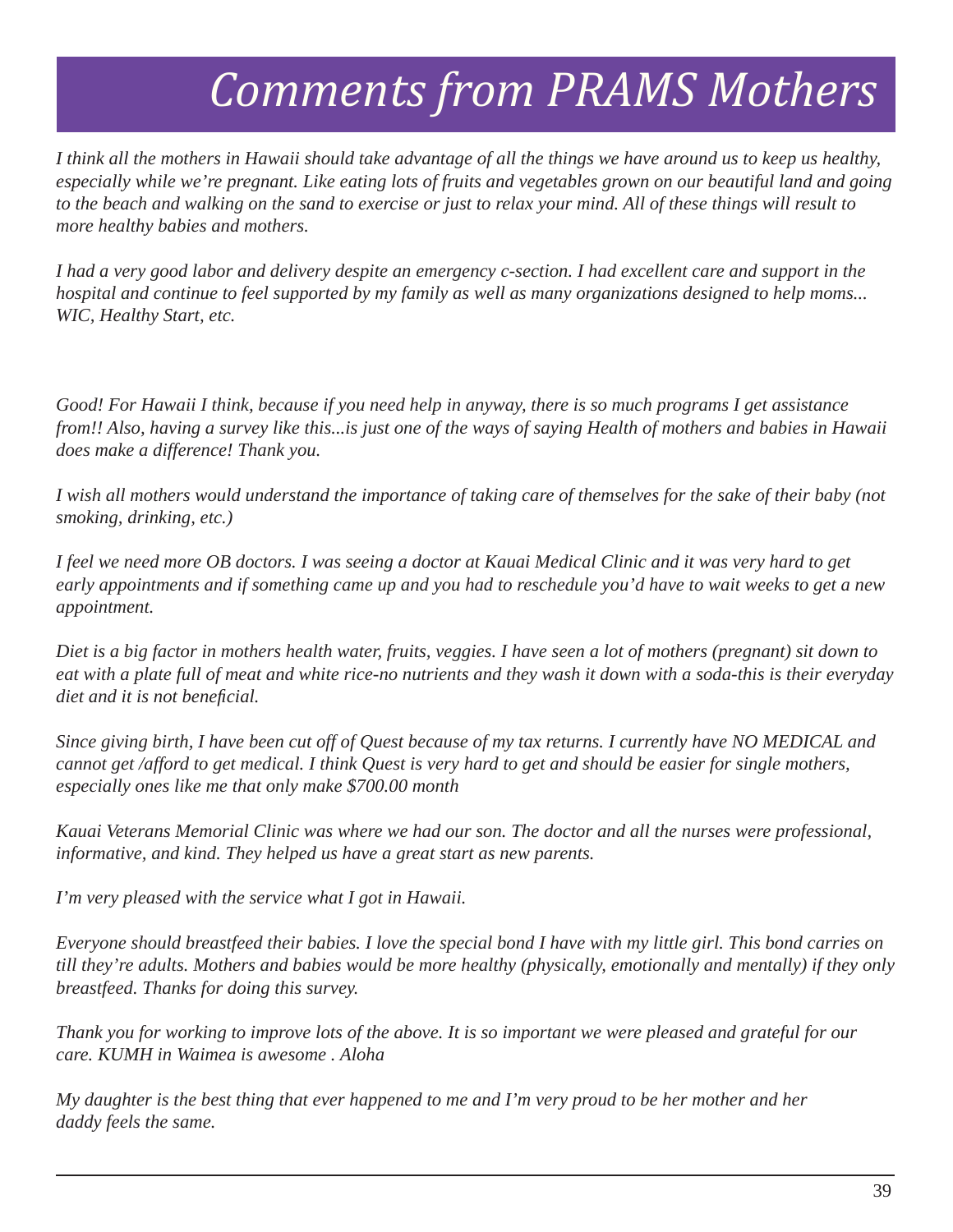## *Comments from PRAMS Mothers*

*I think all the mothers in Hawaii should take advantage of all the things we have around us to keep us healthy, especially while we're pregnant. Like eating lots of fruits and vegetables grown on our beautiful land and going to the beach and walking on the sand to exercise or just to relax your mind. All of these things will result to more healthy babies and mothers.*

*I had a very good labor and delivery despite an emergency c-section. I had excellent care and support in the hospital and continue to feel supported by my family as well as many organizations designed to help moms... WIC, Healthy Start, etc.*

*Good! For Hawaii I think, because if you need help in anyway, there is so much programs I get assistance from!! Also, having a survey like this...is just one of the ways of saying Health of mothers and babies in Hawaii does make a difference! Thank you.*

*I wish all mothers would understand the importance of taking care of themselves for the sake of their baby (not smoking, drinking, etc.)*

*I feel we need more OB doctors. I was seeing a doctor at Kauai Medical Clinic and it was very hard to get early appointments and if something came up and you had to reschedule you'd have to wait weeks to get a new appointment.*

*Diet is a big factor in mothers health water, fruits, veggies. I have seen a lot of mothers (pregnant) sit down to eat with a plate full of meat and white rice-no nutrients and they wash it down with a soda-this is their everyday diet and it is not beneficial.* 

*Since giving birth, I have been cut off of Quest because of my tax returns. I currently have NO MEDICAL and cannot get /afford to get medical. I think Quest is very hard to get and should be easier for single mothers, especially ones like me that only make \$700.00 month*

*Kauai Veterans Memorial Clinic was where we had our son. The doctor and all the nurses were professional, informative, and kind. They helped us have a great start as new parents.*

*I'm very pleased with the service what I got in Hawaii.*

*Everyone should breastfeed their babies. I love the special bond I have with my little girl. This bond carries on till they're adults. Mothers and babies would be more healthy (physically, emotionally and mentally) if they only breastfeed. Thanks for doing this survey.*

*Thank you for working to improve lots of the above. It is so important we were pleased and grateful for our care. KUMH in Waimea is awesome . Aloha*

*My daughter is the best thing that ever happened to me and I'm very proud to be her mother and her daddy feels the same.*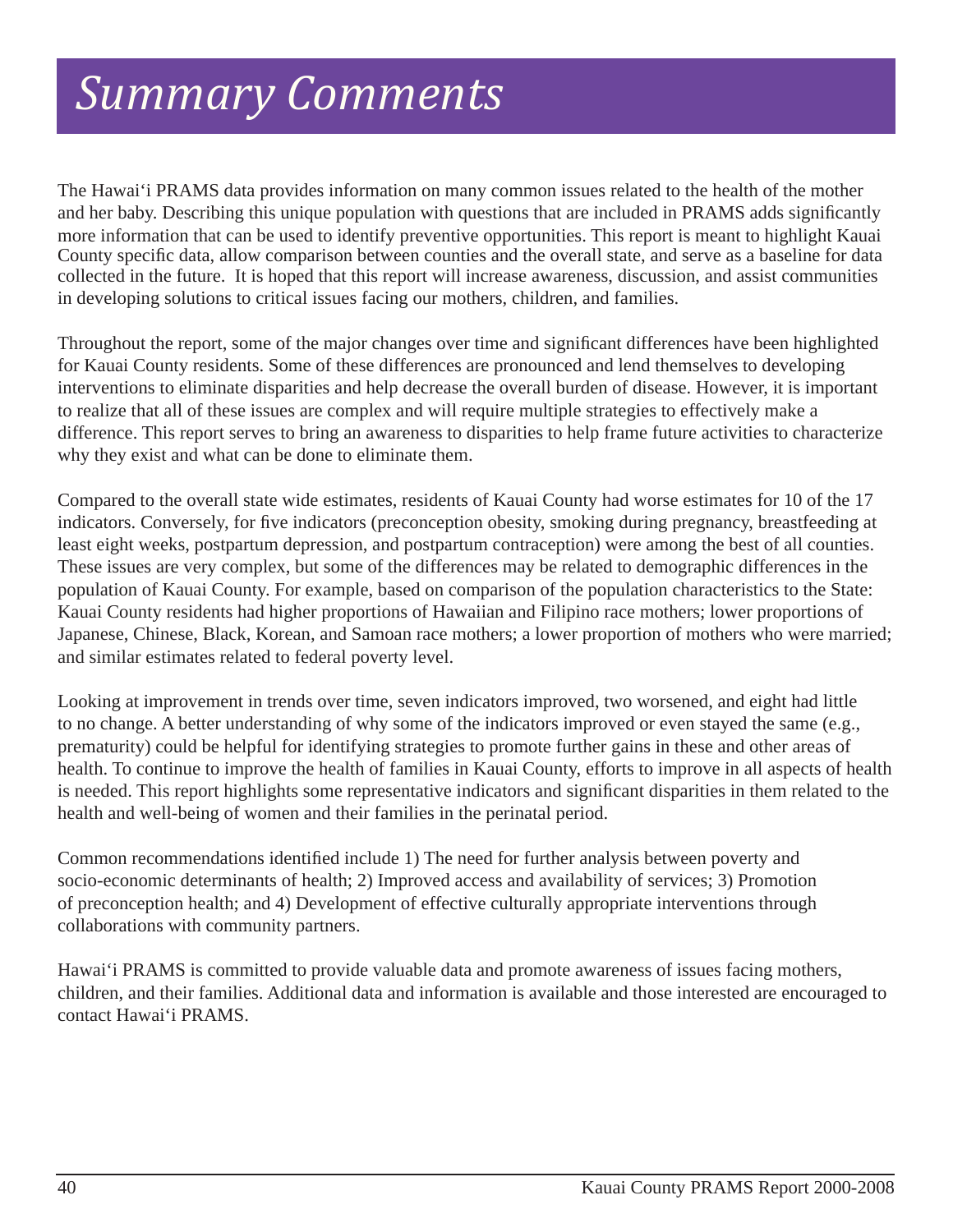The Hawai'i PRAMS data provides information on many common issues related to the health of the mother and her baby. Describing this unique population with questions that are included in PRAMS adds significantly more information that can be used to identify preventive opportunities. This report is meant to highlight Kauai County specific data, allow comparison between counties and the overall state, and serve as a baseline for data collected in the future. It is hoped that this report will increase awareness, discussion, and assist communities in developing solutions to critical issues facing our mothers, children, and families.

Throughout the report, some of the major changes over time and significant differences have been highlighted for Kauai County residents. Some of these differences are pronounced and lend themselves to developing interventions to eliminate disparities and help decrease the overall burden of disease. However, it is important to realize that all of these issues are complex and will require multiple strategies to effectively make a difference. This report serves to bring an awareness to disparities to help frame future activities to characterize why they exist and what can be done to eliminate them.

Compared to the overall state wide estimates, residents of Kauai County had worse estimates for 10 of the 17 indicators. Conversely, for five indicators (preconception obesity, smoking during pregnancy, breastfeeding at least eight weeks, postpartum depression, and postpartum contraception) were among the best of all counties. These issues are very complex, but some of the differences may be related to demographic differences in the population of Kauai County. For example, based on comparison of the population characteristics to the State: Kauai County residents had higher proportions of Hawaiian and Filipino race mothers; lower proportions of Japanese, Chinese, Black, Korean, and Samoan race mothers; a lower proportion of mothers who were married; and similar estimates related to federal poverty level.

Looking at improvement in trends over time, seven indicators improved, two worsened, and eight had little to no change. A better understanding of why some of the indicators improved or even stayed the same (e.g., prematurity) could be helpful for identifying strategies to promote further gains in these and other areas of health. To continue to improve the health of families in Kauai County, efforts to improve in all aspects of health is needed. This report highlights some representative indicators and significant disparities in them related to the health and well-being of women and their families in the perinatal period.

Common recommendations identified include 1) The need for further analysis between poverty and socio-economic determinants of health; 2) Improved access and availability of services; 3) Promotion of preconception health; and 4) Development of effective culturally appropriate interventions through collaborations with community partners.

Hawai'i PRAMS is committed to provide valuable data and promote awareness of issues facing mothers, children, and their families. Additional data and information is available and those interested are encouraged to contact Hawai'i PRAMS.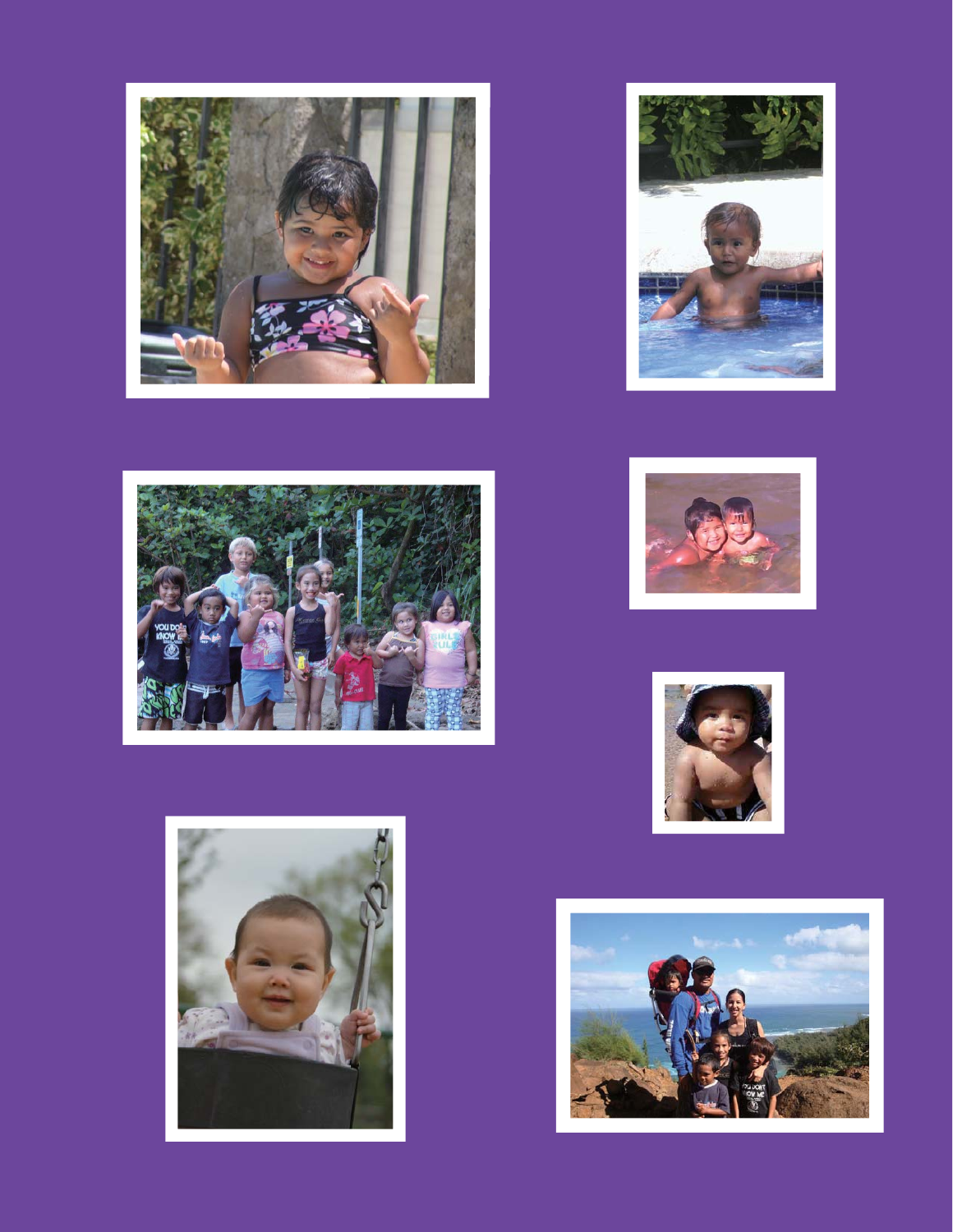![](_page_46_Picture_0.jpeg)

![](_page_46_Picture_1.jpeg)

![](_page_46_Picture_2.jpeg)

![](_page_46_Picture_3.jpeg)

![](_page_46_Picture_4.jpeg)

![](_page_46_Picture_5.jpeg)

![](_page_46_Picture_6.jpeg)